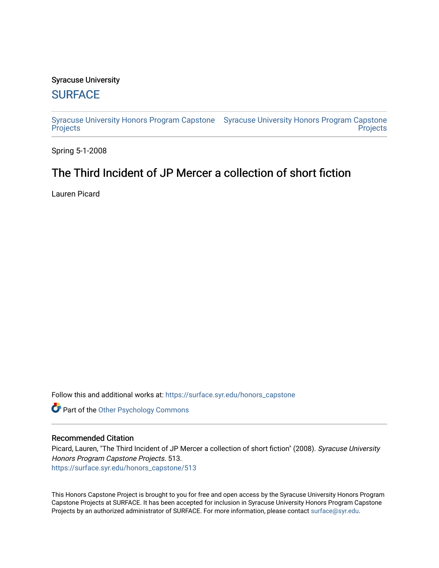## Syracuse University

## **[SURFACE](https://surface.syr.edu/)**

[Syracuse University Honors Program Capstone](https://surface.syr.edu/honors_capstone)  [Syracuse University Honors Program Capstone](https://surface.syr.edu/honors_capstones)  **[Projects](https://surface.syr.edu/honors_capstone) Projects** 

Spring 5-1-2008

# The Third Incident of JP Mercer a collection of short fiction

Lauren Picard

Follow this and additional works at: [https://surface.syr.edu/honors\\_capstone](https://surface.syr.edu/honors_capstone?utm_source=surface.syr.edu%2Fhonors_capstone%2F513&utm_medium=PDF&utm_campaign=PDFCoverPages) 

**Part of the Other Psychology Commons** 

## Recommended Citation

Picard, Lauren, "The Third Incident of JP Mercer a collection of short fiction" (2008). Syracuse University Honors Program Capstone Projects. 513. [https://surface.syr.edu/honors\\_capstone/513](https://surface.syr.edu/honors_capstone/513?utm_source=surface.syr.edu%2Fhonors_capstone%2F513&utm_medium=PDF&utm_campaign=PDFCoverPages) 

This Honors Capstone Project is brought to you for free and open access by the Syracuse University Honors Program Capstone Projects at SURFACE. It has been accepted for inclusion in Syracuse University Honors Program Capstone Projects by an authorized administrator of SURFACE. For more information, please contact [surface@syr.edu.](mailto:surface@syr.edu)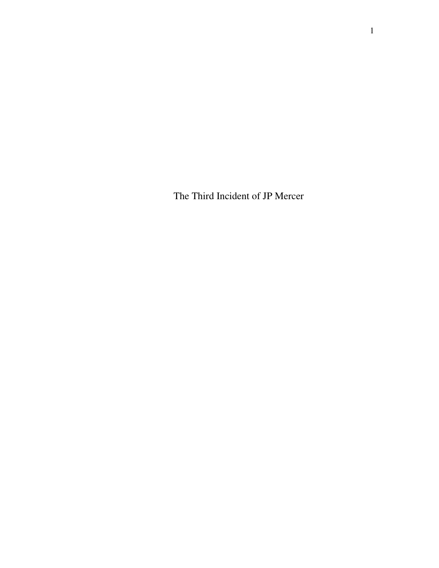The Third Incident of JP Mercer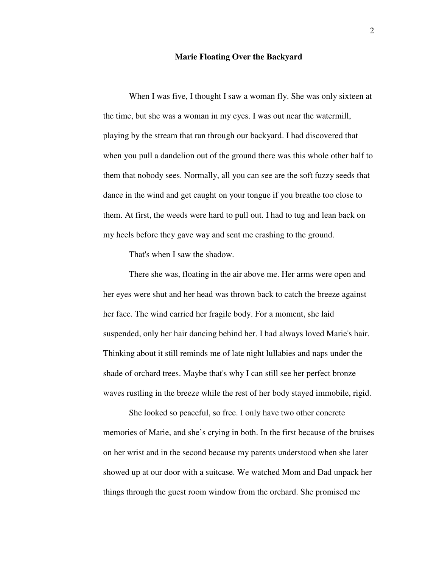#### **Marie Floating Over the Backyard**

 When I was five, I thought I saw a woman fly. She was only sixteen at the time, but she was a woman in my eyes. I was out near the watermill, playing by the stream that ran through our backyard. I had discovered that when you pull a dandelion out of the ground there was this whole other half to them that nobody sees. Normally, all you can see are the soft fuzzy seeds that dance in the wind and get caught on your tongue if you breathe too close to them. At first, the weeds were hard to pull out. I had to tug and lean back on my heels before they gave way and sent me crashing to the ground.

That's when I saw the shadow.

 There she was, floating in the air above me. Her arms were open and her eyes were shut and her head was thrown back to catch the breeze against her face. The wind carried her fragile body. For a moment, she laid suspended, only her hair dancing behind her. I had always loved Marie's hair. Thinking about it still reminds me of late night lullabies and naps under the shade of orchard trees. Maybe that's why I can still see her perfect bronze waves rustling in the breeze while the rest of her body stayed immobile, rigid.

 She looked so peaceful, so free. I only have two other concrete memories of Marie, and she's crying in both. In the first because of the bruises on her wrist and in the second because my parents understood when she later showed up at our door with a suitcase. We watched Mom and Dad unpack her things through the guest room window from the orchard. She promised me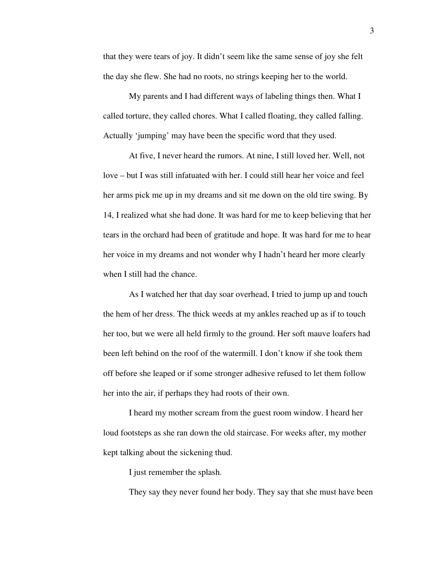that they were tears of joy. It didn't seem like the same sense of joy she felt the day she flew. She had no roots, no strings keeping her to the world.

 My parents and I had different ways of labeling things then. What I called torture, they called chores. What I called floating, they called falling. Actually 'jumping' may have been the specific word that they used.

 At five, I never heard the rumors. At nine, I still loved her. Well, not love – but I was still infatuated with her. I could still hear her voice and feel her arms pick me up in my dreams and sit me down on the old tire swing. By 14, I realized what she had done. It was hard for me to keep believing that her tears in the orchard had been of gratitude and hope. It was hard for me to hear her voice in my dreams and not wonder why I hadn't heard her more clearly when I still had the chance.

 As I watched her that day soar overhead, I tried to jump up and touch the hem of her dress. The thick weeds at my ankles reached up as if to touch her too, but we were all held firmly to the ground. Her soft mauve loafers had been left behind on the roof of the watermill. I don't know if she took them off before she leaped or if some stronger adhesive refused to let them follow her into the air, if perhaps they had roots of their own.

 I heard my mother scream from the guest room window. I heard her loud footsteps as she ran down the old staircase. For weeks after, my mother kept talking about the sickening thud.

I just remember the splash.

They say they never found her body. They say that she must have been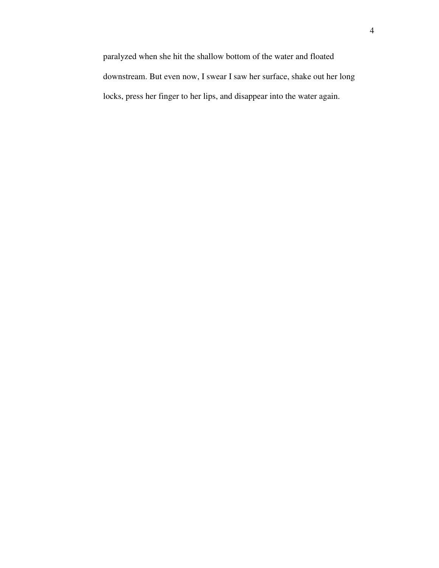paralyzed when she hit the shallow bottom of the water and floated downstream. But even now, I swear I saw her surface, shake out her long locks, press her finger to her lips, and disappear into the water again.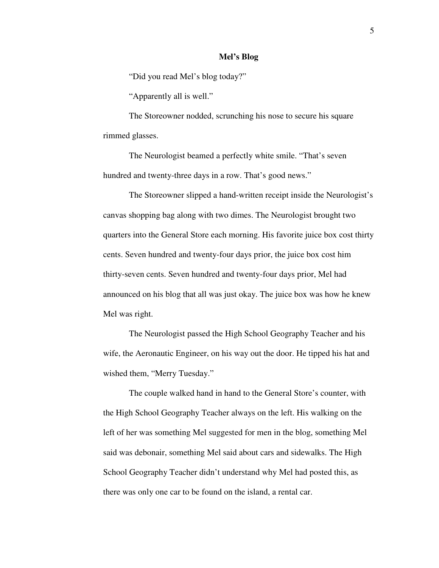#### **Mel's Blog**

"Did you read Mel's blog today?"

"Apparently all is well."

 The Storeowner nodded, scrunching his nose to secure his square rimmed glasses.

 The Neurologist beamed a perfectly white smile. "That's seven hundred and twenty-three days in a row. That's good news."

 The Storeowner slipped a hand-written receipt inside the Neurologist's canvas shopping bag along with two dimes. The Neurologist brought two quarters into the General Store each morning. His favorite juice box cost thirty cents. Seven hundred and twenty-four days prior, the juice box cost him thirty-seven cents. Seven hundred and twenty-four days prior, Mel had announced on his blog that all was just okay. The juice box was how he knew Mel was right.

 The Neurologist passed the High School Geography Teacher and his wife, the Aeronautic Engineer, on his way out the door. He tipped his hat and wished them, "Merry Tuesday."

 The couple walked hand in hand to the General Store's counter, with the High School Geography Teacher always on the left. His walking on the left of her was something Mel suggested for men in the blog, something Mel said was debonair, something Mel said about cars and sidewalks. The High School Geography Teacher didn't understand why Mel had posted this, as there was only one car to be found on the island, a rental car.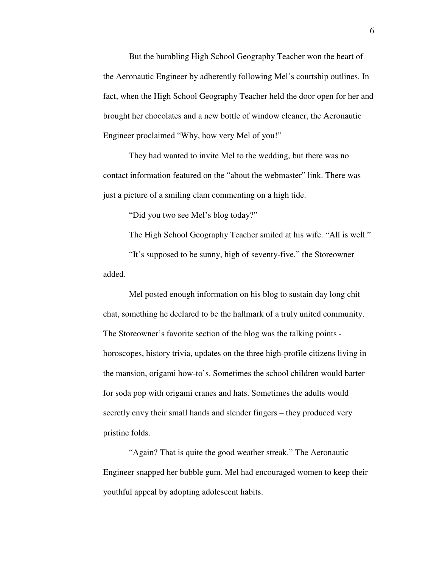But the bumbling High School Geography Teacher won the heart of the Aeronautic Engineer by adherently following Mel's courtship outlines. In fact, when the High School Geography Teacher held the door open for her and brought her chocolates and a new bottle of window cleaner, the Aeronautic Engineer proclaimed "Why, how very Mel of you!"

 They had wanted to invite Mel to the wedding, but there was no contact information featured on the "about the webmaster" link. There was just a picture of a smiling clam commenting on a high tide.

"Did you two see Mel's blog today?"

The High School Geography Teacher smiled at his wife. "All is well."

 "It's supposed to be sunny, high of seventy-five," the Storeowner added.

 Mel posted enough information on his blog to sustain day long chit chat, something he declared to be the hallmark of a truly united community. The Storeowner's favorite section of the blog was the talking points horoscopes, history trivia, updates on the three high-profile citizens living in the mansion, origami how-to's. Sometimes the school children would barter for soda pop with origami cranes and hats. Sometimes the adults would secretly envy their small hands and slender fingers – they produced very pristine folds.

 "Again? That is quite the good weather streak." The Aeronautic Engineer snapped her bubble gum. Mel had encouraged women to keep their youthful appeal by adopting adolescent habits.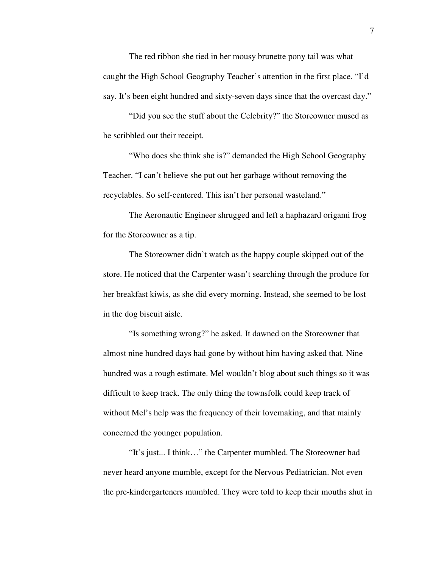The red ribbon she tied in her mousy brunette pony tail was what caught the High School Geography Teacher's attention in the first place. "I'd say. It's been eight hundred and sixty-seven days since that the overcast day."

 "Did you see the stuff about the Celebrity?" the Storeowner mused as he scribbled out their receipt.

 "Who does she think she is?" demanded the High School Geography Teacher. "I can't believe she put out her garbage without removing the recyclables. So self-centered. This isn't her personal wasteland."

 The Aeronautic Engineer shrugged and left a haphazard origami frog for the Storeowner as a tip.

 The Storeowner didn't watch as the happy couple skipped out of the store. He noticed that the Carpenter wasn't searching through the produce for her breakfast kiwis, as she did every morning. Instead, she seemed to be lost in the dog biscuit aisle.

 "Is something wrong?" he asked. It dawned on the Storeowner that almost nine hundred days had gone by without him having asked that. Nine hundred was a rough estimate. Mel wouldn't blog about such things so it was difficult to keep track. The only thing the townsfolk could keep track of without Mel's help was the frequency of their lovemaking, and that mainly concerned the younger population.

 "It's just... I think…" the Carpenter mumbled. The Storeowner had never heard anyone mumble, except for the Nervous Pediatrician. Not even the pre-kindergarteners mumbled. They were told to keep their mouths shut in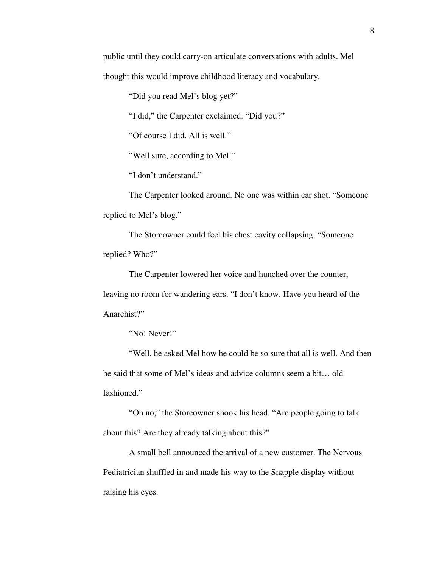public until they could carry-on articulate conversations with adults. Mel thought this would improve childhood literacy and vocabulary.

"Did you read Mel's blog yet?"

"I did," the Carpenter exclaimed. "Did you?"

"Of course I did. All is well."

"Well sure, according to Mel."

"I don't understand."

 The Carpenter looked around. No one was within ear shot. "Someone replied to Mel's blog."

 The Storeowner could feel his chest cavity collapsing. "Someone replied? Who?"

 The Carpenter lowered her voice and hunched over the counter, leaving no room for wandering ears. "I don't know. Have you heard of the Anarchist?"

"No! Never!"

 "Well, he asked Mel how he could be so sure that all is well. And then he said that some of Mel's ideas and advice columns seem a bit… old fashioned."

 "Oh no," the Storeowner shook his head. "Are people going to talk about this? Are they already talking about this?"

 A small bell announced the arrival of a new customer. The Nervous Pediatrician shuffled in and made his way to the Snapple display without raising his eyes.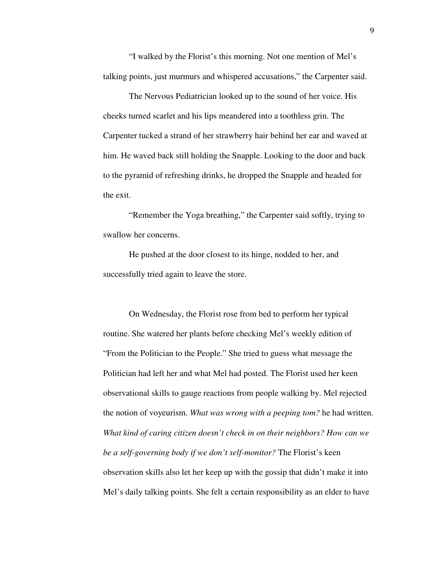"I walked by the Florist's this morning. Not one mention of Mel's talking points, just murmurs and whispered accusations," the Carpenter said.

 The Nervous Pediatrician looked up to the sound of her voice. His cheeks turned scarlet and his lips meandered into a toothless grin. The Carpenter tucked a strand of her strawberry hair behind her ear and waved at him. He waved back still holding the Snapple. Looking to the door and back to the pyramid of refreshing drinks, he dropped the Snapple and headed for the exit.

 "Remember the Yoga breathing," the Carpenter said softly, trying to swallow her concerns.

 He pushed at the door closest to its hinge, nodded to her, and successfully tried again to leave the store.

 On Wednesday, the Florist rose from bed to perform her typical routine. She watered her plants before checking Mel's weekly edition of "From the Politician to the People." She tried to guess what message the Politician had left her and what Mel had posted. The Florist used her keen observational skills to gauge reactions from people walking by. Mel rejected the notion of voyeurism. *What was wrong with a peeping tom?* he had written. *What kind of caring citizen doesn't check in on their neighbors? How can we be a self-governing body if we don't self-monitor?* The Florist's keen observation skills also let her keep up with the gossip that didn't make it into Mel's daily talking points. She felt a certain responsibility as an elder to have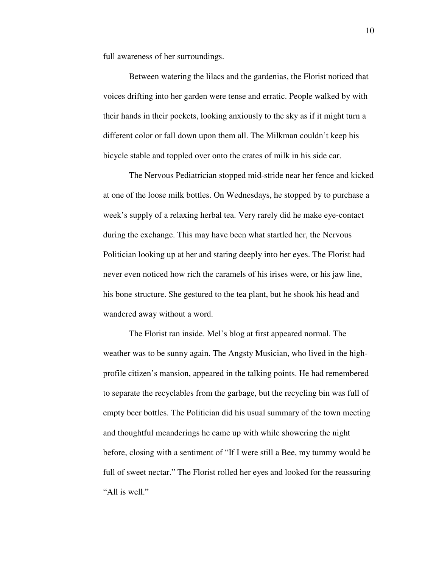full awareness of her surroundings.

 Between watering the lilacs and the gardenias, the Florist noticed that voices drifting into her garden were tense and erratic. People walked by with their hands in their pockets, looking anxiously to the sky as if it might turn a different color or fall down upon them all. The Milkman couldn't keep his bicycle stable and toppled over onto the crates of milk in his side car.

 The Nervous Pediatrician stopped mid-stride near her fence and kicked at one of the loose milk bottles. On Wednesdays, he stopped by to purchase a week's supply of a relaxing herbal tea. Very rarely did he make eye-contact during the exchange. This may have been what startled her, the Nervous Politician looking up at her and staring deeply into her eyes. The Florist had never even noticed how rich the caramels of his irises were, or his jaw line, his bone structure. She gestured to the tea plant, but he shook his head and wandered away without a word.

 The Florist ran inside. Mel's blog at first appeared normal. The weather was to be sunny again. The Angsty Musician, who lived in the highprofile citizen's mansion, appeared in the talking points. He had remembered to separate the recyclables from the garbage, but the recycling bin was full of empty beer bottles. The Politician did his usual summary of the town meeting and thoughtful meanderings he came up with while showering the night before, closing with a sentiment of "If I were still a Bee, my tummy would be full of sweet nectar." The Florist rolled her eyes and looked for the reassuring "All is well."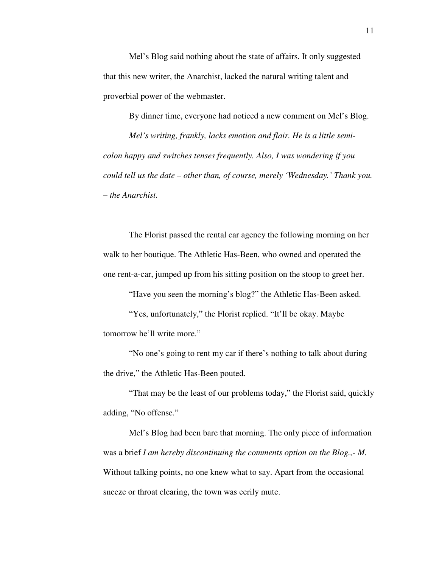Mel's Blog said nothing about the state of affairs. It only suggested that this new writer, the Anarchist, lacked the natural writing talent and proverbial power of the webmaster.

 By dinner time, everyone had noticed a new comment on Mel's Blog. *Mel's writing, frankly, lacks emotion and flair. He is a little semicolon happy and switches tenses frequently. Also, I was wondering if you could tell us the date – other than, of course, merely 'Wednesday.' Thank you. – the Anarchist.* 

 The Florist passed the rental car agency the following morning on her walk to her boutique. The Athletic Has-Been, who owned and operated the one rent-a-car, jumped up from his sitting position on the stoop to greet her.

"Have you seen the morning's blog?" the Athletic Has-Been asked.

 "Yes, unfortunately," the Florist replied. "It'll be okay. Maybe tomorrow he'll write more."

 "No one's going to rent my car if there's nothing to talk about during the drive," the Athletic Has-Been pouted.

 "That may be the least of our problems today," the Florist said, quickly adding, "No offense."

 Mel's Blog had been bare that morning. The only piece of information was a brief *I am hereby discontinuing the comments option on the Blog.,- M.*  Without talking points, no one knew what to say. Apart from the occasional sneeze or throat clearing, the town was eerily mute.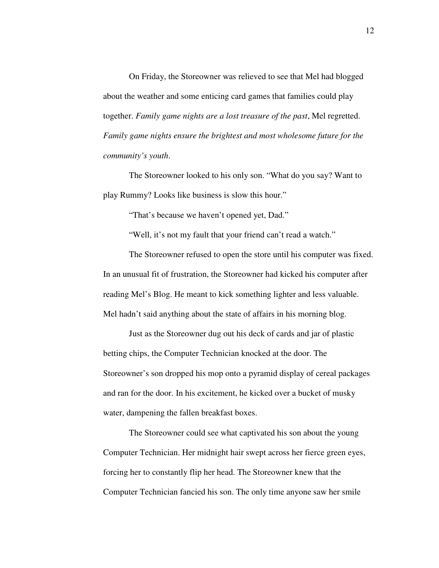On Friday, the Storeowner was relieved to see that Mel had blogged about the weather and some enticing card games that families could play together. *Family game nights are a lost treasure of the past*, Mel regretted. *Family game nights ensure the brightest and most wholesome future for the community's youth*.

 The Storeowner looked to his only son. "What do you say? Want to play Rummy? Looks like business is slow this hour."

"That's because we haven't opened yet, Dad."

"Well, it's not my fault that your friend can't read a watch."

 The Storeowner refused to open the store until his computer was fixed. In an unusual fit of frustration, the Storeowner had kicked his computer after reading Mel's Blog. He meant to kick something lighter and less valuable. Mel hadn't said anything about the state of affairs in his morning blog.

 Just as the Storeowner dug out his deck of cards and jar of plastic betting chips, the Computer Technician knocked at the door. The Storeowner's son dropped his mop onto a pyramid display of cereal packages and ran for the door. In his excitement, he kicked over a bucket of musky water, dampening the fallen breakfast boxes.

 The Storeowner could see what captivated his son about the young Computer Technician. Her midnight hair swept across her fierce green eyes, forcing her to constantly flip her head. The Storeowner knew that the Computer Technician fancied his son. The only time anyone saw her smile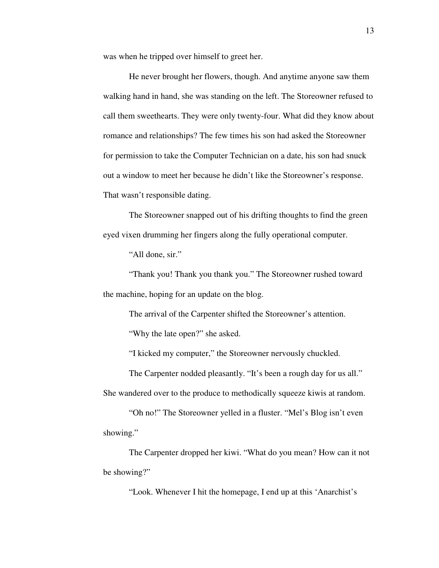was when he tripped over himself to greet her.

 He never brought her flowers, though. And anytime anyone saw them walking hand in hand, she was standing on the left. The Storeowner refused to call them sweethearts. They were only twenty-four. What did they know about romance and relationships? The few times his son had asked the Storeowner for permission to take the Computer Technician on a date, his son had snuck out a window to meet her because he didn't like the Storeowner's response. That wasn't responsible dating.

 The Storeowner snapped out of his drifting thoughts to find the green eyed vixen drumming her fingers along the fully operational computer.

"All done, sir."

 "Thank you! Thank you thank you." The Storeowner rushed toward the machine, hoping for an update on the blog.

The arrival of the Carpenter shifted the Storeowner's attention.

"Why the late open?" she asked.

"I kicked my computer," the Storeowner nervously chuckled.

The Carpenter nodded pleasantly. "It's been a rough day for us all." She wandered over to the produce to methodically squeeze kiwis at random.

 "Oh no!" The Storeowner yelled in a fluster. "Mel's Blog isn't even showing."

 The Carpenter dropped her kiwi. "What do you mean? How can it not be showing?"

"Look. Whenever I hit the homepage, I end up at this 'Anarchist's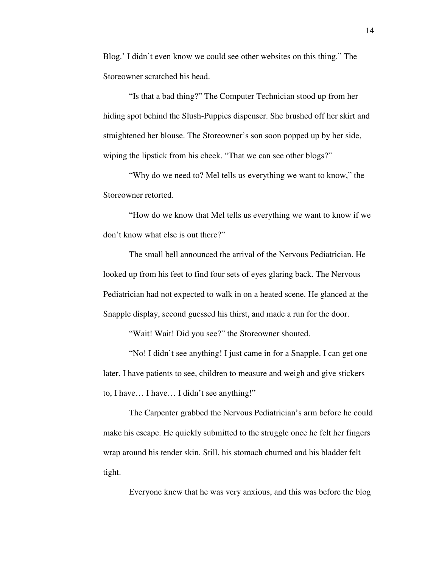Blog.' I didn't even know we could see other websites on this thing." The Storeowner scratched his head.

 "Is that a bad thing?" The Computer Technician stood up from her hiding spot behind the Slush-Puppies dispenser. She brushed off her skirt and straightened her blouse. The Storeowner's son soon popped up by her side, wiping the lipstick from his cheek. "That we can see other blogs?"

 "Why do we need to? Mel tells us everything we want to know," the Storeowner retorted.

 "How do we know that Mel tells us everything we want to know if we don't know what else is out there?"

 The small bell announced the arrival of the Nervous Pediatrician. He looked up from his feet to find four sets of eyes glaring back. The Nervous Pediatrician had not expected to walk in on a heated scene. He glanced at the Snapple display, second guessed his thirst, and made a run for the door.

"Wait! Wait! Did you see?" the Storeowner shouted.

 "No! I didn't see anything! I just came in for a Snapple. I can get one later. I have patients to see, children to measure and weigh and give stickers to, I have… I have… I didn't see anything!"

 The Carpenter grabbed the Nervous Pediatrician's arm before he could make his escape. He quickly submitted to the struggle once he felt her fingers wrap around his tender skin. Still, his stomach churned and his bladder felt tight.

Everyone knew that he was very anxious, and this was before the blog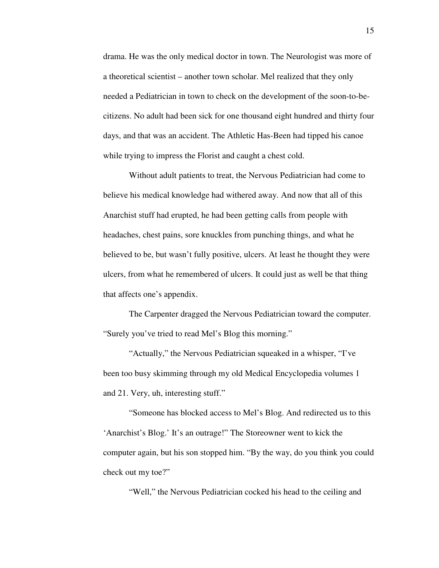drama. He was the only medical doctor in town. The Neurologist was more of a theoretical scientist – another town scholar. Mel realized that they only needed a Pediatrician in town to check on the development of the soon-to-becitizens. No adult had been sick for one thousand eight hundred and thirty four days, and that was an accident. The Athletic Has-Been had tipped his canoe while trying to impress the Florist and caught a chest cold.

 Without adult patients to treat, the Nervous Pediatrician had come to believe his medical knowledge had withered away. And now that all of this Anarchist stuff had erupted, he had been getting calls from people with headaches, chest pains, sore knuckles from punching things, and what he believed to be, but wasn't fully positive, ulcers. At least he thought they were ulcers, from what he remembered of ulcers. It could just as well be that thing that affects one's appendix.

 The Carpenter dragged the Nervous Pediatrician toward the computer. "Surely you've tried to read Mel's Blog this morning."

 "Actually," the Nervous Pediatrician squeaked in a whisper, "I've been too busy skimming through my old Medical Encyclopedia volumes 1 and 21. Very, uh, interesting stuff."

 "Someone has blocked access to Mel's Blog. And redirected us to this 'Anarchist's Blog.' It's an outrage!" The Storeowner went to kick the computer again, but his son stopped him. "By the way, do you think you could check out my toe?"

"Well," the Nervous Pediatrician cocked his head to the ceiling and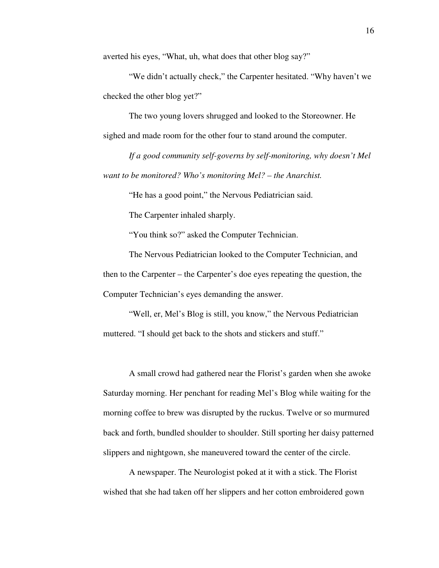averted his eyes, "What, uh, what does that other blog say?"

 "We didn't actually check," the Carpenter hesitated. "Why haven't we checked the other blog yet?"

 The two young lovers shrugged and looked to the Storeowner. He sighed and made room for the other four to stand around the computer.

 *If a good community self-governs by self-monitoring, why doesn't Mel want to be monitored? Who's monitoring Mel? – the Anarchist.* 

"He has a good point," the Nervous Pediatrician said.

The Carpenter inhaled sharply.

"You think so?" asked the Computer Technician.

 The Nervous Pediatrician looked to the Computer Technician, and then to the Carpenter – the Carpenter's doe eyes repeating the question, the Computer Technician's eyes demanding the answer.

 "Well, er, Mel's Blog is still, you know," the Nervous Pediatrician muttered. "I should get back to the shots and stickers and stuff."

 A small crowd had gathered near the Florist's garden when she awoke Saturday morning. Her penchant for reading Mel's Blog while waiting for the morning coffee to brew was disrupted by the ruckus. Twelve or so murmured back and forth, bundled shoulder to shoulder. Still sporting her daisy patterned slippers and nightgown, she maneuvered toward the center of the circle.

 A newspaper. The Neurologist poked at it with a stick. The Florist wished that she had taken off her slippers and her cotton embroidered gown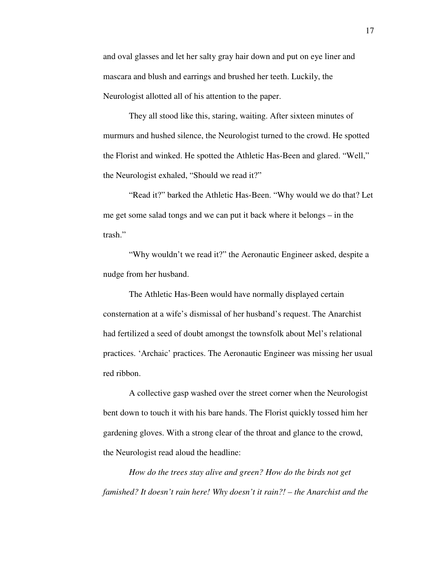and oval glasses and let her salty gray hair down and put on eye liner and mascara and blush and earrings and brushed her teeth. Luckily, the Neurologist allotted all of his attention to the paper.

 They all stood like this, staring, waiting. After sixteen minutes of murmurs and hushed silence, the Neurologist turned to the crowd. He spotted the Florist and winked. He spotted the Athletic Has-Been and glared. "Well," the Neurologist exhaled, "Should we read it?"

 "Read it?" barked the Athletic Has-Been. "Why would we do that? Let me get some salad tongs and we can put it back where it belongs – in the trash."

 "Why wouldn't we read it?" the Aeronautic Engineer asked, despite a nudge from her husband.

 The Athletic Has-Been would have normally displayed certain consternation at a wife's dismissal of her husband's request. The Anarchist had fertilized a seed of doubt amongst the townsfolk about Mel's relational practices. 'Archaic' practices. The Aeronautic Engineer was missing her usual red ribbon.

 A collective gasp washed over the street corner when the Neurologist bent down to touch it with his bare hands. The Florist quickly tossed him her gardening gloves. With a strong clear of the throat and glance to the crowd, the Neurologist read aloud the headline:

 *How do the trees stay alive and green? How do the birds not get famished? It doesn't rain here! Why doesn't it rain?! – the Anarchist and the*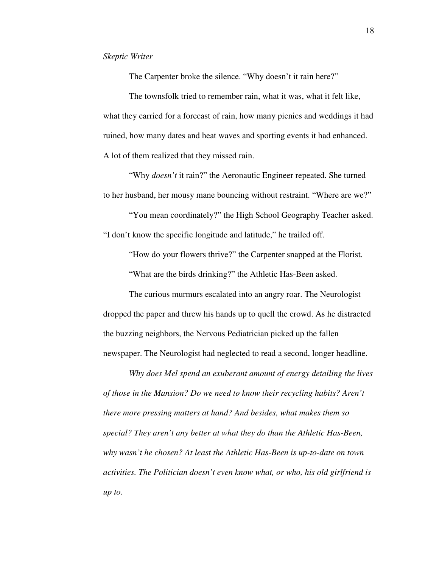The Carpenter broke the silence. "Why doesn't it rain here?"

 The townsfolk tried to remember rain, what it was, what it felt like, what they carried for a forecast of rain, how many picnics and weddings it had ruined, how many dates and heat waves and sporting events it had enhanced. A lot of them realized that they missed rain.

 "Why *doesn't* it rain?" the Aeronautic Engineer repeated. She turned to her husband, her mousy mane bouncing without restraint. "Where are we?"

 "You mean coordinately?" the High School Geography Teacher asked. "I don't know the specific longitude and latitude," he trailed off.

"How do your flowers thrive?" the Carpenter snapped at the Florist.

"What are the birds drinking?" the Athletic Has-Been asked.

 The curious murmurs escalated into an angry roar. The Neurologist dropped the paper and threw his hands up to quell the crowd. As he distracted the buzzing neighbors, the Nervous Pediatrician picked up the fallen newspaper. The Neurologist had neglected to read a second, longer headline.

*Why does Mel spend an exuberant amount of energy detailing the lives of those in the Mansion? Do we need to know their recycling habits? Aren't there more pressing matters at hand? And besides, what makes them so special? They aren't any better at what they do than the Athletic Has-Been, why wasn't he chosen? At least the Athletic Has-Been is up-to-date on town activities. The Politician doesn't even know what, or who, his old girlfriend is up to.*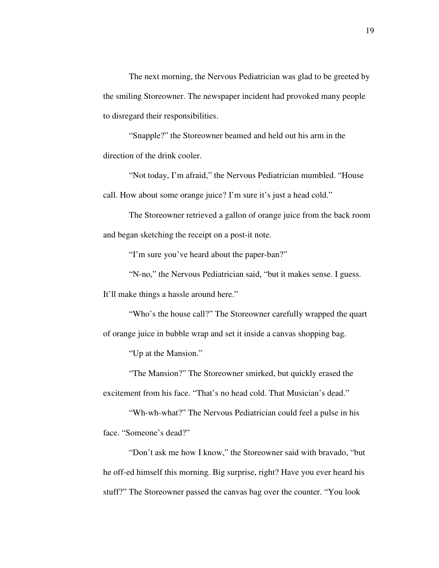The next morning, the Nervous Pediatrician was glad to be greeted by the smiling Storeowner. The newspaper incident had provoked many people to disregard their responsibilities.

 "Snapple?" the Storeowner beamed and held out his arm in the direction of the drink cooler.

 "Not today, I'm afraid," the Nervous Pediatrician mumbled. "House call. How about some orange juice? I'm sure it's just a head cold."

 The Storeowner retrieved a gallon of orange juice from the back room and began sketching the receipt on a post-it note.

"I'm sure you've heard about the paper-ban?"

 "N-no," the Nervous Pediatrician said, "but it makes sense. I guess. It'll make things a hassle around here."

 "Who's the house call?" The Storeowner carefully wrapped the quart of orange juice in bubble wrap and set it inside a canvas shopping bag.

"Up at the Mansion."

 "The Mansion?" The Storeowner smirked, but quickly erased the excitement from his face. "That's no head cold. That Musician's dead."

 "Wh-wh-what?" The Nervous Pediatrician could feel a pulse in his face. "Someone's dead?"

 "Don't ask me how I know," the Storeowner said with bravado, "but he off-ed himself this morning. Big surprise, right? Have you ever heard his stuff?" The Storeowner passed the canvas bag over the counter. "You look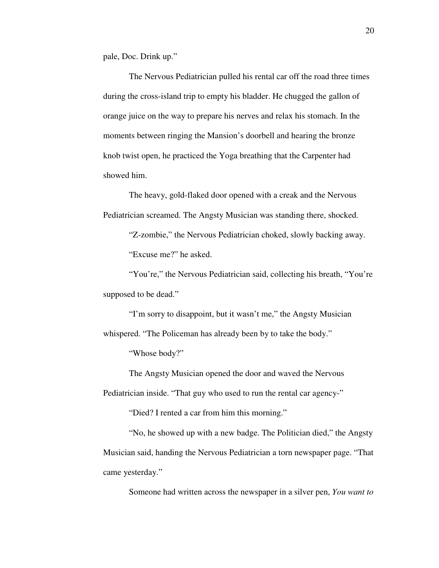pale, Doc. Drink up."

 The Nervous Pediatrician pulled his rental car off the road three times during the cross-island trip to empty his bladder. He chugged the gallon of orange juice on the way to prepare his nerves and relax his stomach. In the moments between ringing the Mansion's doorbell and hearing the bronze knob twist open, he practiced the Yoga breathing that the Carpenter had showed him.

 The heavy, gold-flaked door opened with a creak and the Nervous Pediatrician screamed. The Angsty Musician was standing there, shocked.

 "Z-zombie," the Nervous Pediatrician choked, slowly backing away. "Excuse me?" he asked.

 "You're," the Nervous Pediatrician said, collecting his breath, "You're supposed to be dead."

 "I'm sorry to disappoint, but it wasn't me," the Angsty Musician whispered. "The Policeman has already been by to take the body."

"Whose body?"

The Angsty Musician opened the door and waved the Nervous

Pediatrician inside. "That guy who used to run the rental car agency-"

"Died? I rented a car from him this morning."

 "No, he showed up with a new badge. The Politician died," the Angsty Musician said, handing the Nervous Pediatrician a torn newspaper page. "That came yesterday."

Someone had written across the newspaper in a silver pen, *You want to*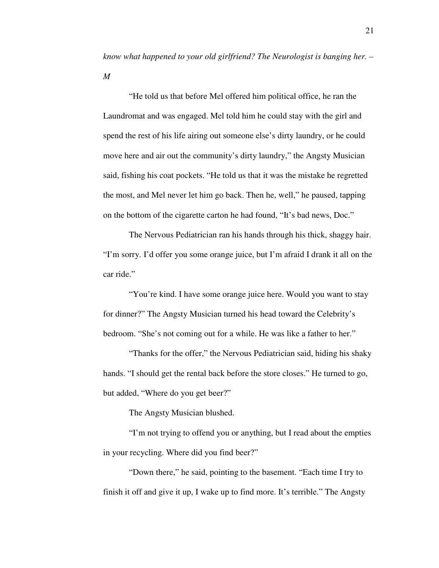*know what happened to your old girlfriend? The Neurologist is banging her. – M* 

"He told us that before Mel offered him political office, he ran the Laundromat and was engaged. Mel told him he could stay with the girl and spend the rest of his life airing out someone else's dirty laundry, or he could move here and air out the community's dirty laundry," the Angsty Musician said, fishing his coat pockets. "He told us that it was the mistake he regretted the most, and Mel never let him go back. Then he, well," he paused, tapping on the bottom of the cigarette carton he had found, "It's bad news, Doc."

 The Nervous Pediatrician ran his hands through his thick, shaggy hair. "I'm sorry. I'd offer you some orange juice, but I'm afraid I drank it all on the car ride."

"You're kind. I have some orange juice here. Would you want to stay for dinner?" The Angsty Musician turned his head toward the Celebrity's bedroom. "She's not coming out for a while. He was like a father to her."

 "Thanks for the offer," the Nervous Pediatrician said, hiding his shaky hands. "I should get the rental back before the store closes." He turned to go, but added, "Where do you get beer?"

The Angsty Musician blushed.

 "I'm not trying to offend you or anything, but I read about the empties in your recycling. Where did you find beer?"

 "Down there," he said, pointing to the basement. "Each time I try to finish it off and give it up, I wake up to find more. It's terrible." The Angsty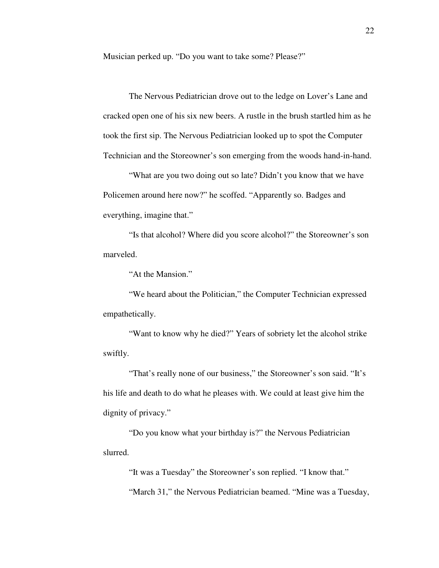Musician perked up. "Do you want to take some? Please?"

 The Nervous Pediatrician drove out to the ledge on Lover's Lane and cracked open one of his six new beers. A rustle in the brush startled him as he took the first sip. The Nervous Pediatrician looked up to spot the Computer Technician and the Storeowner's son emerging from the woods hand-in-hand.

 "What are you two doing out so late? Didn't you know that we have Policemen around here now?" he scoffed. "Apparently so. Badges and everything, imagine that."

 "Is that alcohol? Where did you score alcohol?" the Storeowner's son marveled.

"At the Mansion."

 "We heard about the Politician," the Computer Technician expressed empathetically.

 "Want to know why he died?" Years of sobriety let the alcohol strike swiftly.

 "That's really none of our business," the Storeowner's son said. "It's his life and death to do what he pleases with. We could at least give him the dignity of privacy."

 "Do you know what your birthday is?" the Nervous Pediatrician slurred.

 "It was a Tuesday" the Storeowner's son replied. "I know that." "March 31," the Nervous Pediatrician beamed. "Mine was a Tuesday,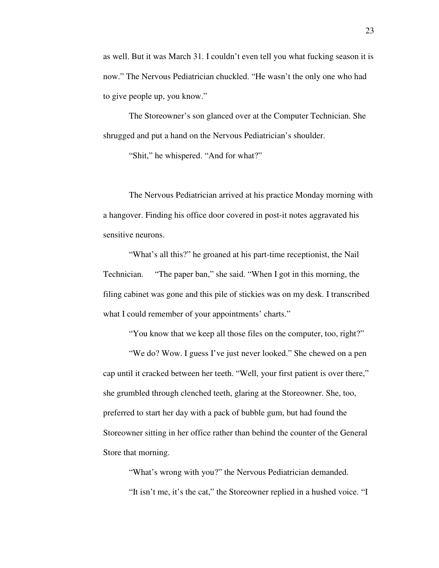as well. But it was March 31. I couldn't even tell you what fucking season it is now." The Nervous Pediatrician chuckled. "He wasn't the only one who had to give people up, you know."

 The Storeowner's son glanced over at the Computer Technician. She shrugged and put a hand on the Nervous Pediatrician's shoulder.

"Shit," he whispered. "And for what?"

 The Nervous Pediatrician arrived at his practice Monday morning with a hangover. Finding his office door covered in post-it notes aggravated his sensitive neurons.

 "What's all this?" he groaned at his part-time receptionist, the Nail Technician. "The paper ban," she said. "When I got in this morning, the filing cabinet was gone and this pile of stickies was on my desk. I transcribed what I could remember of your appointments' charts."

"You know that we keep all those files on the computer, too, right?"

 "We do? Wow. I guess I've just never looked." She chewed on a pen cap until it cracked between her teeth. "Well, your first patient is over there," she grumbled through clenched teeth, glaring at the Storeowner. She, too, preferred to start her day with a pack of bubble gum, but had found the Storeowner sitting in her office rather than behind the counter of the General Store that morning.

 "What's wrong with you?" the Nervous Pediatrician demanded. "It isn't me, it's the cat," the Storeowner replied in a hushed voice. "I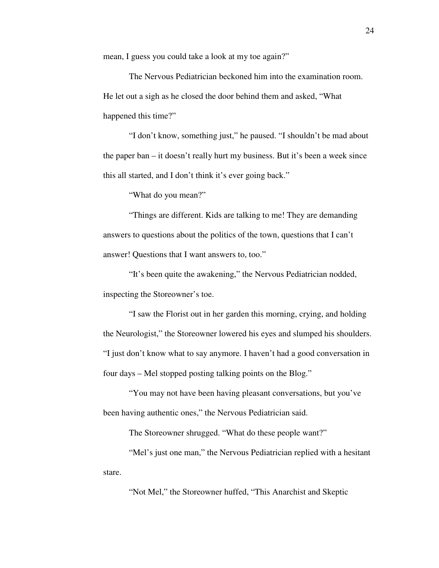mean, I guess you could take a look at my toe again?"

 The Nervous Pediatrician beckoned him into the examination room. He let out a sigh as he closed the door behind them and asked, "What happened this time?"

 "I don't know, something just," he paused. "I shouldn't be mad about the paper ban – it doesn't really hurt my business. But it's been a week since this all started, and I don't think it's ever going back."

"What do you mean?"

 "Things are different. Kids are talking to me! They are demanding answers to questions about the politics of the town, questions that I can't answer! Questions that I want answers to, too."

 "It's been quite the awakening," the Nervous Pediatrician nodded, inspecting the Storeowner's toe.

 "I saw the Florist out in her garden this morning, crying, and holding the Neurologist," the Storeowner lowered his eyes and slumped his shoulders. "I just don't know what to say anymore. I haven't had a good conversation in four days – Mel stopped posting talking points on the Blog."

 "You may not have been having pleasant conversations, but you've been having authentic ones," the Nervous Pediatrician said.

The Storeowner shrugged. "What do these people want?"

 "Mel's just one man," the Nervous Pediatrician replied with a hesitant stare.

"Not Mel," the Storeowner huffed, "This Anarchist and Skeptic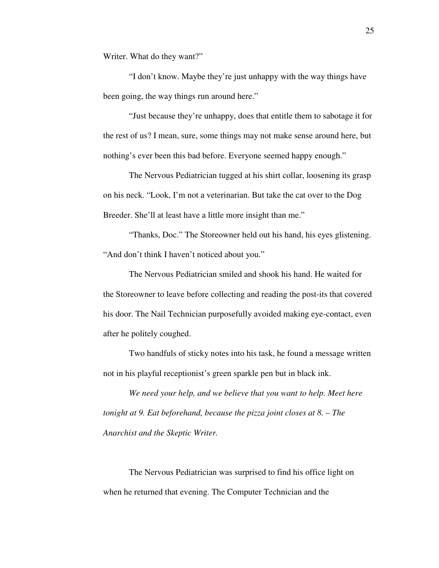Writer. What do they want?"

 "I don't know. Maybe they're just unhappy with the way things have been going, the way things run around here."

 "Just because they're unhappy, does that entitle them to sabotage it for the rest of us? I mean, sure, some things may not make sense around here, but nothing's ever been this bad before. Everyone seemed happy enough."

 The Nervous Pediatrician tugged at his shirt collar, loosening its grasp on his neck. "Look, I'm not a veterinarian. But take the cat over to the Dog Breeder. She'll at least have a little more insight than me."

 "Thanks, Doc." The Storeowner held out his hand, his eyes glistening. "And don't think I haven't noticed about you."

 The Nervous Pediatrician smiled and shook his hand. He waited for the Storeowner to leave before collecting and reading the post-its that covered his door. The Nail Technician purposefully avoided making eye-contact, even after he politely coughed.

 Two handfuls of sticky notes into his task, he found a message written not in his playful receptionist's green sparkle pen but in black ink.

*We need your help, and we believe that you want to help. Meet here tonight at 9. Eat beforehand, because the pizza joint closes at 8. – The Anarchist and the Skeptic Writer.*

 The Nervous Pediatrician was surprised to find his office light on when he returned that evening. The Computer Technician and the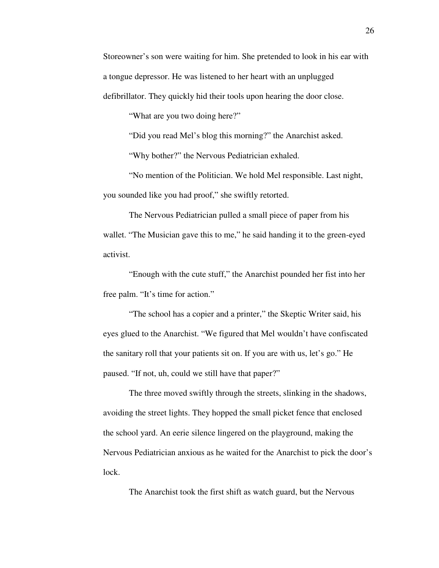Storeowner's son were waiting for him. She pretended to look in his ear with a tongue depressor. He was listened to her heart with an unplugged defibrillator. They quickly hid their tools upon hearing the door close.

"What are you two doing here?"

"Did you read Mel's blog this morning?" the Anarchist asked.

"Why bother?" the Nervous Pediatrician exhaled.

 "No mention of the Politician. We hold Mel responsible. Last night, you sounded like you had proof," she swiftly retorted.

 The Nervous Pediatrician pulled a small piece of paper from his wallet. "The Musician gave this to me," he said handing it to the green-eyed activist.

 "Enough with the cute stuff," the Anarchist pounded her fist into her free palm. "It's time for action."

"The school has a copier and a printer," the Skeptic Writer said, his eyes glued to the Anarchist. "We figured that Mel wouldn't have confiscated the sanitary roll that your patients sit on. If you are with us, let's go." He paused. "If not, uh, could we still have that paper?"

 The three moved swiftly through the streets, slinking in the shadows, avoiding the street lights. They hopped the small picket fence that enclosed the school yard. An eerie silence lingered on the playground, making the Nervous Pediatrician anxious as he waited for the Anarchist to pick the door's lock.

The Anarchist took the first shift as watch guard, but the Nervous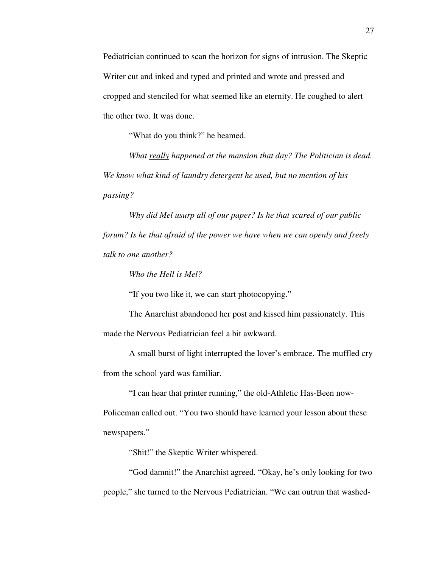Pediatrician continued to scan the horizon for signs of intrusion. The Skeptic Writer cut and inked and typed and printed and wrote and pressed and cropped and stenciled for what seemed like an eternity. He coughed to alert the other two. It was done.

"What do you think?" he beamed.

*What really happened at the mansion that day? The Politician is dead. We know what kind of laundry detergent he used, but no mention of his passing?* 

*Why did Mel usurp all of our paper? Is he that scared of our public forum? Is he that afraid of the power we have when we can openly and freely talk to one another?* 

 *Who the Hell is Mel?* 

"If you two like it, we can start photocopying."

 The Anarchist abandoned her post and kissed him passionately. This made the Nervous Pediatrician feel a bit awkward.

 A small burst of light interrupted the lover's embrace. The muffled cry from the school yard was familiar.

 "I can hear that printer running," the old-Athletic Has-Been now-Policeman called out. "You two should have learned your lesson about these newspapers."

"Shit!" the Skeptic Writer whispered.

 "God damnit!" the Anarchist agreed. "Okay, he's only looking for two people," she turned to the Nervous Pediatrician. "We can outrun that washed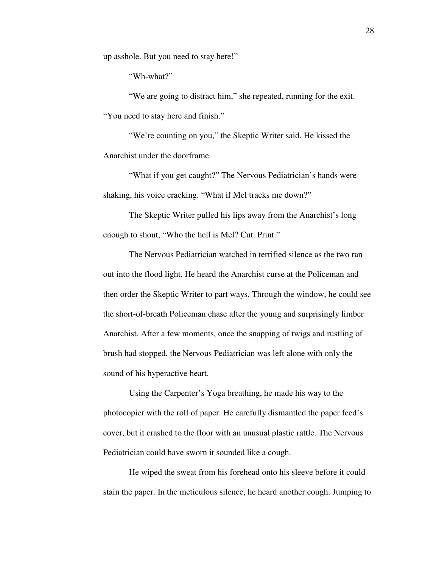up asshole. But you need to stay here!"

"Wh-what?"

 "We are going to distract him," she repeated, running for the exit. "You need to stay here and finish."

 "We're counting on you," the Skeptic Writer said. He kissed the Anarchist under the doorframe.

 "What if you get caught?" The Nervous Pediatrician's hands were shaking, his voice cracking. "What if Mel tracks me down?"

 The Skeptic Writer pulled his lips away from the Anarchist's long enough to shout, "Who the hell is Mel? Cut. Print."

 The Nervous Pediatrician watched in terrified silence as the two ran out into the flood light. He heard the Anarchist curse at the Policeman and then order the Skeptic Writer to part ways. Through the window, he could see the short-of-breath Policeman chase after the young and surprisingly limber Anarchist. After a few moments, once the snapping of twigs and rustling of brush had stopped, the Nervous Pediatrician was left alone with only the sound of his hyperactive heart.

 Using the Carpenter's Yoga breathing, he made his way to the photocopier with the roll of paper. He carefully dismantled the paper feed's cover, but it crashed to the floor with an unusual plastic rattle. The Nervous Pediatrician could have sworn it sounded like a cough.

 He wiped the sweat from his forehead onto his sleeve before it could stain the paper. In the meticulous silence, he heard another cough. Jumping to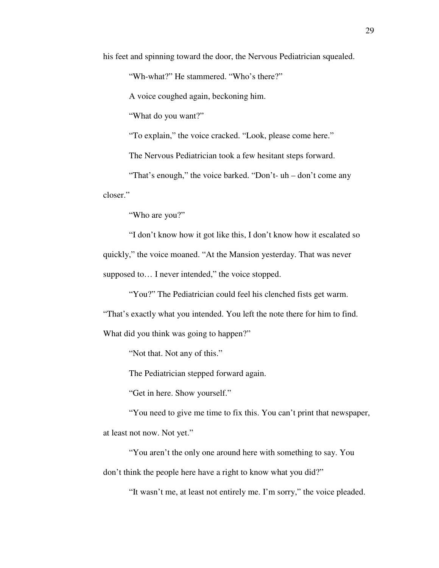his feet and spinning toward the door, the Nervous Pediatrician squealed.

"Wh-what?" He stammered. "Who's there?"

A voice coughed again, beckoning him.

"What do you want?"

"To explain," the voice cracked. "Look, please come here."

The Nervous Pediatrician took a few hesitant steps forward.

 "That's enough," the voice barked. "Don't- uh – don't come any closer."

"Who are you?"

 "I don't know how it got like this, I don't know how it escalated so quickly," the voice moaned. "At the Mansion yesterday. That was never supposed to... I never intended," the voice stopped.

 "You?" The Pediatrician could feel his clenched fists get warm. "That's exactly what you intended. You left the note there for him to find. What did you think was going to happen?"

"Not that. Not any of this."

The Pediatrician stepped forward again.

"Get in here. Show yourself."

 "You need to give me time to fix this. You can't print that newspaper, at least not now. Not yet."

 "You aren't the only one around here with something to say. You don't think the people here have a right to know what you did?"

"It wasn't me, at least not entirely me. I'm sorry," the voice pleaded.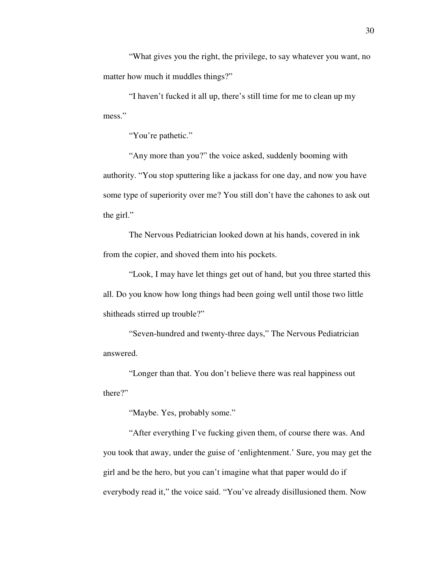"What gives you the right, the privilege, to say whatever you want, no matter how much it muddles things?"

 "I haven't fucked it all up, there's still time for me to clean up my mess."

"You're pathetic."

 "Any more than you?" the voice asked, suddenly booming with authority. "You stop sputtering like a jackass for one day, and now you have some type of superiority over me? You still don't have the cahones to ask out the girl."

 The Nervous Pediatrician looked down at his hands, covered in ink from the copier, and shoved them into his pockets.

 "Look, I may have let things get out of hand, but you three started this all. Do you know how long things had been going well until those two little shitheads stirred up trouble?"

 "Seven-hundred and twenty-three days," The Nervous Pediatrician answered.

 "Longer than that. You don't believe there was real happiness out there?"

"Maybe. Yes, probably some."

 "After everything I've fucking given them, of course there was. And you took that away, under the guise of 'enlightenment.' Sure, you may get the girl and be the hero, but you can't imagine what that paper would do if everybody read it," the voice said. "You've already disillusioned them. Now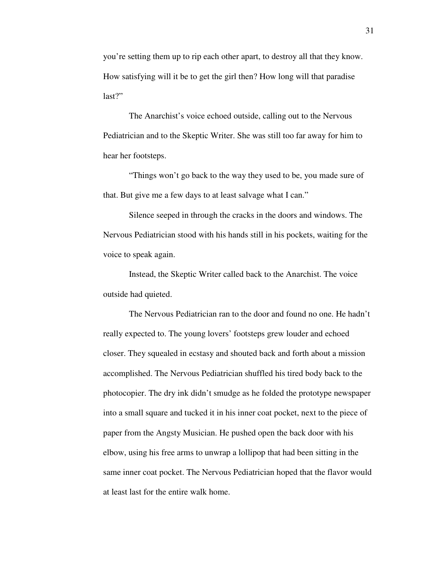you're setting them up to rip each other apart, to destroy all that they know. How satisfying will it be to get the girl then? How long will that paradise last?"

 The Anarchist's voice echoed outside, calling out to the Nervous Pediatrician and to the Skeptic Writer. She was still too far away for him to hear her footsteps.

 "Things won't go back to the way they used to be, you made sure of that. But give me a few days to at least salvage what I can."

 Silence seeped in through the cracks in the doors and windows. The Nervous Pediatrician stood with his hands still in his pockets, waiting for the voice to speak again.

 Instead, the Skeptic Writer called back to the Anarchist. The voice outside had quieted.

 The Nervous Pediatrician ran to the door and found no one. He hadn't really expected to. The young lovers' footsteps grew louder and echoed closer. They squealed in ecstasy and shouted back and forth about a mission accomplished. The Nervous Pediatrician shuffled his tired body back to the photocopier. The dry ink didn't smudge as he folded the prototype newspaper into a small square and tucked it in his inner coat pocket, next to the piece of paper from the Angsty Musician. He pushed open the back door with his elbow, using his free arms to unwrap a lollipop that had been sitting in the same inner coat pocket. The Nervous Pediatrician hoped that the flavor would at least last for the entire walk home.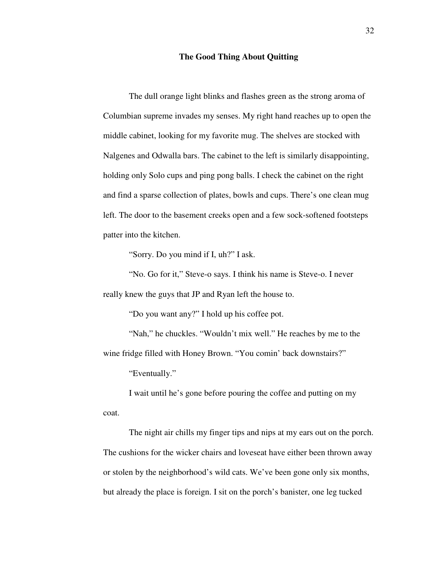### **The Good Thing About Quitting**

 The dull orange light blinks and flashes green as the strong aroma of Columbian supreme invades my senses. My right hand reaches up to open the middle cabinet, looking for my favorite mug. The shelves are stocked with Nalgenes and Odwalla bars. The cabinet to the left is similarly disappointing, holding only Solo cups and ping pong balls. I check the cabinet on the right and find a sparse collection of plates, bowls and cups. There's one clean mug left. The door to the basement creeks open and a few sock-softened footsteps patter into the kitchen.

"Sorry. Do you mind if I, uh?" I ask.

 "No. Go for it," Steve-o says. I think his name is Steve-o. I never really knew the guys that JP and Ryan left the house to.

"Do you want any?" I hold up his coffee pot.

 "Nah," he chuckles. "Wouldn't mix well." He reaches by me to the wine fridge filled with Honey Brown. "You comin' back downstairs?"

"Eventually."

 I wait until he's gone before pouring the coffee and putting on my coat.

 The night air chills my finger tips and nips at my ears out on the porch. The cushions for the wicker chairs and loveseat have either been thrown away or stolen by the neighborhood's wild cats. We've been gone only six months, but already the place is foreign. I sit on the porch's banister, one leg tucked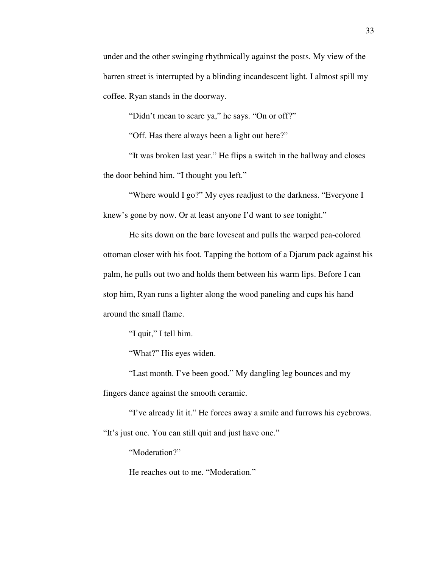under and the other swinging rhythmically against the posts. My view of the barren street is interrupted by a blinding incandescent light. I almost spill my coffee. Ryan stands in the doorway.

"Didn't mean to scare ya," he says. "On or off?"

"Off. Has there always been a light out here?"

 "It was broken last year." He flips a switch in the hallway and closes the door behind him. "I thought you left."

 "Where would I go?" My eyes readjust to the darkness. "Everyone I knew's gone by now. Or at least anyone I'd want to see tonight."

 He sits down on the bare loveseat and pulls the warped pea-colored ottoman closer with his foot. Tapping the bottom of a Djarum pack against his palm, he pulls out two and holds them between his warm lips. Before I can stop him, Ryan runs a lighter along the wood paneling and cups his hand around the small flame.

"I quit," I tell him.

"What?" His eyes widen.

 "Last month. I've been good." My dangling leg bounces and my fingers dance against the smooth ceramic.

 "I've already lit it." He forces away a smile and furrows his eyebrows. "It's just one. You can still quit and just have one."

"Moderation?"

He reaches out to me. "Moderation."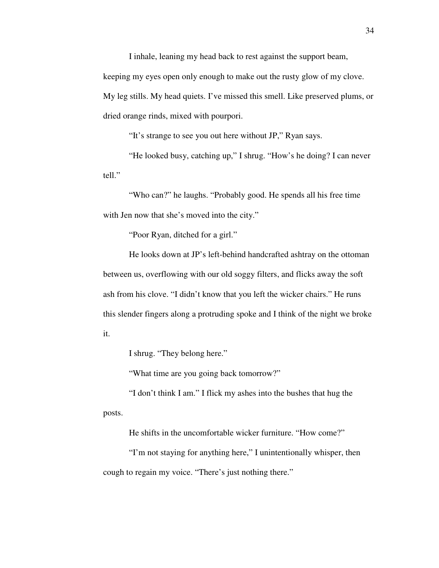I inhale, leaning my head back to rest against the support beam, keeping my eyes open only enough to make out the rusty glow of my clove. My leg stills. My head quiets. I've missed this smell. Like preserved plums, or dried orange rinds, mixed with pourpori.

"It's strange to see you out here without JP," Ryan says.

 "He looked busy, catching up," I shrug. "How's he doing? I can never tell."

 "Who can?" he laughs. "Probably good. He spends all his free time with Jen now that she's moved into the city."

"Poor Ryan, ditched for a girl."

 He looks down at JP's left-behind handcrafted ashtray on the ottoman between us, overflowing with our old soggy filters, and flicks away the soft ash from his clove. "I didn't know that you left the wicker chairs." He runs this slender fingers along a protruding spoke and I think of the night we broke it.

I shrug. "They belong here."

"What time are you going back tomorrow?"

 "I don't think I am." I flick my ashes into the bushes that hug the posts.

He shifts in the uncomfortable wicker furniture. "How come?"

 "I'm not staying for anything here," I unintentionally whisper, then cough to regain my voice. "There's just nothing there."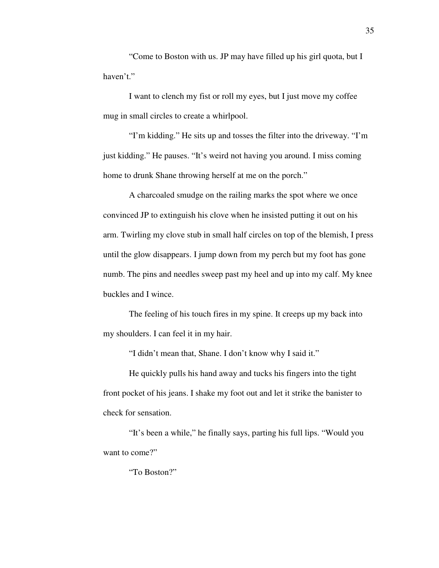"Come to Boston with us. JP may have filled up his girl quota, but I haven't."

 I want to clench my fist or roll my eyes, but I just move my coffee mug in small circles to create a whirlpool.

 "I'm kidding." He sits up and tosses the filter into the driveway. "I'm just kidding." He pauses. "It's weird not having you around. I miss coming home to drunk Shane throwing herself at me on the porch."

 A charcoaled smudge on the railing marks the spot where we once convinced JP to extinguish his clove when he insisted putting it out on his arm. Twirling my clove stub in small half circles on top of the blemish, I press until the glow disappears. I jump down from my perch but my foot has gone numb. The pins and needles sweep past my heel and up into my calf. My knee buckles and I wince.

 The feeling of his touch fires in my spine. It creeps up my back into my shoulders. I can feel it in my hair.

"I didn't mean that, Shane. I don't know why I said it."

 He quickly pulls his hand away and tucks his fingers into the tight front pocket of his jeans. I shake my foot out and let it strike the banister to check for sensation.

 "It's been a while," he finally says, parting his full lips. "Would you want to come?"

"To Boston?"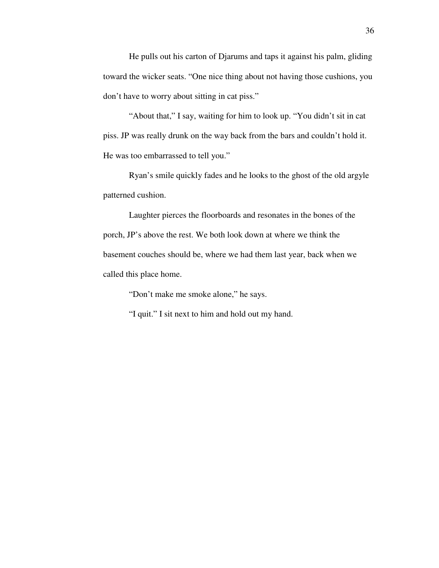He pulls out his carton of Djarums and taps it against his palm, gliding toward the wicker seats. "One nice thing about not having those cushions, you don't have to worry about sitting in cat piss."

 "About that," I say, waiting for him to look up. "You didn't sit in cat piss. JP was really drunk on the way back from the bars and couldn't hold it. He was too embarrassed to tell you."

 Ryan's smile quickly fades and he looks to the ghost of the old argyle patterned cushion.

 Laughter pierces the floorboards and resonates in the bones of the porch, JP's above the rest. We both look down at where we think the basement couches should be, where we had them last year, back when we called this place home.

"Don't make me smoke alone," he says.

"I quit." I sit next to him and hold out my hand.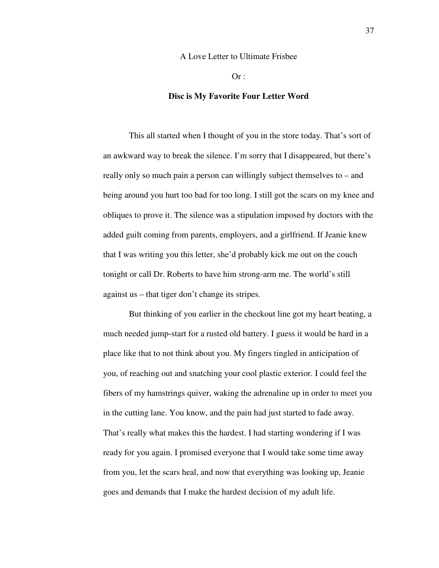# A Love Letter to Ultimate Frisbee

 $Or:$ 

# **Disc is My Favorite Four Letter Word**

 This all started when I thought of you in the store today. That's sort of an awkward way to break the silence. I'm sorry that I disappeared, but there's really only so much pain a person can willingly subject themselves to – and being around you hurt too bad for too long. I still got the scars on my knee and obliques to prove it. The silence was a stipulation imposed by doctors with the added guilt coming from parents, employers, and a girlfriend. If Jeanie knew that I was writing you this letter, she'd probably kick me out on the couch tonight or call Dr. Roberts to have him strong-arm me. The world's still against us – that tiger don't change its stripes.

 But thinking of you earlier in the checkout line got my heart beating, a much needed jump-start for a rusted old battery. I guess it would be hard in a place like that to not think about you. My fingers tingled in anticipation of you, of reaching out and snatching your cool plastic exterior. I could feel the fibers of my hamstrings quiver, waking the adrenaline up in order to meet you in the cutting lane. You know, and the pain had just started to fade away. That's really what makes this the hardest. I had starting wondering if I was ready for you again. I promised everyone that I would take some time away from you, let the scars heal, and now that everything was looking up, Jeanie goes and demands that I make the hardest decision of my adult life.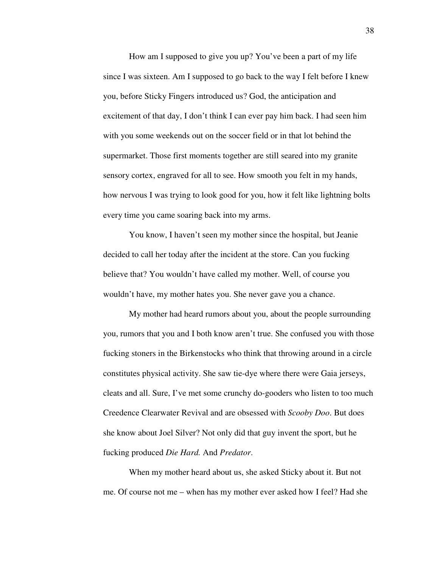How am I supposed to give you up? You've been a part of my life since I was sixteen. Am I supposed to go back to the way I felt before I knew you, before Sticky Fingers introduced us? God, the anticipation and excitement of that day, I don't think I can ever pay him back. I had seen him with you some weekends out on the soccer field or in that lot behind the supermarket. Those first moments together are still seared into my granite sensory cortex, engraved for all to see. How smooth you felt in my hands, how nervous I was trying to look good for you, how it felt like lightning bolts every time you came soaring back into my arms.

 You know, I haven't seen my mother since the hospital, but Jeanie decided to call her today after the incident at the store. Can you fucking believe that? You wouldn't have called my mother. Well, of course you wouldn't have, my mother hates you. She never gave you a chance.

 My mother had heard rumors about you, about the people surrounding you, rumors that you and I both know aren't true. She confused you with those fucking stoners in the Birkenstocks who think that throwing around in a circle constitutes physical activity. She saw tie-dye where there were Gaia jerseys, cleats and all. Sure, I've met some crunchy do-gooders who listen to too much Creedence Clearwater Revival and are obsessed with *Scooby Doo*. But does she know about Joel Silver? Not only did that guy invent the sport, but he fucking produced *Die Hard.* And *Predator*.

 When my mother heard about us, she asked Sticky about it. But not me. Of course not me – when has my mother ever asked how I feel? Had she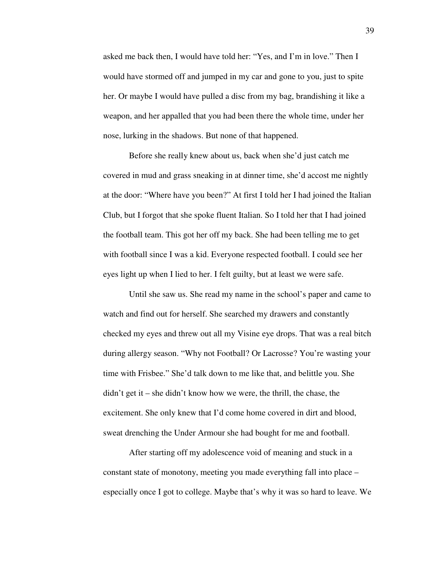asked me back then, I would have told her: "Yes, and I'm in love." Then I would have stormed off and jumped in my car and gone to you, just to spite her. Or maybe I would have pulled a disc from my bag, brandishing it like a weapon, and her appalled that you had been there the whole time, under her nose, lurking in the shadows. But none of that happened.

 Before she really knew about us, back when she'd just catch me covered in mud and grass sneaking in at dinner time, she'd accost me nightly at the door: "Where have you been?" At first I told her I had joined the Italian Club, but I forgot that she spoke fluent Italian. So I told her that I had joined the football team. This got her off my back. She had been telling me to get with football since I was a kid. Everyone respected football. I could see her eyes light up when I lied to her. I felt guilty, but at least we were safe.

 Until she saw us. She read my name in the school's paper and came to watch and find out for herself. She searched my drawers and constantly checked my eyes and threw out all my Visine eye drops. That was a real bitch during allergy season. "Why not Football? Or Lacrosse? You're wasting your time with Frisbee." She'd talk down to me like that, and belittle you. She didn't get it – she didn't know how we were, the thrill, the chase, the excitement. She only knew that I'd come home covered in dirt and blood, sweat drenching the Under Armour she had bought for me and football.

 After starting off my adolescence void of meaning and stuck in a constant state of monotony, meeting you made everything fall into place – especially once I got to college. Maybe that's why it was so hard to leave. We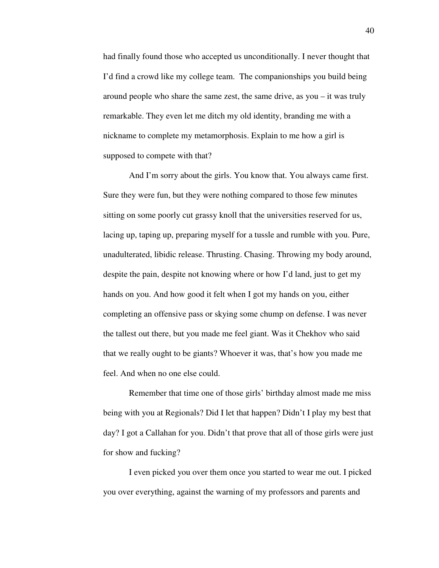had finally found those who accepted us unconditionally. I never thought that I'd find a crowd like my college team. The companionships you build being around people who share the same zest, the same drive, as you – it was truly remarkable. They even let me ditch my old identity, branding me with a nickname to complete my metamorphosis. Explain to me how a girl is supposed to compete with that?

 And I'm sorry about the girls. You know that. You always came first. Sure they were fun, but they were nothing compared to those few minutes sitting on some poorly cut grassy knoll that the universities reserved for us, lacing up, taping up, preparing myself for a tussle and rumble with you. Pure, unadulterated, libidic release. Thrusting. Chasing. Throwing my body around, despite the pain, despite not knowing where or how I'd land, just to get my hands on you. And how good it felt when I got my hands on you, either completing an offensive pass or skying some chump on defense. I was never the tallest out there, but you made me feel giant. Was it Chekhov who said that we really ought to be giants? Whoever it was, that's how you made me feel. And when no one else could.

 Remember that time one of those girls' birthday almost made me miss being with you at Regionals? Did I let that happen? Didn't I play my best that day? I got a Callahan for you. Didn't that prove that all of those girls were just for show and fucking?

 I even picked you over them once you started to wear me out. I picked you over everything, against the warning of my professors and parents and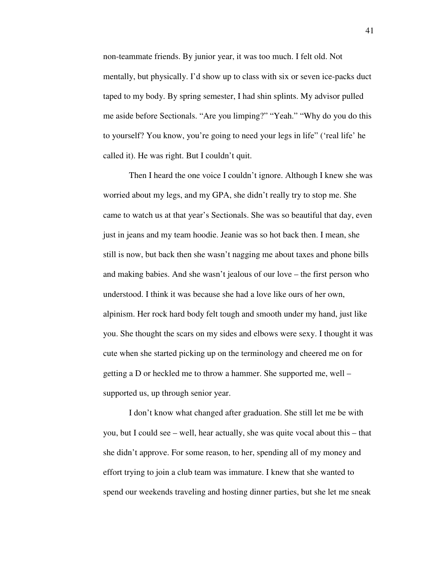non-teammate friends. By junior year, it was too much. I felt old. Not mentally, but physically. I'd show up to class with six or seven ice-packs duct taped to my body. By spring semester, I had shin splints. My advisor pulled me aside before Sectionals. "Are you limping?" "Yeah." "Why do you do this to yourself? You know, you're going to need your legs in life" ('real life' he called it). He was right. But I couldn't quit.

 Then I heard the one voice I couldn't ignore. Although I knew she was worried about my legs, and my GPA, she didn't really try to stop me. She came to watch us at that year's Sectionals. She was so beautiful that day, even just in jeans and my team hoodie. Jeanie was so hot back then. I mean, she still is now, but back then she wasn't nagging me about taxes and phone bills and making babies. And she wasn't jealous of our love – the first person who understood. I think it was because she had a love like ours of her own, alpinism. Her rock hard body felt tough and smooth under my hand, just like you. She thought the scars on my sides and elbows were sexy. I thought it was cute when she started picking up on the terminology and cheered me on for getting a D or heckled me to throw a hammer. She supported me, well – supported us, up through senior year.

 I don't know what changed after graduation. She still let me be with you, but I could see – well, hear actually, she was quite vocal about this – that she didn't approve. For some reason, to her, spending all of my money and effort trying to join a club team was immature. I knew that she wanted to spend our weekends traveling and hosting dinner parties, but she let me sneak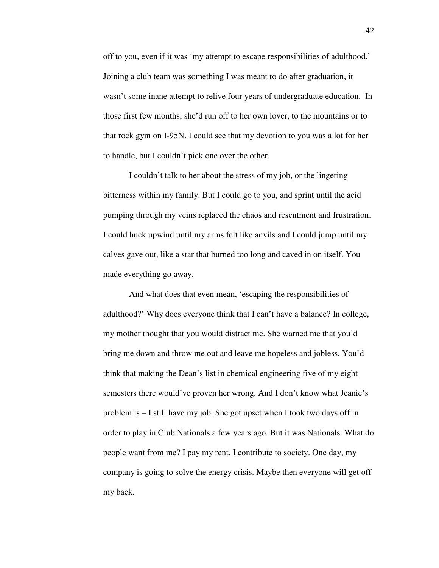off to you, even if it was 'my attempt to escape responsibilities of adulthood.' Joining a club team was something I was meant to do after graduation, it wasn't some inane attempt to relive four years of undergraduate education. In those first few months, she'd run off to her own lover, to the mountains or to that rock gym on I-95N. I could see that my devotion to you was a lot for her to handle, but I couldn't pick one over the other.

 I couldn't talk to her about the stress of my job, or the lingering bitterness within my family. But I could go to you, and sprint until the acid pumping through my veins replaced the chaos and resentment and frustration. I could huck upwind until my arms felt like anvils and I could jump until my calves gave out, like a star that burned too long and caved in on itself. You made everything go away.

 And what does that even mean, 'escaping the responsibilities of adulthood?' Why does everyone think that I can't have a balance? In college, my mother thought that you would distract me. She warned me that you'd bring me down and throw me out and leave me hopeless and jobless. You'd think that making the Dean's list in chemical engineering five of my eight semesters there would've proven her wrong. And I don't know what Jeanie's problem is – I still have my job. She got upset when I took two days off in order to play in Club Nationals a few years ago. But it was Nationals. What do people want from me? I pay my rent. I contribute to society. One day, my company is going to solve the energy crisis. Maybe then everyone will get off my back.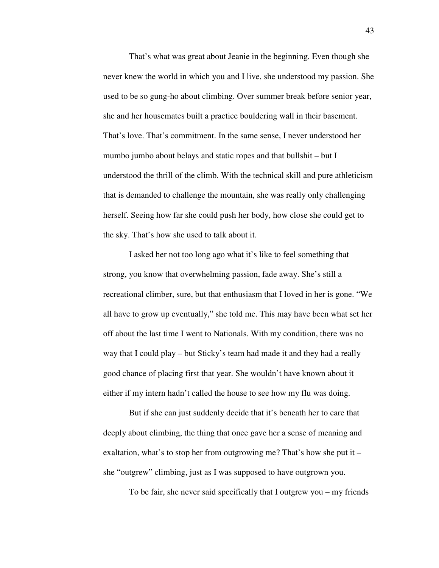That's what was great about Jeanie in the beginning. Even though she never knew the world in which you and I live, she understood my passion. She used to be so gung-ho about climbing. Over summer break before senior year, she and her housemates built a practice bouldering wall in their basement. That's love. That's commitment. In the same sense, I never understood her mumbo jumbo about belays and static ropes and that bullshit – but I understood the thrill of the climb. With the technical skill and pure athleticism that is demanded to challenge the mountain, she was really only challenging herself. Seeing how far she could push her body, how close she could get to the sky. That's how she used to talk about it.

 I asked her not too long ago what it's like to feel something that strong, you know that overwhelming passion, fade away. She's still a recreational climber, sure, but that enthusiasm that I loved in her is gone. "We all have to grow up eventually," she told me. This may have been what set her off about the last time I went to Nationals. With my condition, there was no way that I could play – but Sticky's team had made it and they had a really good chance of placing first that year. She wouldn't have known about it either if my intern hadn't called the house to see how my flu was doing.

 But if she can just suddenly decide that it's beneath her to care that deeply about climbing, the thing that once gave her a sense of meaning and exaltation, what's to stop her from outgrowing me? That's how she put it – she "outgrew" climbing, just as I was supposed to have outgrown you.

To be fair, she never said specifically that I outgrew you – my friends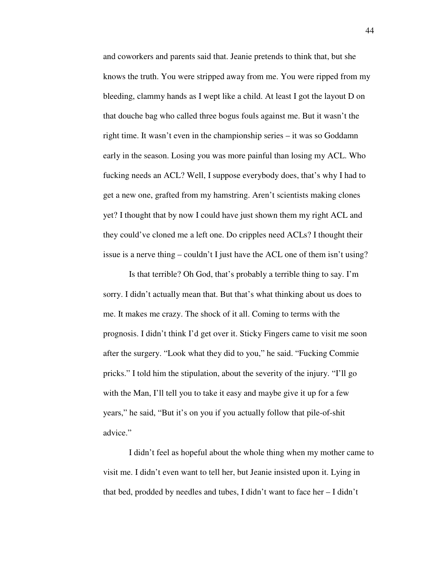and coworkers and parents said that. Jeanie pretends to think that, but she knows the truth. You were stripped away from me. You were ripped from my bleeding, clammy hands as I wept like a child. At least I got the layout D on that douche bag who called three bogus fouls against me. But it wasn't the right time. It wasn't even in the championship series – it was so Goddamn early in the season. Losing you was more painful than losing my ACL. Who fucking needs an ACL? Well, I suppose everybody does, that's why I had to get a new one, grafted from my hamstring. Aren't scientists making clones yet? I thought that by now I could have just shown them my right ACL and they could've cloned me a left one. Do cripples need ACLs? I thought their issue is a nerve thing – couldn't I just have the ACL one of them isn't using?

 Is that terrible? Oh God, that's probably a terrible thing to say. I'm sorry. I didn't actually mean that. But that's what thinking about us does to me. It makes me crazy. The shock of it all. Coming to terms with the prognosis. I didn't think I'd get over it. Sticky Fingers came to visit me soon after the surgery. "Look what they did to you," he said. "Fucking Commie pricks." I told him the stipulation, about the severity of the injury. "I'll go with the Man, I'll tell you to take it easy and maybe give it up for a few years," he said, "But it's on you if you actually follow that pile-of-shit advice."

 I didn't feel as hopeful about the whole thing when my mother came to visit me. I didn't even want to tell her, but Jeanie insisted upon it. Lying in that bed, prodded by needles and tubes, I didn't want to face her – I didn't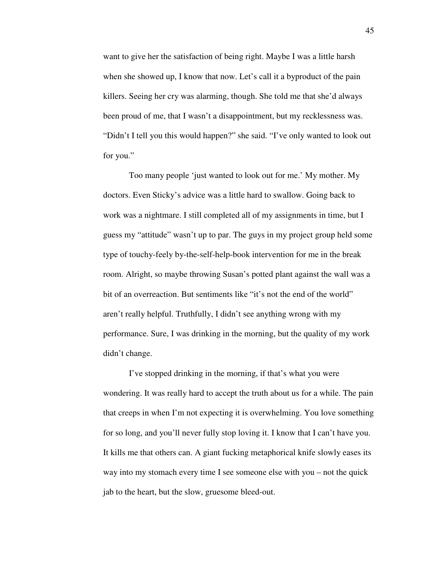want to give her the satisfaction of being right. Maybe I was a little harsh when she showed up, I know that now. Let's call it a byproduct of the pain killers. Seeing her cry was alarming, though. She told me that she'd always been proud of me, that I wasn't a disappointment, but my recklessness was. "Didn't I tell you this would happen?" she said. "I've only wanted to look out for you."

 Too many people 'just wanted to look out for me.' My mother. My doctors. Even Sticky's advice was a little hard to swallow. Going back to work was a nightmare. I still completed all of my assignments in time, but I guess my "attitude" wasn't up to par. The guys in my project group held some type of touchy-feely by-the-self-help-book intervention for me in the break room. Alright, so maybe throwing Susan's potted plant against the wall was a bit of an overreaction. But sentiments like "it's not the end of the world" aren't really helpful. Truthfully, I didn't see anything wrong with my performance. Sure, I was drinking in the morning, but the quality of my work didn't change.

 I've stopped drinking in the morning, if that's what you were wondering. It was really hard to accept the truth about us for a while. The pain that creeps in when I'm not expecting it is overwhelming. You love something for so long, and you'll never fully stop loving it. I know that I can't have you. It kills me that others can. A giant fucking metaphorical knife slowly eases its way into my stomach every time I see someone else with you – not the quick jab to the heart, but the slow, gruesome bleed-out.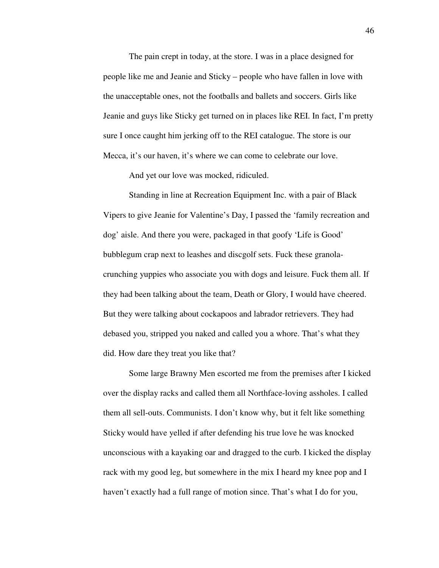The pain crept in today, at the store. I was in a place designed for people like me and Jeanie and Sticky – people who have fallen in love with the unacceptable ones, not the footballs and ballets and soccers. Girls like Jeanie and guys like Sticky get turned on in places like REI. In fact, I'm pretty sure I once caught him jerking off to the REI catalogue. The store is our Mecca, it's our haven, it's where we can come to celebrate our love.

And yet our love was mocked, ridiculed.

 Standing in line at Recreation Equipment Inc. with a pair of Black Vipers to give Jeanie for Valentine's Day, I passed the 'family recreation and dog' aisle. And there you were, packaged in that goofy 'Life is Good' bubblegum crap next to leashes and discgolf sets. Fuck these granolacrunching yuppies who associate you with dogs and leisure. Fuck them all. If they had been talking about the team, Death or Glory, I would have cheered. But they were talking about cockapoos and labrador retrievers. They had debased you, stripped you naked and called you a whore. That's what they did. How dare they treat you like that?

 Some large Brawny Men escorted me from the premises after I kicked over the display racks and called them all Northface-loving assholes. I called them all sell-outs. Communists. I don't know why, but it felt like something Sticky would have yelled if after defending his true love he was knocked unconscious with a kayaking oar and dragged to the curb. I kicked the display rack with my good leg, but somewhere in the mix I heard my knee pop and I haven't exactly had a full range of motion since. That's what I do for you,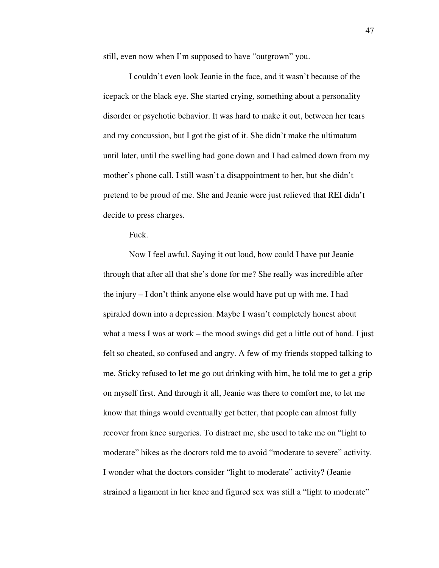still, even now when I'm supposed to have "outgrown" you.

 I couldn't even look Jeanie in the face, and it wasn't because of the icepack or the black eye. She started crying, something about a personality disorder or psychotic behavior. It was hard to make it out, between her tears and my concussion, but I got the gist of it. She didn't make the ultimatum until later, until the swelling had gone down and I had calmed down from my mother's phone call. I still wasn't a disappointment to her, but she didn't pretend to be proud of me. She and Jeanie were just relieved that REI didn't decide to press charges.

Fuck.

 Now I feel awful. Saying it out loud, how could I have put Jeanie through that after all that she's done for me? She really was incredible after the injury – I don't think anyone else would have put up with me. I had spiraled down into a depression. Maybe I wasn't completely honest about what a mess I was at work – the mood swings did get a little out of hand. I just felt so cheated, so confused and angry. A few of my friends stopped talking to me. Sticky refused to let me go out drinking with him, he told me to get a grip on myself first. And through it all, Jeanie was there to comfort me, to let me know that things would eventually get better, that people can almost fully recover from knee surgeries. To distract me, she used to take me on "light to moderate" hikes as the doctors told me to avoid "moderate to severe" activity. I wonder what the doctors consider "light to moderate" activity? (Jeanie strained a ligament in her knee and figured sex was still a "light to moderate"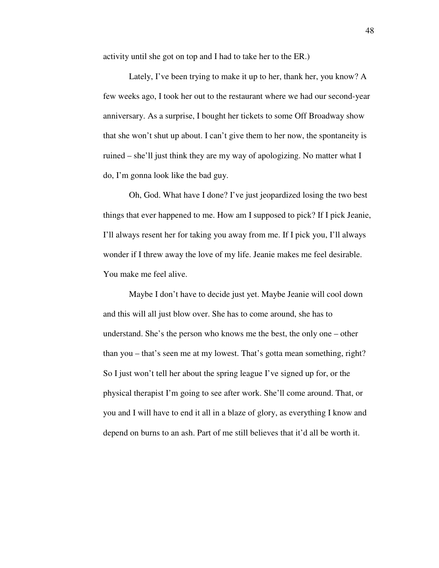activity until she got on top and I had to take her to the ER.)

 Lately, I've been trying to make it up to her, thank her, you know? A few weeks ago, I took her out to the restaurant where we had our second-year anniversary. As a surprise, I bought her tickets to some Off Broadway show that she won't shut up about. I can't give them to her now, the spontaneity is ruined – she'll just think they are my way of apologizing. No matter what I do, I'm gonna look like the bad guy.

 Oh, God. What have I done? I've just jeopardized losing the two best things that ever happened to me. How am I supposed to pick? If I pick Jeanie, I'll always resent her for taking you away from me. If I pick you, I'll always wonder if I threw away the love of my life. Jeanie makes me feel desirable. You make me feel alive.

 Maybe I don't have to decide just yet. Maybe Jeanie will cool down and this will all just blow over. She has to come around, she has to understand. She's the person who knows me the best, the only one – other than you – that's seen me at my lowest. That's gotta mean something, right? So I just won't tell her about the spring league I've signed up for, or the physical therapist I'm going to see after work. She'll come around. That, or you and I will have to end it all in a blaze of glory, as everything I know and depend on burns to an ash. Part of me still believes that it'd all be worth it.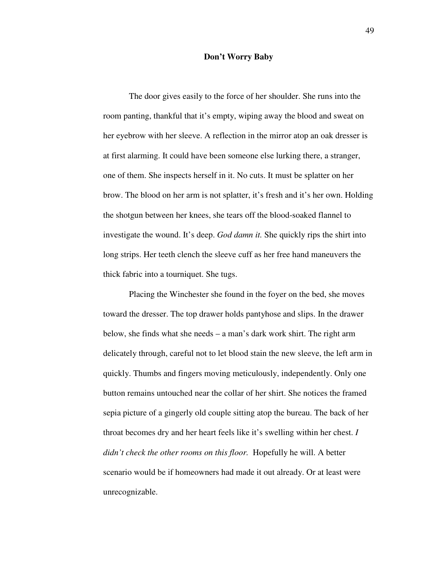#### **Don't Worry Baby**

 The door gives easily to the force of her shoulder. She runs into the room panting, thankful that it's empty, wiping away the blood and sweat on her eyebrow with her sleeve. A reflection in the mirror atop an oak dresser is at first alarming. It could have been someone else lurking there, a stranger, one of them. She inspects herself in it. No cuts. It must be splatter on her brow. The blood on her arm is not splatter, it's fresh and it's her own. Holding the shotgun between her knees, she tears off the blood-soaked flannel to investigate the wound. It's deep. *God damn it.* She quickly rips the shirt into long strips. Her teeth clench the sleeve cuff as her free hand maneuvers the thick fabric into a tourniquet. She tugs.

 Placing the Winchester she found in the foyer on the bed, she moves toward the dresser. The top drawer holds pantyhose and slips. In the drawer below, she finds what she needs – a man's dark work shirt. The right arm delicately through, careful not to let blood stain the new sleeve, the left arm in quickly. Thumbs and fingers moving meticulously, independently. Only one button remains untouched near the collar of her shirt. She notices the framed sepia picture of a gingerly old couple sitting atop the bureau. The back of her throat becomes dry and her heart feels like it's swelling within her chest. *I didn't check the other rooms on this floor.* Hopefully he will. A better scenario would be if homeowners had made it out already. Or at least were unrecognizable.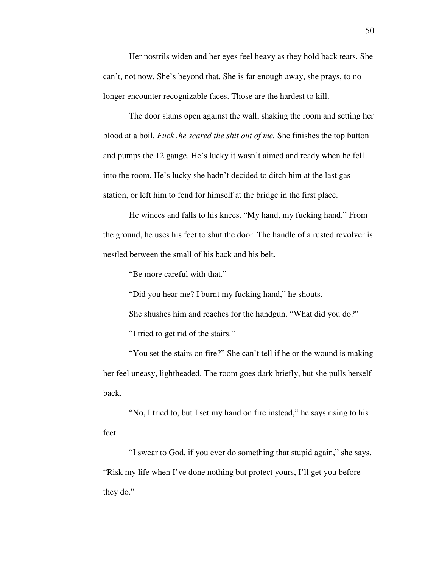Her nostrils widen and her eyes feel heavy as they hold back tears. She can't, not now. She's beyond that. She is far enough away, she prays, to no longer encounter recognizable faces. Those are the hardest to kill.

 The door slams open against the wall, shaking the room and setting her blood at a boil. *Fuck ,he scared the shit out of me.* She finishes the top button and pumps the 12 gauge. He's lucky it wasn't aimed and ready when he fell into the room. He's lucky she hadn't decided to ditch him at the last gas station, or left him to fend for himself at the bridge in the first place.

He winces and falls to his knees. "My hand, my fucking hand." From the ground, he uses his feet to shut the door. The handle of a rusted revolver is nestled between the small of his back and his belt.

"Be more careful with that."

"Did you hear me? I burnt my fucking hand," he shouts.

 She shushes him and reaches for the handgun. "What did you do?" "I tried to get rid of the stairs."

 "You set the stairs on fire?" She can't tell if he or the wound is making her feel uneasy, lightheaded. The room goes dark briefly, but she pulls herself back.

 "No, I tried to, but I set my hand on fire instead," he says rising to his feet.

 "I swear to God, if you ever do something that stupid again," she says, "Risk my life when I've done nothing but protect yours, I'll get you before they do."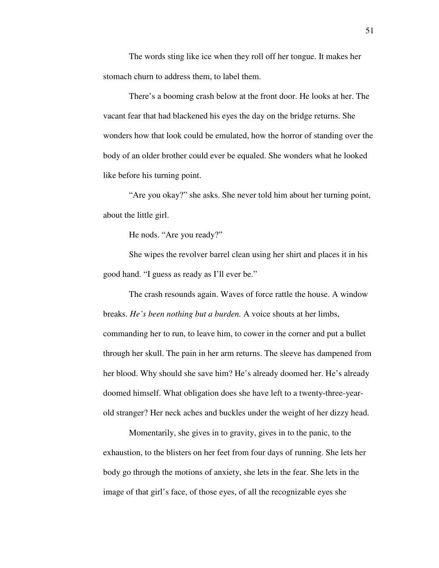The words sting like ice when they roll off her tongue. It makes her stomach churn to address them, to label them.

 There's a booming crash below at the front door. He looks at her. The vacant fear that had blackened his eyes the day on the bridge returns. She wonders how that look could be emulated, how the horror of standing over the body of an older brother could ever be equaled. She wonders what he looked like before his turning point.

 "Are you okay?" she asks. She never told him about her turning point, about the little girl.

He nods. "Are you ready?"

 She wipes the revolver barrel clean using her shirt and places it in his good hand. "I guess as ready as I'll ever be."

 The crash resounds again. Waves of force rattle the house. A window breaks. *He's been nothing but a burden.* A voice shouts at her limbs, commanding her to run, to leave him, to cower in the corner and put a bullet through her skull. The pain in her arm returns. The sleeve has dampened from her blood. Why should she save him? He's already doomed her. He's already doomed himself. What obligation does she have left to a twenty-three-yearold stranger? Her neck aches and buckles under the weight of her dizzy head.

 Momentarily, she gives in to gravity, gives in to the panic, to the exhaustion, to the blisters on her feet from four days of running. She lets her body go through the motions of anxiety, she lets in the fear. She lets in the image of that girl's face, of those eyes, of all the recognizable eyes she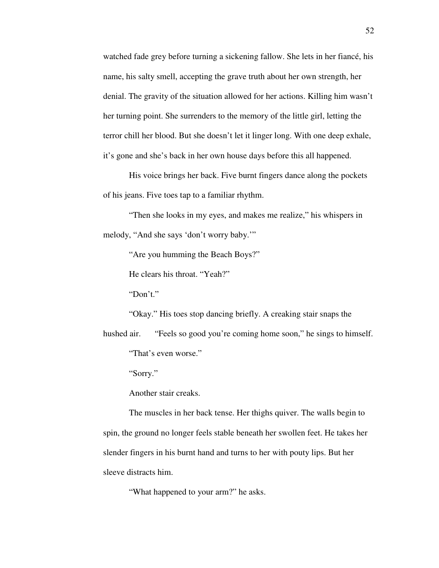watched fade grey before turning a sickening fallow. She lets in her fiancé, his name, his salty smell, accepting the grave truth about her own strength, her denial. The gravity of the situation allowed for her actions. Killing him wasn't her turning point. She surrenders to the memory of the little girl, letting the terror chill her blood. But she doesn't let it linger long. With one deep exhale, it's gone and she's back in her own house days before this all happened.

 His voice brings her back. Five burnt fingers dance along the pockets of his jeans. Five toes tap to a familiar rhythm.

 "Then she looks in my eyes, and makes me realize," his whispers in melody, "And she says 'don't worry baby.'"

"Are you humming the Beach Boys?"

He clears his throat. "Yeah?"

"Don't."

"Okay." His toes stop dancing briefly. A creaking stair snaps the

hushed air. "Feels so good you're coming home soon," he sings to himself. "That's even worse."

"Sorry."

Another stair creaks.

 The muscles in her back tense. Her thighs quiver. The walls begin to spin, the ground no longer feels stable beneath her swollen feet. He takes her slender fingers in his burnt hand and turns to her with pouty lips. But her sleeve distracts him.

"What happened to your arm?" he asks.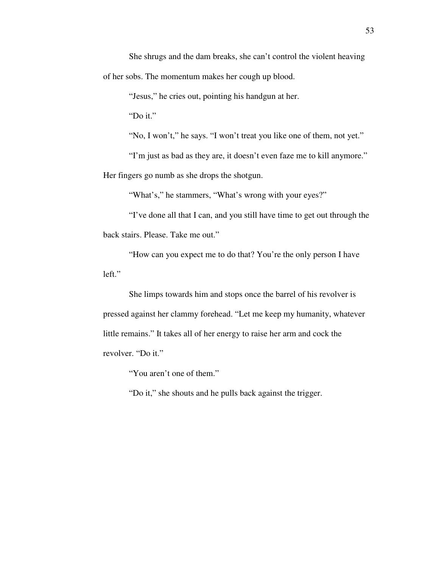She shrugs and the dam breaks, she can't control the violent heaving of her sobs. The momentum makes her cough up blood.

"Jesus," he cries out, pointing his handgun at her.

"Do it."

"No, I won't," he says. "I won't treat you like one of them, not yet."

 "I'm just as bad as they are, it doesn't even faze me to kill anymore." Her fingers go numb as she drops the shotgun.

"What's," he stammers, "What's wrong with your eyes?"

 "I've done all that I can, and you still have time to get out through the back stairs. Please. Take me out."

 "How can you expect me to do that? You're the only person I have left."

 She limps towards him and stops once the barrel of his revolver is pressed against her clammy forehead. "Let me keep my humanity, whatever little remains." It takes all of her energy to raise her arm and cock the revolver. "Do it."

"You aren't one of them."

"Do it," she shouts and he pulls back against the trigger.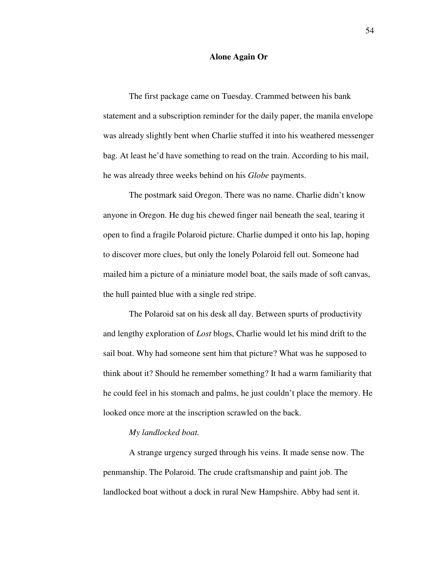### **Alone Again Or**

 The first package came on Tuesday. Crammed between his bank statement and a subscription reminder for the daily paper, the manila envelope was already slightly bent when Charlie stuffed it into his weathered messenger bag. At least he'd have something to read on the train. According to his mail, he was already three weeks behind on his *Globe* payments.

 The postmark said Oregon. There was no name. Charlie didn't know anyone in Oregon. He dug his chewed finger nail beneath the seal, tearing it open to find a fragile Polaroid picture. Charlie dumped it onto his lap, hoping to discover more clues, but only the lonely Polaroid fell out. Someone had mailed him a picture of a miniature model boat, the sails made of soft canvas, the hull painted blue with a single red stripe.

 The Polaroid sat on his desk all day. Between spurts of productivity and lengthy exploration of *Lost* blogs, Charlie would let his mind drift to the sail boat. Why had someone sent him that picture? What was he supposed to think about it? Should he remember something? It had a warm familiarity that he could feel in his stomach and palms, he just couldn't place the memory. He looked once more at the inscription scrawled on the back.

## *My landlocked boat.*

A strange urgency surged through his veins. It made sense now. The penmanship. The Polaroid. The crude craftsmanship and paint job. The landlocked boat without a dock in rural New Hampshire. Abby had sent it.

54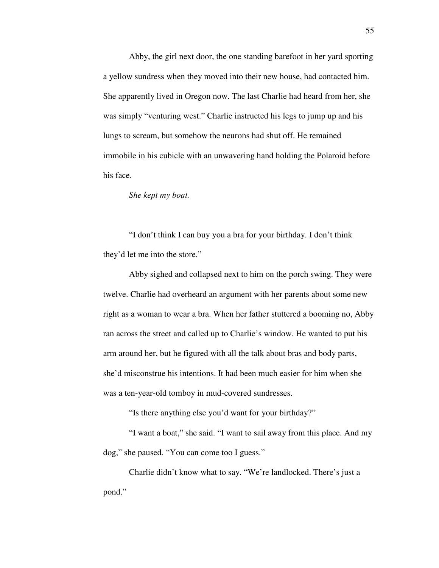Abby, the girl next door, the one standing barefoot in her yard sporting a yellow sundress when they moved into their new house, had contacted him. She apparently lived in Oregon now. The last Charlie had heard from her, she was simply "venturing west." Charlie instructed his legs to jump up and his lungs to scream, but somehow the neurons had shut off. He remained immobile in his cubicle with an unwavering hand holding the Polaroid before his face.

## *She kept my boat.*

 "I don't think I can buy you a bra for your birthday. I don't think they'd let me into the store."

 Abby sighed and collapsed next to him on the porch swing. They were twelve. Charlie had overheard an argument with her parents about some new right as a woman to wear a bra. When her father stuttered a booming no, Abby ran across the street and called up to Charlie's window. He wanted to put his arm around her, but he figured with all the talk about bras and body parts, she'd misconstrue his intentions. It had been much easier for him when she was a ten-year-old tomboy in mud-covered sundresses.

"Is there anything else you'd want for your birthday?"

 "I want a boat," she said. "I want to sail away from this place. And my dog," she paused. "You can come too I guess."

 Charlie didn't know what to say. "We're landlocked. There's just a pond."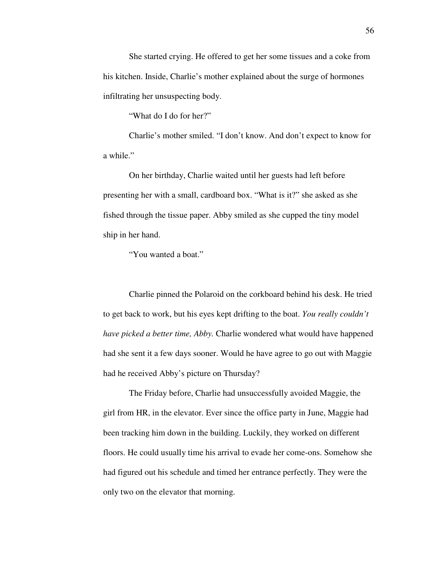She started crying. He offered to get her some tissues and a coke from his kitchen. Inside, Charlie's mother explained about the surge of hormones infiltrating her unsuspecting body.

"What do I do for her?"

 Charlie's mother smiled. "I don't know. And don't expect to know for a while."

 On her birthday, Charlie waited until her guests had left before presenting her with a small, cardboard box. "What is it?" she asked as she fished through the tissue paper. Abby smiled as she cupped the tiny model ship in her hand.

"You wanted a boat."

 Charlie pinned the Polaroid on the corkboard behind his desk. He tried to get back to work, but his eyes kept drifting to the boat. *You really couldn't have picked a better time, Abby.* Charlie wondered what would have happened had she sent it a few days sooner. Would he have agree to go out with Maggie had he received Abby's picture on Thursday?

 The Friday before, Charlie had unsuccessfully avoided Maggie, the girl from HR, in the elevator. Ever since the office party in June, Maggie had been tracking him down in the building. Luckily, they worked on different floors. He could usually time his arrival to evade her come-ons. Somehow she had figured out his schedule and timed her entrance perfectly. They were the only two on the elevator that morning.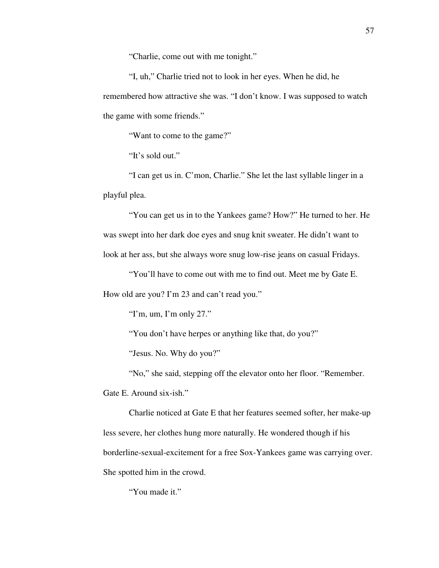"Charlie, come out with me tonight."

 "I, uh," Charlie tried not to look in her eyes. When he did, he remembered how attractive she was. "I don't know. I was supposed to watch the game with some friends."

"Want to come to the game?"

"It's sold out."

 "I can get us in. C'mon, Charlie." She let the last syllable linger in a playful plea.

 "You can get us in to the Yankees game? How?" He turned to her. He was swept into her dark doe eyes and snug knit sweater. He didn't want to look at her ass, but she always wore snug low-rise jeans on casual Fridays.

 "You'll have to come out with me to find out. Meet me by Gate E. How old are you? I'm 23 and can't read you."

"I'm, um, I'm only  $27$ ."

"You don't have herpes or anything like that, do you?"

"Jesus. No. Why do you?"

"No," she said, stepping off the elevator onto her floor. "Remember.

Gate E. Around six-ish."

 Charlie noticed at Gate E that her features seemed softer, her make-up less severe, her clothes hung more naturally. He wondered though if his borderline-sexual-excitement for a free Sox-Yankees game was carrying over. She spotted him in the crowd.

"You made it."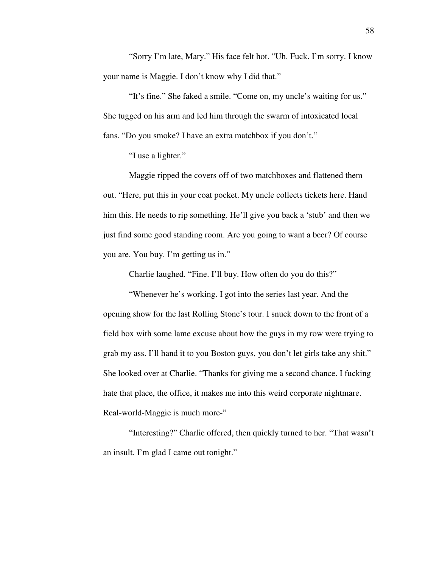"Sorry I'm late, Mary." His face felt hot. "Uh. Fuck. I'm sorry. I know your name is Maggie. I don't know why I did that."

 "It's fine." She faked a smile. "Come on, my uncle's waiting for us." She tugged on his arm and led him through the swarm of intoxicated local fans. "Do you smoke? I have an extra matchbox if you don't."

"I use a lighter."

 Maggie ripped the covers off of two matchboxes and flattened them out. "Here, put this in your coat pocket. My uncle collects tickets here. Hand him this. He needs to rip something. He'll give you back a 'stub' and then we just find some good standing room. Are you going to want a beer? Of course you are. You buy. I'm getting us in."

Charlie laughed. "Fine. I'll buy. How often do you do this?"

 "Whenever he's working. I got into the series last year. And the opening show for the last Rolling Stone's tour. I snuck down to the front of a field box with some lame excuse about how the guys in my row were trying to grab my ass. I'll hand it to you Boston guys, you don't let girls take any shit." She looked over at Charlie. "Thanks for giving me a second chance. I fucking hate that place, the office, it makes me into this weird corporate nightmare. Real-world-Maggie is much more-"

 "Interesting?" Charlie offered, then quickly turned to her. "That wasn't an insult. I'm glad I came out tonight."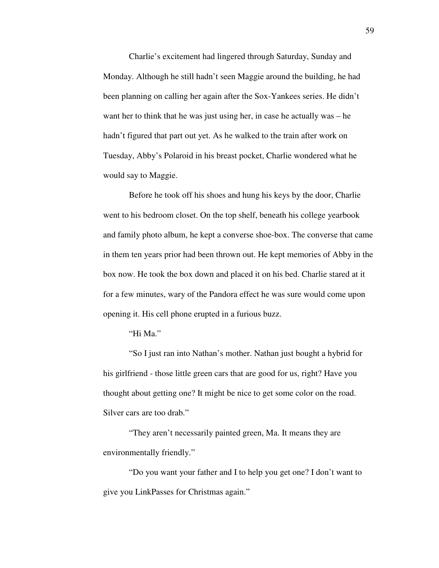Charlie's excitement had lingered through Saturday, Sunday and Monday. Although he still hadn't seen Maggie around the building, he had been planning on calling her again after the Sox-Yankees series. He didn't want her to think that he was just using her, in case he actually was – he hadn't figured that part out yet. As he walked to the train after work on Tuesday, Abby's Polaroid in his breast pocket, Charlie wondered what he would say to Maggie.

 Before he took off his shoes and hung his keys by the door, Charlie went to his bedroom closet. On the top shelf, beneath his college yearbook and family photo album, he kept a converse shoe-box. The converse that came in them ten years prior had been thrown out. He kept memories of Abby in the box now. He took the box down and placed it on his bed. Charlie stared at it for a few minutes, wary of the Pandora effect he was sure would come upon opening it. His cell phone erupted in a furious buzz.

# "Hi Ma."

 "So I just ran into Nathan's mother. Nathan just bought a hybrid for his girlfriend - those little green cars that are good for us, right? Have you thought about getting one? It might be nice to get some color on the road. Silver cars are too drab."

 "They aren't necessarily painted green, Ma. It means they are environmentally friendly."

 "Do you want your father and I to help you get one? I don't want to give you LinkPasses for Christmas again."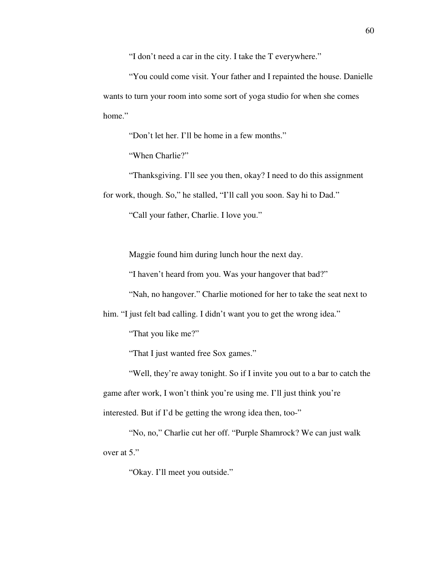"I don't need a car in the city. I take the T everywhere."

 "You could come visit. Your father and I repainted the house. Danielle wants to turn your room into some sort of yoga studio for when she comes home."

"Don't let her. I'll be home in a few months."

"When Charlie?"

 "Thanksgiving. I'll see you then, okay? I need to do this assignment for work, though. So," he stalled, "I'll call you soon. Say hi to Dad."

"Call your father, Charlie. I love you."

Maggie found him during lunch hour the next day.

"I haven't heard from you. Was your hangover that bad?"

"Nah, no hangover." Charlie motioned for her to take the seat next to

him. "I just felt bad calling. I didn't want you to get the wrong idea."

"That you like me?"

"That I just wanted free Sox games."

 "Well, they're away tonight. So if I invite you out to a bar to catch the game after work, I won't think you're using me. I'll just think you're interested. But if I'd be getting the wrong idea then, too-"

 "No, no," Charlie cut her off. "Purple Shamrock? We can just walk over at 5."

"Okay. I'll meet you outside."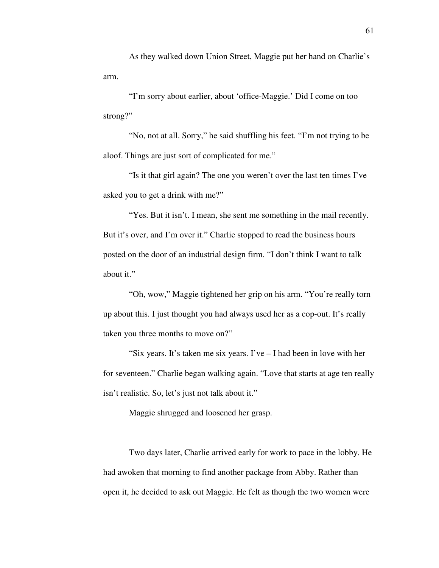As they walked down Union Street, Maggie put her hand on Charlie's arm.

 "I'm sorry about earlier, about 'office-Maggie.' Did I come on too strong?"

 "No, not at all. Sorry," he said shuffling his feet. "I'm not trying to be aloof. Things are just sort of complicated for me."

 "Is it that girl again? The one you weren't over the last ten times I've asked you to get a drink with me?"

"Yes. But it isn't. I mean, she sent me something in the mail recently. But it's over, and I'm over it." Charlie stopped to read the business hours posted on the door of an industrial design firm. "I don't think I want to talk about it."

 "Oh, wow," Maggie tightened her grip on his arm. "You're really torn up about this. I just thought you had always used her as a cop-out. It's really taken you three months to move on?"

 "Six years. It's taken me six years. I've – I had been in love with her for seventeen." Charlie began walking again. "Love that starts at age ten really isn't realistic. So, let's just not talk about it."

Maggie shrugged and loosened her grasp.

 Two days later, Charlie arrived early for work to pace in the lobby. He had awoken that morning to find another package from Abby. Rather than open it, he decided to ask out Maggie. He felt as though the two women were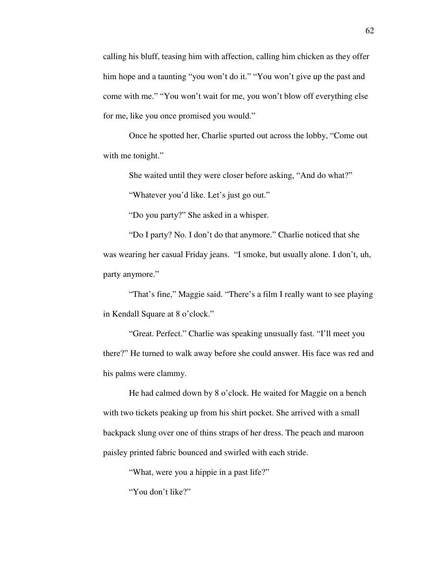calling his bluff, teasing him with affection, calling him chicken as they offer him hope and a taunting "you won't do it." "You won't give up the past and come with me." "You won't wait for me, you won't blow off everything else for me, like you once promised you would."

 Once he spotted her, Charlie spurted out across the lobby, "Come out with me tonight."

She waited until they were closer before asking, "And do what?"

"Whatever you'd like. Let's just go out."

"Do you party?" She asked in a whisper.

 "Do I party? No. I don't do that anymore." Charlie noticed that she was wearing her casual Friday jeans. "I smoke, but usually alone. I don't, uh, party anymore."

 "That's fine," Maggie said. "There's a film I really want to see playing in Kendall Square at 8 o'clock."

 "Great. Perfect." Charlie was speaking unusually fast. "I'll meet you there?" He turned to walk away before she could answer. His face was red and his palms were clammy.

 He had calmed down by 8 o'clock. He waited for Maggie on a bench with two tickets peaking up from his shirt pocket. She arrived with a small backpack slung over one of thins straps of her dress. The peach and maroon paisley printed fabric bounced and swirled with each stride.

"What, were you a hippie in a past life?"

"You don't like?"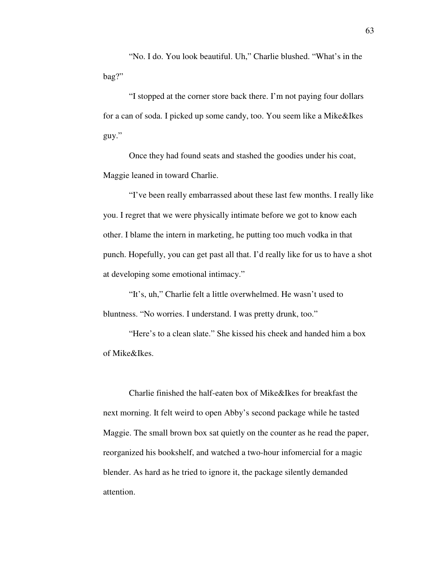"No. I do. You look beautiful. Uh," Charlie blushed. "What's in the bag?"

 "I stopped at the corner store back there. I'm not paying four dollars for a can of soda. I picked up some candy, too. You seem like a Mike&Ikes guy."

 Once they had found seats and stashed the goodies under his coat, Maggie leaned in toward Charlie.

 "I've been really embarrassed about these last few months. I really like you. I regret that we were physically intimate before we got to know each other. I blame the intern in marketing, he putting too much vodka in that punch. Hopefully, you can get past all that. I'd really like for us to have a shot at developing some emotional intimacy."

 "It's, uh," Charlie felt a little overwhelmed. He wasn't used to bluntness. "No worries. I understand. I was pretty drunk, too."

 "Here's to a clean slate." She kissed his cheek and handed him a box of Mike&Ikes.

 Charlie finished the half-eaten box of Mike&Ikes for breakfast the next morning. It felt weird to open Abby's second package while he tasted Maggie. The small brown box sat quietly on the counter as he read the paper, reorganized his bookshelf, and watched a two-hour infomercial for a magic blender. As hard as he tried to ignore it, the package silently demanded attention.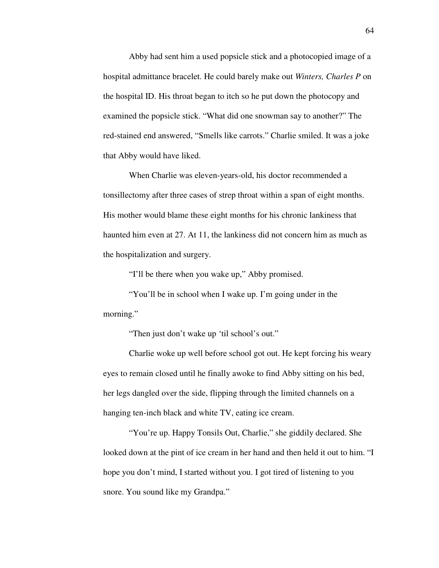Abby had sent him a used popsicle stick and a photocopied image of a hospital admittance bracelet. He could barely make out *Winters, Charles P* on the hospital ID. His throat began to itch so he put down the photocopy and examined the popsicle stick. "What did one snowman say to another?" The red-stained end answered, "Smells like carrots." Charlie smiled. It was a joke that Abby would have liked.

 When Charlie was eleven-years-old, his doctor recommended a tonsillectomy after three cases of strep throat within a span of eight months. His mother would blame these eight months for his chronic lankiness that haunted him even at 27. At 11, the lankiness did not concern him as much as the hospitalization and surgery.

"I'll be there when you wake up," Abby promised.

"You'll be in school when I wake up. I'm going under in the morning."

"Then just don't wake up 'til school's out."

 Charlie woke up well before school got out. He kept forcing his weary eyes to remain closed until he finally awoke to find Abby sitting on his bed, her legs dangled over the side, flipping through the limited channels on a hanging ten-inch black and white TV, eating ice cream.

 "You're up. Happy Tonsils Out, Charlie," she giddily declared. She looked down at the pint of ice cream in her hand and then held it out to him. "I hope you don't mind, I started without you. I got tired of listening to you snore. You sound like my Grandpa."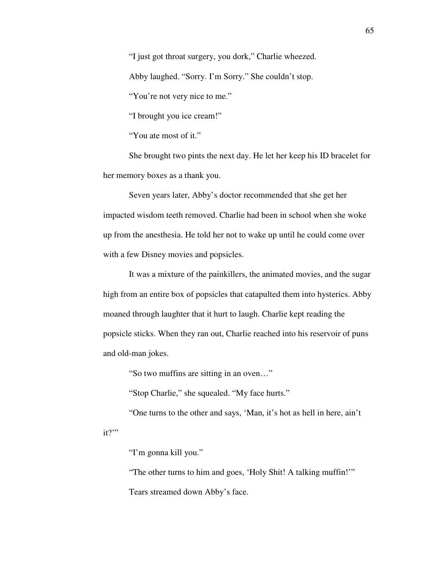"I just got throat surgery, you dork," Charlie wheezed.

Abby laughed. "Sorry. I'm Sorry." She couldn't stop.

"You're not very nice to me."

"I brought you ice cream!"

"You ate most of it."

 She brought two pints the next day. He let her keep his ID bracelet for her memory boxes as a thank you.

 Seven years later, Abby's doctor recommended that she get her impacted wisdom teeth removed. Charlie had been in school when she woke up from the anesthesia. He told her not to wake up until he could come over with a few Disney movies and popsicles.

 It was a mixture of the painkillers, the animated movies, and the sugar high from an entire box of popsicles that catapulted them into hysterics. Abby moaned through laughter that it hurt to laugh. Charlie kept reading the popsicle sticks. When they ran out, Charlie reached into his reservoir of puns and old-man jokes.

"So two muffins are sitting in an oven…"

"Stop Charlie," she squealed. "My face hurts."

 "One turns to the other and says, 'Man, it's hot as hell in here, ain't it?"

"I'm gonna kill you."

"The other turns to him and goes, 'Holy Shit! A talking muffin!'"

Tears streamed down Abby's face.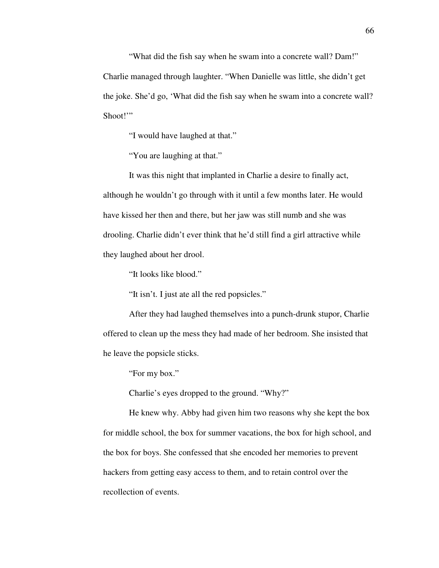"What did the fish say when he swam into a concrete wall? Dam!" Charlie managed through laughter. "When Danielle was little, she didn't get the joke. She'd go, 'What did the fish say when he swam into a concrete wall? Shoot!"

"I would have laughed at that."

"You are laughing at that."

 It was this night that implanted in Charlie a desire to finally act, although he wouldn't go through with it until a few months later. He would have kissed her then and there, but her jaw was still numb and she was drooling. Charlie didn't ever think that he'd still find a girl attractive while they laughed about her drool.

"It looks like blood."

"It isn't. I just ate all the red popsicles."

 After they had laughed themselves into a punch-drunk stupor, Charlie offered to clean up the mess they had made of her bedroom. She insisted that he leave the popsicle sticks.

"For my box."

Charlie's eyes dropped to the ground. "Why?"

 He knew why. Abby had given him two reasons why she kept the box for middle school, the box for summer vacations, the box for high school, and the box for boys. She confessed that she encoded her memories to prevent hackers from getting easy access to them, and to retain control over the recollection of events.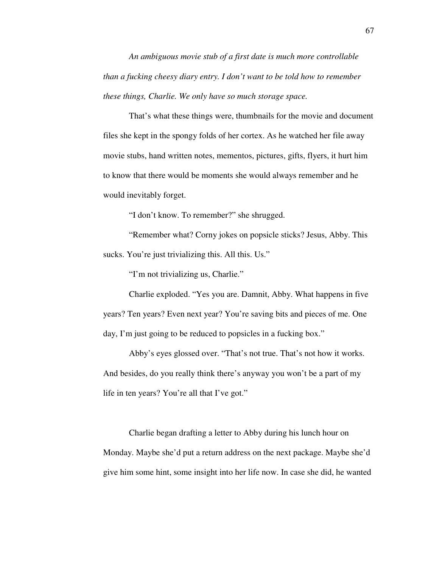*An ambiguous movie stub of a first date is much more controllable than a fucking cheesy diary entry. I don't want to be told how to remember these things, Charlie. We only have so much storage space.* 

That's what these things were, thumbnails for the movie and document files she kept in the spongy folds of her cortex. As he watched her file away movie stubs, hand written notes, mementos, pictures, gifts, flyers, it hurt him to know that there would be moments she would always remember and he would inevitably forget.

"I don't know. To remember?" she shrugged.

 "Remember what? Corny jokes on popsicle sticks? Jesus, Abby. This sucks. You're just trivializing this. All this. Us."

"I'm not trivializing us, Charlie."

 Charlie exploded. "Yes you are. Damnit, Abby. What happens in five years? Ten years? Even next year? You're saving bits and pieces of me. One day, I'm just going to be reduced to popsicles in a fucking box."

 Abby's eyes glossed over. "That's not true. That's not how it works. And besides, do you really think there's anyway you won't be a part of my life in ten years? You're all that I've got."

 Charlie began drafting a letter to Abby during his lunch hour on Monday. Maybe she'd put a return address on the next package. Maybe she'd give him some hint, some insight into her life now. In case she did, he wanted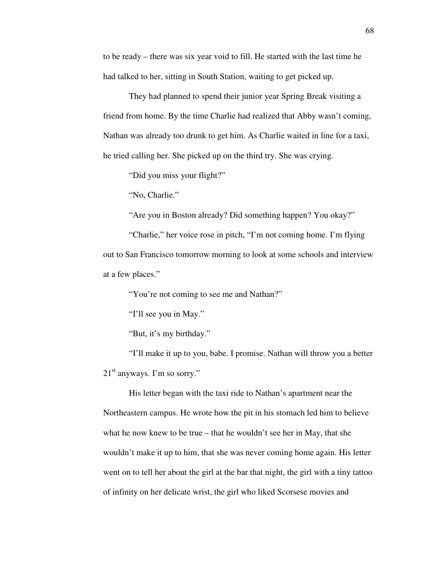to be ready – there was six year void to fill. He started with the last time he had talked to her, sitting in South Station, waiting to get picked up.

 They had planned to spend their junior year Spring Break visiting a friend from home. By the time Charlie had realized that Abby wasn't coming, Nathan was already too drunk to get him. As Charlie waited in line for a taxi, he tried calling her. She picked up on the third try. She was crying.

"Did you miss your flight?"

"No, Charlie."

"Are you in Boston already? Did something happen? You okay?"

 "Charlie," her voice rose in pitch, "I'm not coming home. I'm flying out to San Francisco tomorrow morning to look at some schools and interview at a few places."

"You're not coming to see me and Nathan?"

"I'll see you in May."

"But, it's my birthday."

 "I'll make it up to you, babe. I promise. Nathan will throw you a better  $21<sup>st</sup>$  anyways. I'm so sorry."

 His letter began with the taxi ride to Nathan's apartment near the Northeastern campus. He wrote how the pit in his stomach led him to believe what he now knew to be true – that he wouldn't see her in May, that she wouldn't make it up to him, that she was never coming home again. His letter went on to tell her about the girl at the bar that night, the girl with a tiny tattoo of infinity on her delicate wrist, the girl who liked Scorsese movies and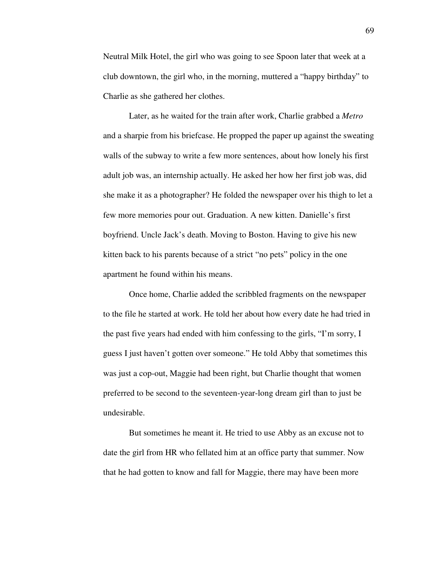Neutral Milk Hotel, the girl who was going to see Spoon later that week at a club downtown, the girl who, in the morning, muttered a "happy birthday" to Charlie as she gathered her clothes.

 Later, as he waited for the train after work, Charlie grabbed a *Metro* and a sharpie from his briefcase. He propped the paper up against the sweating walls of the subway to write a few more sentences, about how lonely his first adult job was, an internship actually. He asked her how her first job was, did she make it as a photographer? He folded the newspaper over his thigh to let a few more memories pour out. Graduation. A new kitten. Danielle's first boyfriend. Uncle Jack's death. Moving to Boston. Having to give his new kitten back to his parents because of a strict "no pets" policy in the one apartment he found within his means.

 Once home, Charlie added the scribbled fragments on the newspaper to the file he started at work. He told her about how every date he had tried in the past five years had ended with him confessing to the girls, "I'm sorry, I guess I just haven't gotten over someone." He told Abby that sometimes this was just a cop-out, Maggie had been right, but Charlie thought that women preferred to be second to the seventeen-year-long dream girl than to just be undesirable.

 But sometimes he meant it. He tried to use Abby as an excuse not to date the girl from HR who fellated him at an office party that summer. Now that he had gotten to know and fall for Maggie, there may have been more

69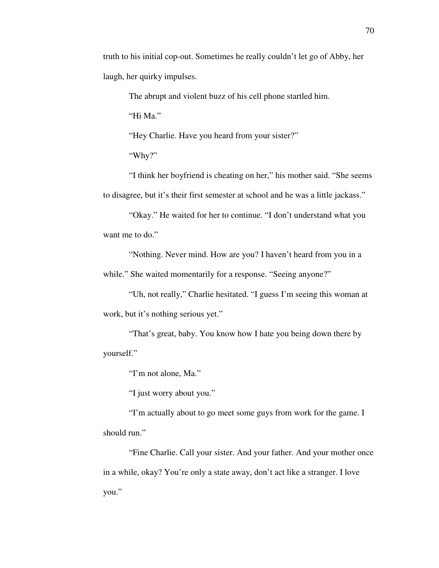truth to his initial cop-out. Sometimes he really couldn't let go of Abby, her laugh, her quirky impulses.

The abrupt and violent buzz of his cell phone startled him.

"Hi Ma."

"Hey Charlie. Have you heard from your sister?"

"Why?"

 "I think her boyfriend is cheating on her," his mother said. "She seems to disagree, but it's their first semester at school and he was a little jackass."

 "Okay." He waited for her to continue. "I don't understand what you want me to do."

 "Nothing. Never mind. How are you? I haven't heard from you in a while." She waited momentarily for a response. "Seeing anyone?"

 "Uh, not really," Charlie hesitated. "I guess I'm seeing this woman at work, but it's nothing serious yet."

 "That's great, baby. You know how I hate you being down there by yourself."

"I'm not alone, Ma."

"I just worry about you."

 "I'm actually about to go meet some guys from work for the game. I should run."

 "Fine Charlie. Call your sister. And your father. And your mother once in a while, okay? You're only a state away, don't act like a stranger. I love you."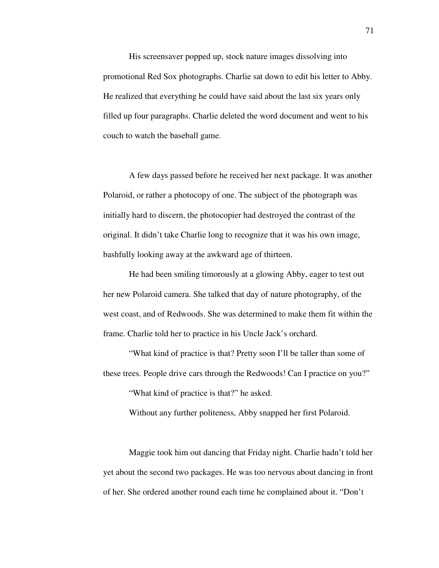His screensaver popped up, stock nature images dissolving into promotional Red Sox photographs. Charlie sat down to edit his letter to Abby. He realized that everything he could have said about the last six years only filled up four paragraphs. Charlie deleted the word document and went to his couch to watch the baseball game.

 A few days passed before he received her next package. It was another Polaroid, or rather a photocopy of one. The subject of the photograph was initially hard to discern, the photocopier had destroyed the contrast of the original. It didn't take Charlie long to recognize that it was his own image, bashfully looking away at the awkward age of thirteen.

 He had been smiling timorously at a glowing Abby, eager to test out her new Polaroid camera. She talked that day of nature photography, of the west coast, and of Redwoods. She was determined to make them fit within the frame. Charlie told her to practice in his Uncle Jack's orchard.

 "What kind of practice is that? Pretty soon I'll be taller than some of these trees. People drive cars through the Redwoods! Can I practice on you?"

"What kind of practice is that?" he asked.

Without any further politeness, Abby snapped her first Polaroid.

 Maggie took him out dancing that Friday night. Charlie hadn't told her yet about the second two packages. He was too nervous about dancing in front of her. She ordered another round each time he complained about it. "Don't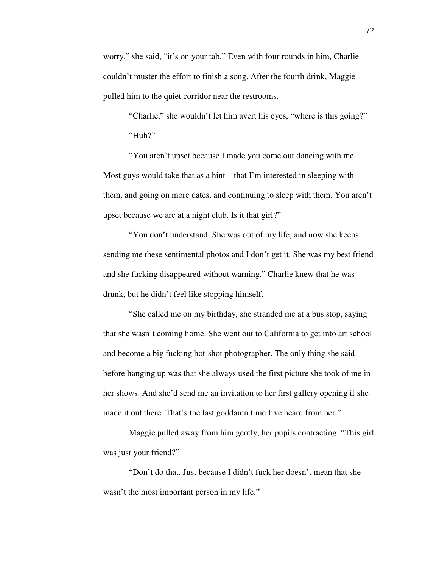worry," she said, "it's on your tab." Even with four rounds in him, Charlie couldn't muster the effort to finish a song. After the fourth drink, Maggie pulled him to the quiet corridor near the restrooms.

 "Charlie," she wouldn't let him avert his eyes, "where is this going?" "Huh?"

 "You aren't upset because I made you come out dancing with me. Most guys would take that as a hint – that I'm interested in sleeping with them, and going on more dates, and continuing to sleep with them. You aren't upset because we are at a night club. Is it that girl?"

 "You don't understand. She was out of my life, and now she keeps sending me these sentimental photos and I don't get it. She was my best friend and she fucking disappeared without warning." Charlie knew that he was drunk, but he didn't feel like stopping himself.

 "She called me on my birthday, she stranded me at a bus stop, saying that she wasn't coming home. She went out to California to get into art school and become a big fucking hot-shot photographer. The only thing she said before hanging up was that she always used the first picture she took of me in her shows. And she'd send me an invitation to her first gallery opening if she made it out there. That's the last goddamn time I've heard from her."

 Maggie pulled away from him gently, her pupils contracting. "This girl was just your friend?"

 "Don't do that. Just because I didn't fuck her doesn't mean that she wasn't the most important person in my life."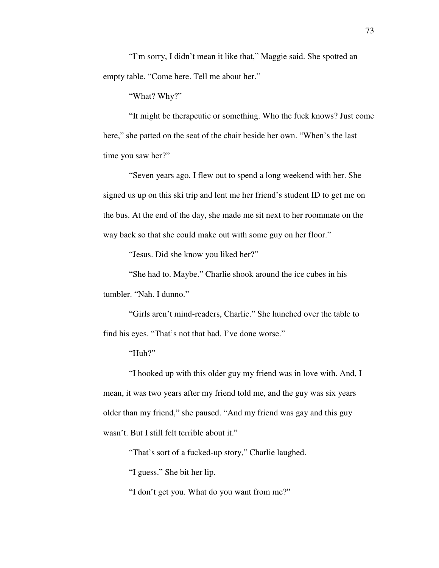"I'm sorry, I didn't mean it like that," Maggie said. She spotted an empty table. "Come here. Tell me about her."

"What? Why?"

 "It might be therapeutic or something. Who the fuck knows? Just come here," she patted on the seat of the chair beside her own. "When's the last time you saw her?"

 "Seven years ago. I flew out to spend a long weekend with her. She signed us up on this ski trip and lent me her friend's student ID to get me on the bus. At the end of the day, she made me sit next to her roommate on the way back so that she could make out with some guy on her floor."

"Jesus. Did she know you liked her?"

 "She had to. Maybe." Charlie shook around the ice cubes in his tumbler. "Nah. I dunno."

 "Girls aren't mind-readers, Charlie." She hunched over the table to find his eyes. "That's not that bad. I've done worse."

"Huh?"

 "I hooked up with this older guy my friend was in love with. And, I mean, it was two years after my friend told me, and the guy was six years older than my friend," she paused. "And my friend was gay and this guy wasn't. But I still felt terrible about it."

"That's sort of a fucked-up story," Charlie laughed.

"I guess." She bit her lip.

"I don't get you. What do you want from me?"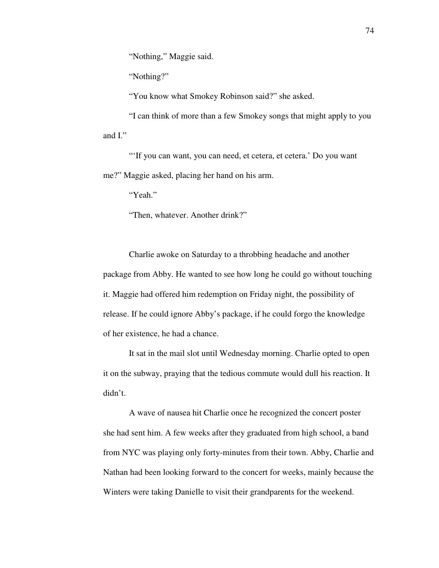"Nothing," Maggie said.

"Nothing?"

"You know what Smokey Robinson said?" she asked.

 "I can think of more than a few Smokey songs that might apply to you and I."

 "'If you can want, you can need, et cetera, et cetera.' Do you want me?" Maggie asked, placing her hand on his arm.

"Yeah."

"Then, whatever. Another drink?"

 Charlie awoke on Saturday to a throbbing headache and another package from Abby. He wanted to see how long he could go without touching it. Maggie had offered him redemption on Friday night, the possibility of release. If he could ignore Abby's package, if he could forgo the knowledge of her existence, he had a chance.

 It sat in the mail slot until Wednesday morning. Charlie opted to open it on the subway, praying that the tedious commute would dull his reaction. It didn't.

 A wave of nausea hit Charlie once he recognized the concert poster she had sent him. A few weeks after they graduated from high school, a band from NYC was playing only forty-minutes from their town. Abby, Charlie and Nathan had been looking forward to the concert for weeks, mainly because the Winters were taking Danielle to visit their grandparents for the weekend.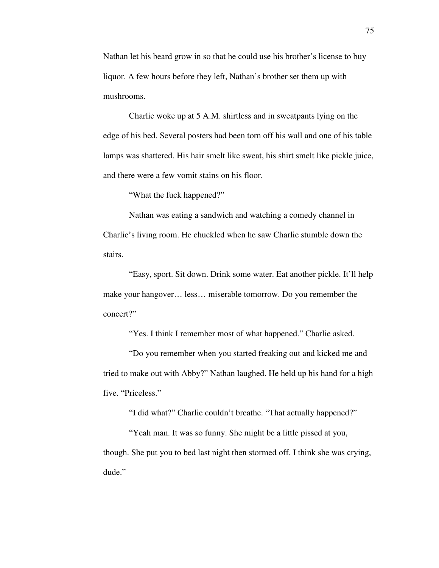Nathan let his beard grow in so that he could use his brother's license to buy liquor. A few hours before they left, Nathan's brother set them up with mushrooms.

 Charlie woke up at 5 A.M. shirtless and in sweatpants lying on the edge of his bed. Several posters had been torn off his wall and one of his table lamps was shattered. His hair smelt like sweat, his shirt smelt like pickle juice, and there were a few vomit stains on his floor.

"What the fuck happened?"

 Nathan was eating a sandwich and watching a comedy channel in Charlie's living room. He chuckled when he saw Charlie stumble down the stairs.

 "Easy, sport. Sit down. Drink some water. Eat another pickle. It'll help make your hangover… less… miserable tomorrow. Do you remember the concert?"

"Yes. I think I remember most of what happened." Charlie asked.

 "Do you remember when you started freaking out and kicked me and tried to make out with Abby?" Nathan laughed. He held up his hand for a high five. "Priceless."

"I did what?" Charlie couldn't breathe. "That actually happened?"

 "Yeah man. It was so funny. She might be a little pissed at you, though. She put you to bed last night then stormed off. I think she was crying, dude."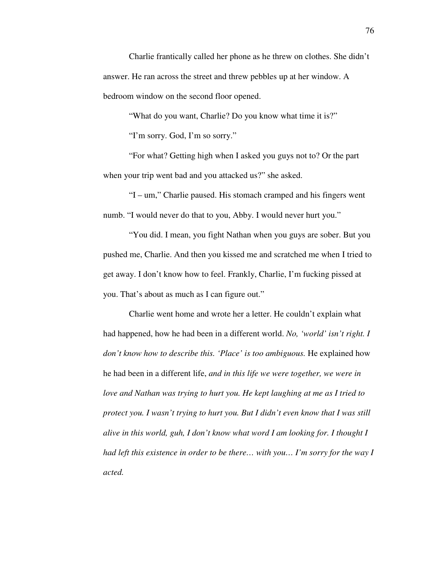Charlie frantically called her phone as he threw on clothes. She didn't answer. He ran across the street and threw pebbles up at her window. A bedroom window on the second floor opened.

"What do you want, Charlie? Do you know what time it is?"

"I'm sorry. God, I'm so sorry."

 "For what? Getting high when I asked you guys not to? Or the part when your trip went bad and you attacked us?" she asked.

 "I – um," Charlie paused. His stomach cramped and his fingers went numb. "I would never do that to you, Abby. I would never hurt you."

 "You did. I mean, you fight Nathan when you guys are sober. But you pushed me, Charlie. And then you kissed me and scratched me when I tried to get away. I don't know how to feel. Frankly, Charlie, I'm fucking pissed at you. That's about as much as I can figure out."

 Charlie went home and wrote her a letter. He couldn't explain what had happened, how he had been in a different world. *No, 'world' isn't right. I don't know how to describe this. 'Place' is too ambiguous.* He explained how he had been in a different life, *and in this life we were together, we were in love and Nathan was trying to hurt you. He kept laughing at me as I tried to protect you. I wasn't trying to hurt you. But I didn't even know that I was still alive in this world, guh, I don't know what word I am looking for. I thought I had left this existence in order to be there… with you… I'm sorry for the way I acted.*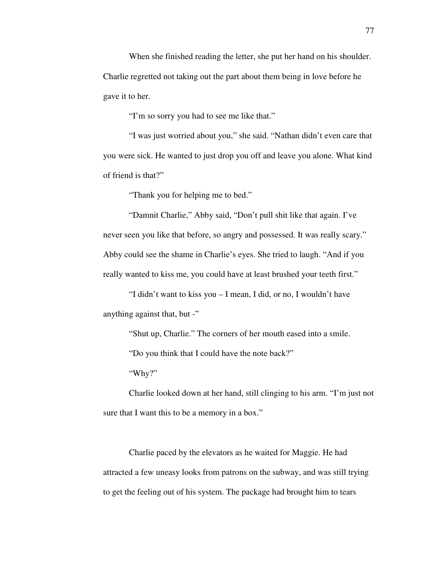When she finished reading the letter, she put her hand on his shoulder. Charlie regretted not taking out the part about them being in love before he gave it to her.

"I'm so sorry you had to see me like that."

 "I was just worried about you," she said. "Nathan didn't even care that you were sick. He wanted to just drop you off and leave you alone. What kind of friend is that?"

"Thank you for helping me to bed."

 "Damnit Charlie," Abby said, "Don't pull shit like that again. I've never seen you like that before, so angry and possessed. It was really scary." Abby could see the shame in Charlie's eyes. She tried to laugh. "And if you really wanted to kiss me, you could have at least brushed your teeth first."

 "I didn't want to kiss you – I mean, I did, or no, I wouldn't have anything against that, but -"

"Shut up, Charlie." The corners of her mouth eased into a smile.

"Do you think that I could have the note back?"

"Why?"

 Charlie looked down at her hand, still clinging to his arm. "I'm just not sure that I want this to be a memory in a box."

 Charlie paced by the elevators as he waited for Maggie. He had attracted a few uneasy looks from patrons on the subway, and was still trying to get the feeling out of his system. The package had brought him to tears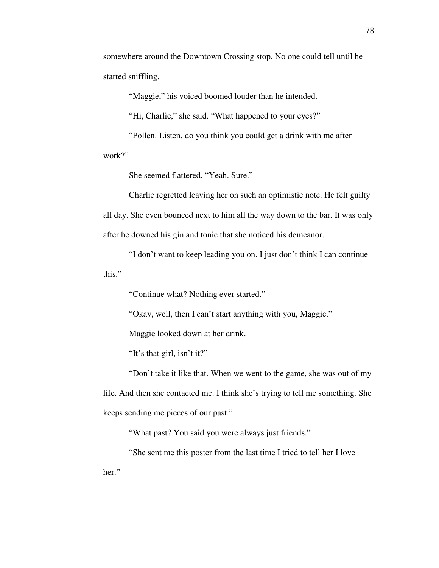somewhere around the Downtown Crossing stop. No one could tell until he started sniffling.

"Maggie," his voiced boomed louder than he intended.

"Hi, Charlie," she said. "What happened to your eyes?"

 "Pollen. Listen, do you think you could get a drink with me after work?"

She seemed flattered. "Yeah. Sure."

 Charlie regretted leaving her on such an optimistic note. He felt guilty all day. She even bounced next to him all the way down to the bar. It was only after he downed his gin and tonic that she noticed his demeanor.

 "I don't want to keep leading you on. I just don't think I can continue this."

"Continue what? Nothing ever started."

"Okay, well, then I can't start anything with you, Maggie."

Maggie looked down at her drink.

"It's that girl, isn't it?"

 "Don't take it like that. When we went to the game, she was out of my life. And then she contacted me. I think she's trying to tell me something. She keeps sending me pieces of our past."

"What past? You said you were always just friends."

 "She sent me this poster from the last time I tried to tell her I love her."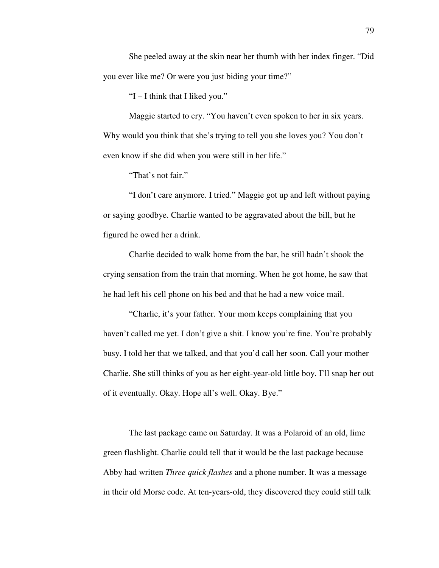She peeled away at the skin near her thumb with her index finger. "Did you ever like me? Or were you just biding your time?"

"I – I think that I liked you."

 Maggie started to cry. "You haven't even spoken to her in six years. Why would you think that she's trying to tell you she loves you? You don't even know if she did when you were still in her life."

"That's not fair."

 "I don't care anymore. I tried." Maggie got up and left without paying or saying goodbye. Charlie wanted to be aggravated about the bill, but he figured he owed her a drink.

 Charlie decided to walk home from the bar, he still hadn't shook the crying sensation from the train that morning. When he got home, he saw that he had left his cell phone on his bed and that he had a new voice mail.

 "Charlie, it's your father. Your mom keeps complaining that you haven't called me yet. I don't give a shit. I know you're fine. You're probably busy. I told her that we talked, and that you'd call her soon. Call your mother Charlie. She still thinks of you as her eight-year-old little boy. I'll snap her out of it eventually. Okay. Hope all's well. Okay. Bye."

 The last package came on Saturday. It was a Polaroid of an old, lime green flashlight. Charlie could tell that it would be the last package because Abby had written *Three quick flashes* and a phone number. It was a message in their old Morse code. At ten-years-old, they discovered they could still talk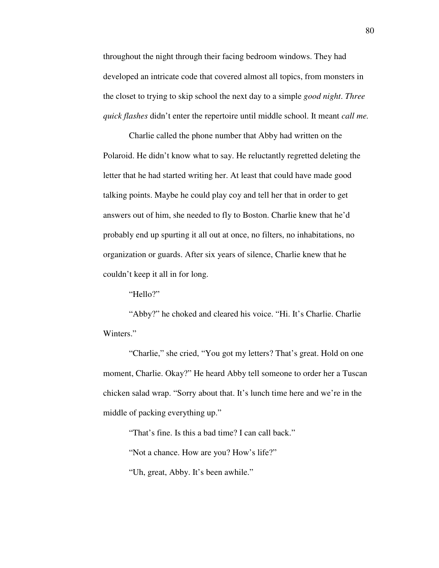throughout the night through their facing bedroom windows. They had developed an intricate code that covered almost all topics, from monsters in the closet to trying to skip school the next day to a simple *good night*. *Three quick flashes* didn't enter the repertoire until middle school. It meant *call me.*

 Charlie called the phone number that Abby had written on the Polaroid. He didn't know what to say. He reluctantly regretted deleting the letter that he had started writing her. At least that could have made good talking points. Maybe he could play coy and tell her that in order to get answers out of him, she needed to fly to Boston. Charlie knew that he'd probably end up spurting it all out at once, no filters, no inhabitations, no organization or guards. After six years of silence, Charlie knew that he couldn't keep it all in for long.

"Hello?"

 "Abby?" he choked and cleared his voice. "Hi. It's Charlie. Charlie Winters."

 "Charlie," she cried, "You got my letters? That's great. Hold on one moment, Charlie. Okay?" He heard Abby tell someone to order her a Tuscan chicken salad wrap. "Sorry about that. It's lunch time here and we're in the middle of packing everything up."

"That's fine. Is this a bad time? I can call back."

"Not a chance. How are you? How's life?"

"Uh, great, Abby. It's been awhile."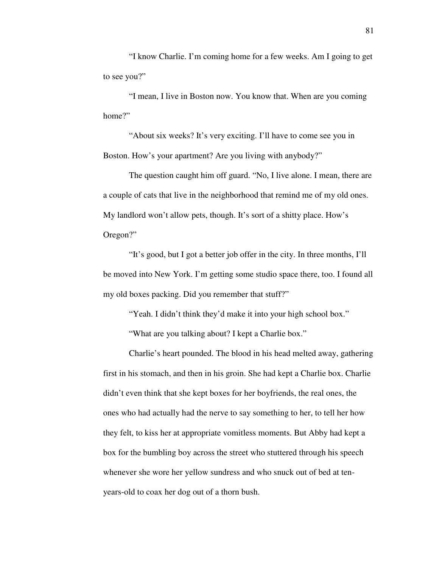"I know Charlie. I'm coming home for a few weeks. Am I going to get to see you?"

 "I mean, I live in Boston now. You know that. When are you coming home?"

 "About six weeks? It's very exciting. I'll have to come see you in Boston. How's your apartment? Are you living with anybody?"

 The question caught him off guard. "No, I live alone. I mean, there are a couple of cats that live in the neighborhood that remind me of my old ones. My landlord won't allow pets, though. It's sort of a shitty place. How's Oregon?"

 "It's good, but I got a better job offer in the city. In three months, I'll be moved into New York. I'm getting some studio space there, too. I found all my old boxes packing. Did you remember that stuff?"

"Yeah. I didn't think they'd make it into your high school box."

"What are you talking about? I kept a Charlie box."

 Charlie's heart pounded. The blood in his head melted away, gathering first in his stomach, and then in his groin. She had kept a Charlie box. Charlie didn't even think that she kept boxes for her boyfriends, the real ones, the ones who had actually had the nerve to say something to her, to tell her how they felt, to kiss her at appropriate vomitless moments. But Abby had kept a box for the bumbling boy across the street who stuttered through his speech whenever she wore her yellow sundress and who snuck out of bed at tenyears-old to coax her dog out of a thorn bush.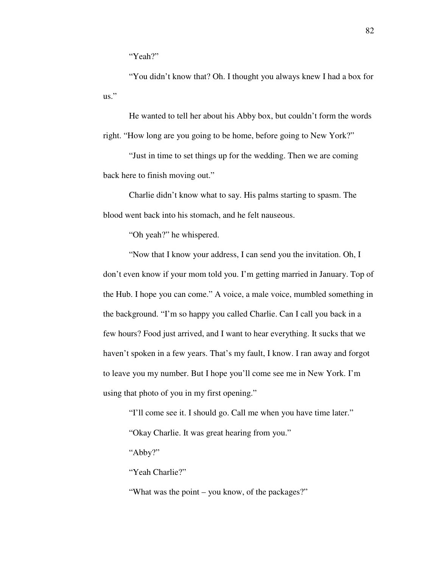"Yeah?"

 "You didn't know that? Oh. I thought you always knew I had a box for us."

 He wanted to tell her about his Abby box, but couldn't form the words right. "How long are you going to be home, before going to New York?"

 "Just in time to set things up for the wedding. Then we are coming back here to finish moving out."

 Charlie didn't know what to say. His palms starting to spasm. The blood went back into his stomach, and he felt nauseous.

"Oh yeah?" he whispered.

 "Now that I know your address, I can send you the invitation. Oh, I don't even know if your mom told you. I'm getting married in January. Top of the Hub. I hope you can come." A voice, a male voice, mumbled something in the background. "I'm so happy you called Charlie. Can I call you back in a few hours? Food just arrived, and I want to hear everything. It sucks that we haven't spoken in a few years. That's my fault, I know. I ran away and forgot to leave you my number. But I hope you'll come see me in New York. I'm using that photo of you in my first opening."

"I'll come see it. I should go. Call me when you have time later."

"Okay Charlie. It was great hearing from you."

"Abby?"

"Yeah Charlie?"

"What was the point – you know, of the packages?"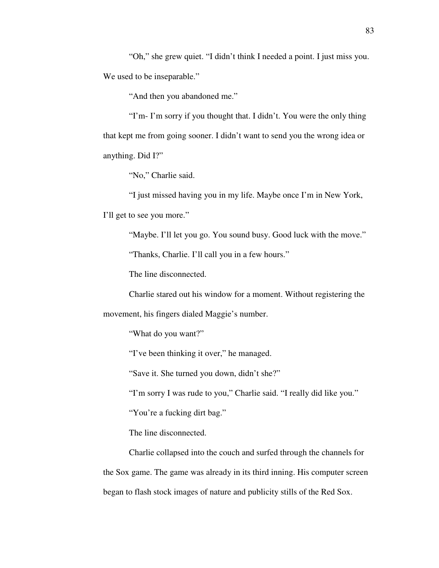"Oh," she grew quiet. "I didn't think I needed a point. I just miss you. We used to be inseparable."

"And then you abandoned me."

 "I'm- I'm sorry if you thought that. I didn't. You were the only thing that kept me from going sooner. I didn't want to send you the wrong idea or anything. Did I?"

"No," Charlie said.

 "I just missed having you in my life. Maybe once I'm in New York, I'll get to see you more."

"Maybe. I'll let you go. You sound busy. Good luck with the move."

"Thanks, Charlie. I'll call you in a few hours."

The line disconnected.

Charlie stared out his window for a moment. Without registering the

movement, his fingers dialed Maggie's number.

"What do you want?"

"I've been thinking it over," he managed.

"Save it. She turned you down, didn't she?"

"I'm sorry I was rude to you," Charlie said. "I really did like you."

"You're a fucking dirt bag."

The line disconnected.

 Charlie collapsed into the couch and surfed through the channels for the Sox game. The game was already in its third inning. His computer screen began to flash stock images of nature and publicity stills of the Red Sox.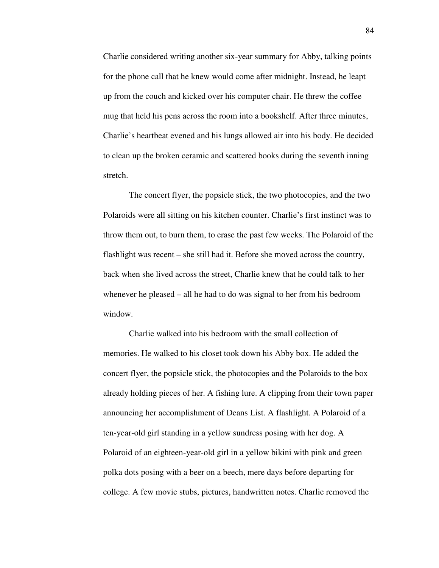Charlie considered writing another six-year summary for Abby, talking points for the phone call that he knew would come after midnight. Instead, he leapt up from the couch and kicked over his computer chair. He threw the coffee mug that held his pens across the room into a bookshelf. After three minutes, Charlie's heartbeat evened and his lungs allowed air into his body. He decided to clean up the broken ceramic and scattered books during the seventh inning stretch.

 The concert flyer, the popsicle stick, the two photocopies, and the two Polaroids were all sitting on his kitchen counter. Charlie's first instinct was to throw them out, to burn them, to erase the past few weeks. The Polaroid of the flashlight was recent – she still had it. Before she moved across the country, back when she lived across the street, Charlie knew that he could talk to her whenever he pleased – all he had to do was signal to her from his bedroom window.

 Charlie walked into his bedroom with the small collection of memories. He walked to his closet took down his Abby box. He added the concert flyer, the popsicle stick, the photocopies and the Polaroids to the box already holding pieces of her. A fishing lure. A clipping from their town paper announcing her accomplishment of Deans List. A flashlight. A Polaroid of a ten-year-old girl standing in a yellow sundress posing with her dog. A Polaroid of an eighteen-year-old girl in a yellow bikini with pink and green polka dots posing with a beer on a beech, mere days before departing for college. A few movie stubs, pictures, handwritten notes. Charlie removed the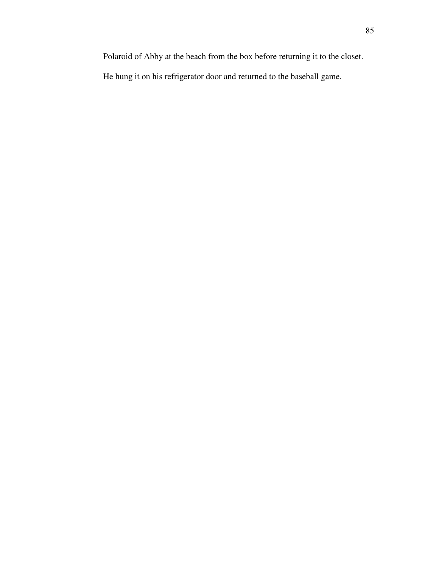Polaroid of Abby at the beach from the box before returning it to the closet.

He hung it on his refrigerator door and returned to the baseball game.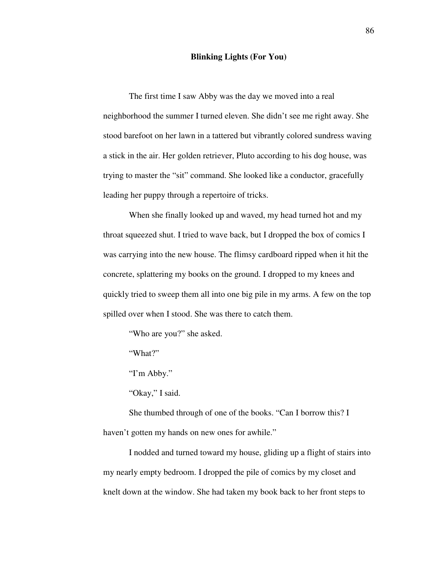## **Blinking Lights (For You)**

 The first time I saw Abby was the day we moved into a real neighborhood the summer I turned eleven. She didn't see me right away. She stood barefoot on her lawn in a tattered but vibrantly colored sundress waving a stick in the air. Her golden retriever, Pluto according to his dog house, was trying to master the "sit" command. She looked like a conductor, gracefully leading her puppy through a repertoire of tricks.

 When she finally looked up and waved, my head turned hot and my throat squeezed shut. I tried to wave back, but I dropped the box of comics I was carrying into the new house. The flimsy cardboard ripped when it hit the concrete, splattering my books on the ground. I dropped to my knees and quickly tried to sweep them all into one big pile in my arms. A few on the top spilled over when I stood. She was there to catch them.

"Who are you?" she asked.

"What?"

"I'm Abby."

"Okay," I said.

 She thumbed through of one of the books. "Can I borrow this? I haven't gotten my hands on new ones for awhile."

 I nodded and turned toward my house, gliding up a flight of stairs into my nearly empty bedroom. I dropped the pile of comics by my closet and knelt down at the window. She had taken my book back to her front steps to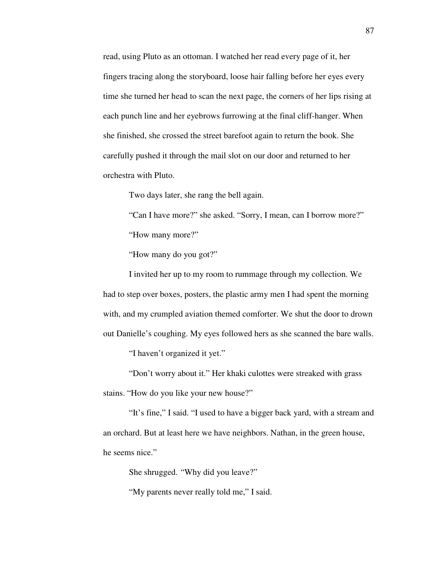read, using Pluto as an ottoman. I watched her read every page of it, her fingers tracing along the storyboard, loose hair falling before her eyes every time she turned her head to scan the next page, the corners of her lips rising at each punch line and her eyebrows furrowing at the final cliff-hanger. When she finished, she crossed the street barefoot again to return the book. She carefully pushed it through the mail slot on our door and returned to her orchestra with Pluto.

Two days later, she rang the bell again.

 "Can I have more?" she asked. "Sorry, I mean, can I borrow more?" "How many more?"

"How many do you got?"

 I invited her up to my room to rummage through my collection. We had to step over boxes, posters, the plastic army men I had spent the morning with, and my crumpled aviation themed comforter. We shut the door to drown out Danielle's coughing. My eyes followed hers as she scanned the bare walls.

"I haven't organized it yet."

 "Don't worry about it." Her khaki culottes were streaked with grass stains. "How do you like your new house?"

 "It's fine," I said. "I used to have a bigger back yard, with a stream and an orchard. But at least here we have neighbors. Nathan, in the green house, he seems nice."

She shrugged. "Why did you leave?"

"My parents never really told me," I said.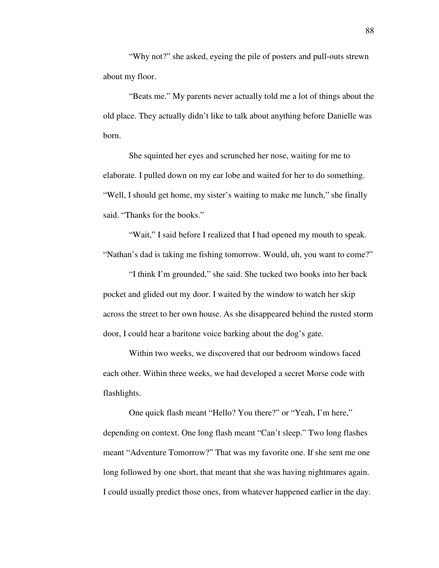"Why not?" she asked, eyeing the pile of posters and pull-outs strewn about my floor.

 "Beats me." My parents never actually told me a lot of things about the old place. They actually didn't like to talk about anything before Danielle was born.

 She squinted her eyes and scrunched her nose, waiting for me to elaborate. I pulled down on my ear lobe and waited for her to do something. "Well, I should get home, my sister's waiting to make me lunch," she finally said. "Thanks for the books."

 "Wait," I said before I realized that I had opened my mouth to speak. "Nathan's dad is taking me fishing tomorrow. Would, uh, you want to come?"

 "I think I'm grounded," she said. She tucked two books into her back pocket and glided out my door. I waited by the window to watch her skip across the street to her own house. As she disappeared behind the rusted storm door, I could hear a baritone voice barking about the dog's gate.

 Within two weeks, we discovered that our bedroom windows faced each other. Within three weeks, we had developed a secret Morse code with flashlights.

 One quick flash meant "Hello? You there?" or "Yeah, I'm here," depending on context. One long flash meant "Can't sleep." Two long flashes meant "Adventure Tomorrow?" That was my favorite one. If she sent me one long followed by one short, that meant that she was having nightmares again. I could usually predict those ones, from whatever happened earlier in the day.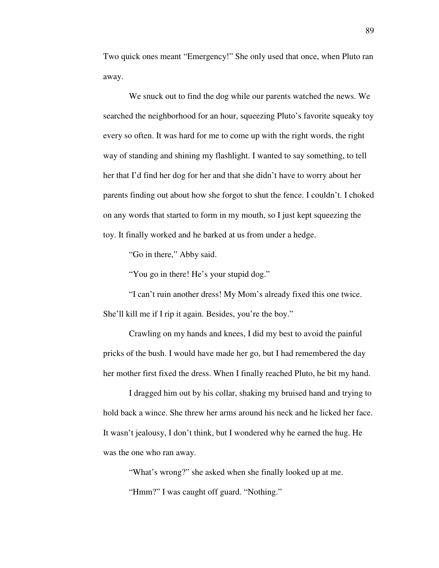Two quick ones meant "Emergency!" She only used that once, when Pluto ran away.

 We snuck out to find the dog while our parents watched the news. We searched the neighborhood for an hour, squeezing Pluto's favorite squeaky toy every so often. It was hard for me to come up with the right words, the right way of standing and shining my flashlight. I wanted to say something, to tell her that I'd find her dog for her and that she didn't have to worry about her parents finding out about how she forgot to shut the fence. I couldn't. I choked on any words that started to form in my mouth, so I just kept squeezing the toy. It finally worked and he barked at us from under a hedge.

"Go in there," Abby said.

"You go in there! He's your stupid dog."

 "I can't ruin another dress! My Mom's already fixed this one twice. She'll kill me if I rip it again. Besides, you're the boy."

 Crawling on my hands and knees, I did my best to avoid the painful pricks of the bush. I would have made her go, but I had remembered the day her mother first fixed the dress. When I finally reached Pluto, he bit my hand.

 I dragged him out by his collar, shaking my bruised hand and trying to hold back a wince. She threw her arms around his neck and he licked her face. It wasn't jealousy, I don't think, but I wondered why he earned the hug. He was the one who ran away.

 "What's wrong?" she asked when she finally looked up at me. "Hmm?" I was caught off guard. "Nothing."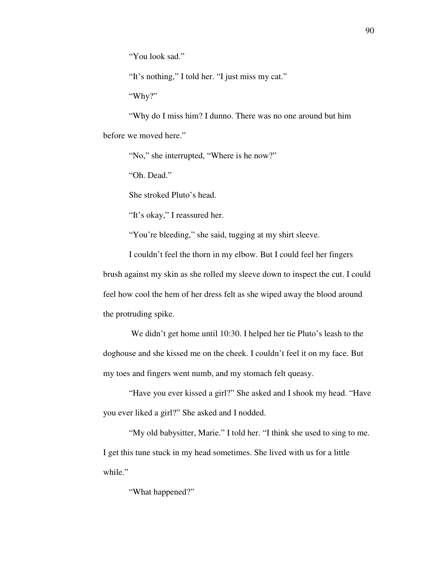"You look sad."

"It's nothing," I told her. "I just miss my cat."

"Why?"

 "Why do I miss him? I dunno. There was no one around but him before we moved here."

"No," she interrupted, "Where is he now?"

"Oh. Dead."

She stroked Pluto's head.

"It's okay," I reassured her.

"You're bleeding," she said, tugging at my shirt sleeve.

 I couldn't feel the thorn in my elbow. But I could feel her fingers brush against my skin as she rolled my sleeve down to inspect the cut. I could feel how cool the hem of her dress felt as she wiped away the blood around the protruding spike.

 We didn't get home until 10:30. I helped her tie Pluto's leash to the doghouse and she kissed me on the cheek. I couldn't feel it on my face. But my toes and fingers went numb, and my stomach felt queasy.

 "Have you ever kissed a girl?" She asked and I shook my head. "Have you ever liked a girl?" She asked and I nodded.

 "My old babysitter, Marie." I told her. "I think she used to sing to me. I get this tune stuck in my head sometimes. She lived with us for a little while."

"What happened?"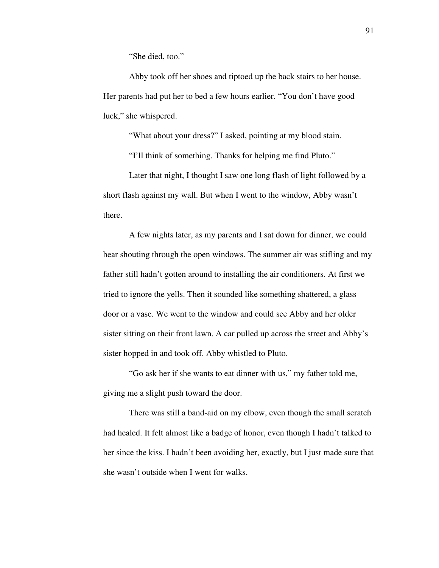"She died, too."

 Abby took off her shoes and tiptoed up the back stairs to her house. Her parents had put her to bed a few hours earlier. "You don't have good luck," she whispered.

"What about your dress?" I asked, pointing at my blood stain.

"I'll think of something. Thanks for helping me find Pluto."

 Later that night, I thought I saw one long flash of light followed by a short flash against my wall. But when I went to the window, Abby wasn't there.

 A few nights later, as my parents and I sat down for dinner, we could hear shouting through the open windows. The summer air was stifling and my father still hadn't gotten around to installing the air conditioners. At first we tried to ignore the yells. Then it sounded like something shattered, a glass door or a vase. We went to the window and could see Abby and her older sister sitting on their front lawn. A car pulled up across the street and Abby's sister hopped in and took off. Abby whistled to Pluto.

 "Go ask her if she wants to eat dinner with us," my father told me, giving me a slight push toward the door.

 There was still a band-aid on my elbow, even though the small scratch had healed. It felt almost like a badge of honor, even though I hadn't talked to her since the kiss. I hadn't been avoiding her, exactly, but I just made sure that she wasn't outside when I went for walks.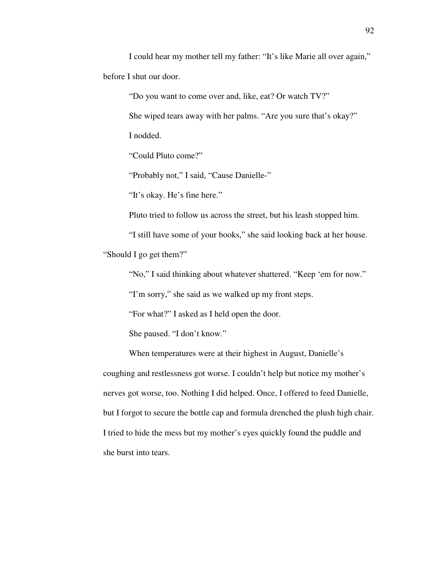I could hear my mother tell my father: "It's like Marie all over again," before I shut our door.

"Do you want to come over and, like, eat? Or watch TV?"

She wiped tears away with her palms. "Are you sure that's okay?"

I nodded.

"Could Pluto come?"

"Probably not," I said, "Cause Danielle-"

"It's okay. He's fine here."

Pluto tried to follow us across the street, but his leash stopped him.

 "I still have some of your books," she said looking back at her house. "Should I go get them?"

"No," I said thinking about whatever shattered. "Keep 'em for now."

"I'm sorry," she said as we walked up my front steps.

"For what?" I asked as I held open the door.

She paused. "I don't know."

 When temperatures were at their highest in August, Danielle's coughing and restlessness got worse. I couldn't help but notice my mother's nerves got worse, too. Nothing I did helped. Once, I offered to feed Danielle, but I forgot to secure the bottle cap and formula drenched the plush high chair. I tried to hide the mess but my mother's eyes quickly found the puddle and she burst into tears.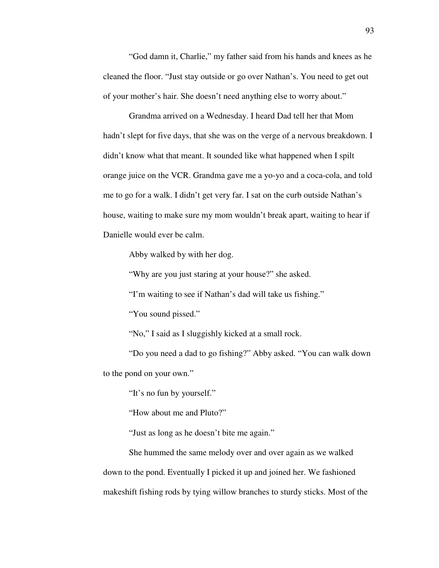"God damn it, Charlie," my father said from his hands and knees as he cleaned the floor. "Just stay outside or go over Nathan's. You need to get out of your mother's hair. She doesn't need anything else to worry about."

 Grandma arrived on a Wednesday. I heard Dad tell her that Mom hadn't slept for five days, that she was on the verge of a nervous breakdown. I didn't know what that meant. It sounded like what happened when I spilt orange juice on the VCR. Grandma gave me a yo-yo and a coca-cola, and told me to go for a walk. I didn't get very far. I sat on the curb outside Nathan's house, waiting to make sure my mom wouldn't break apart, waiting to hear if Danielle would ever be calm.

Abby walked by with her dog.

"Why are you just staring at your house?" she asked.

"I'm waiting to see if Nathan's dad will take us fishing."

"You sound pissed."

"No," I said as I sluggishly kicked at a small rock.

 "Do you need a dad to go fishing?" Abby asked. "You can walk down to the pond on your own."

"It's no fun by yourself."

"How about me and Pluto?"

"Just as long as he doesn't bite me again."

 She hummed the same melody over and over again as we walked down to the pond. Eventually I picked it up and joined her. We fashioned makeshift fishing rods by tying willow branches to sturdy sticks. Most of the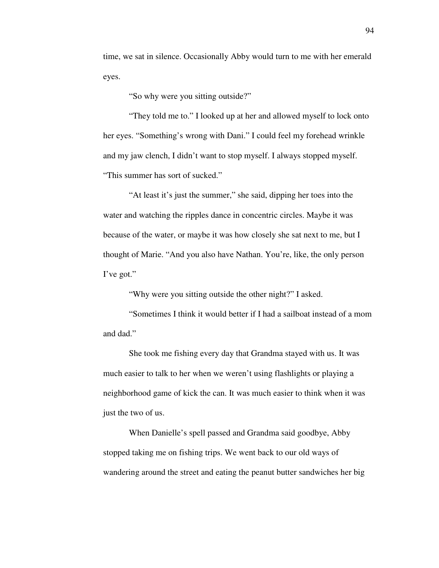time, we sat in silence. Occasionally Abby would turn to me with her emerald eyes.

"So why were you sitting outside?"

 "They told me to." I looked up at her and allowed myself to lock onto her eyes. "Something's wrong with Dani." I could feel my forehead wrinkle and my jaw clench, I didn't want to stop myself. I always stopped myself. "This summer has sort of sucked."

 "At least it's just the summer," she said, dipping her toes into the water and watching the ripples dance in concentric circles. Maybe it was because of the water, or maybe it was how closely she sat next to me, but I thought of Marie. "And you also have Nathan. You're, like, the only person I've got."

"Why were you sitting outside the other night?" I asked.

 "Sometimes I think it would better if I had a sailboat instead of a mom and dad."

 She took me fishing every day that Grandma stayed with us. It was much easier to talk to her when we weren't using flashlights or playing a neighborhood game of kick the can. It was much easier to think when it was just the two of us.

 When Danielle's spell passed and Grandma said goodbye, Abby stopped taking me on fishing trips. We went back to our old ways of wandering around the street and eating the peanut butter sandwiches her big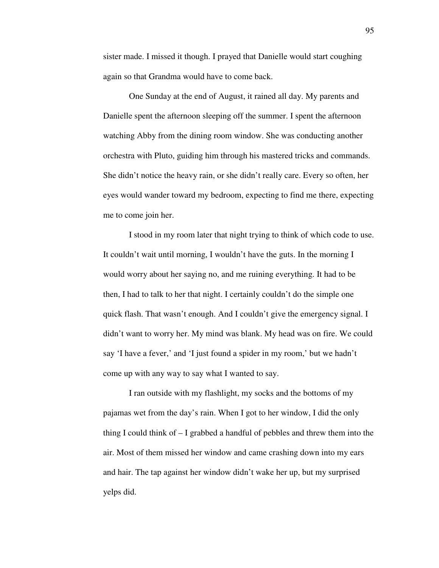sister made. I missed it though. I prayed that Danielle would start coughing again so that Grandma would have to come back.

 One Sunday at the end of August, it rained all day. My parents and Danielle spent the afternoon sleeping off the summer. I spent the afternoon watching Abby from the dining room window. She was conducting another orchestra with Pluto, guiding him through his mastered tricks and commands. She didn't notice the heavy rain, or she didn't really care. Every so often, her eyes would wander toward my bedroom, expecting to find me there, expecting me to come join her.

 I stood in my room later that night trying to think of which code to use. It couldn't wait until morning, I wouldn't have the guts. In the morning I would worry about her saying no, and me ruining everything. It had to be then, I had to talk to her that night. I certainly couldn't do the simple one quick flash. That wasn't enough. And I couldn't give the emergency signal. I didn't want to worry her. My mind was blank. My head was on fire. We could say 'I have a fever,' and 'I just found a spider in my room,' but we hadn't come up with any way to say what I wanted to say.

 I ran outside with my flashlight, my socks and the bottoms of my pajamas wet from the day's rain. When I got to her window, I did the only thing I could think of – I grabbed a handful of pebbles and threw them into the air. Most of them missed her window and came crashing down into my ears and hair. The tap against her window didn't wake her up, but my surprised yelps did.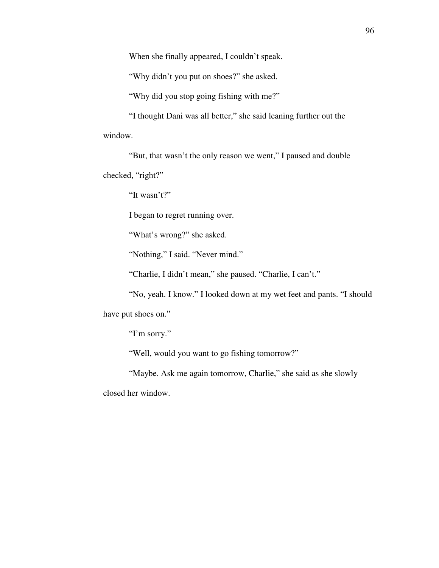When she finally appeared, I couldn't speak.

"Why didn't you put on shoes?" she asked.

"Why did you stop going fishing with me?"

 "I thought Dani was all better," she said leaning further out the window.

 "But, that wasn't the only reason we went," I paused and double checked, "right?"

"It wasn't?"

I began to regret running over.

"What's wrong?" she asked.

"Nothing," I said. "Never mind."

"Charlie, I didn't mean," she paused. "Charlie, I can't."

 "No, yeah. I know." I looked down at my wet feet and pants. "I should have put shoes on."

"I'm sorry."

"Well, would you want to go fishing tomorrow?"

 "Maybe. Ask me again tomorrow, Charlie," she said as she slowly closed her window.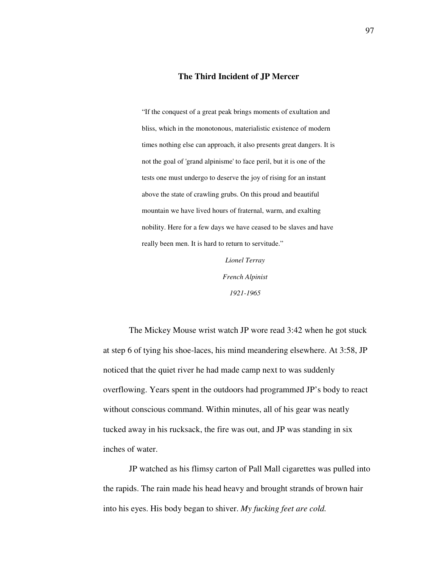## **The Third Incident of JP Mercer**

"If the conquest of a great peak brings moments of exultation and bliss, which in the monotonous, materialistic existence of modern times nothing else can approach, it also presents great dangers. It is not the goal of 'grand alpinisme' to face peril, but it is one of the tests one must undergo to deserve the joy of rising for an instant above the state of crawling grubs. On this proud and beautiful mountain we have lived hours of fraternal, warm, and exalting nobility. Here for a few days we have ceased to be slaves and have really been men. It is hard to return to servitude."

> *Lionel Terray French Alpinist 1921-1965*

The Mickey Mouse wrist watch JP wore read 3:42 when he got stuck at step 6 of tying his shoe-laces, his mind meandering elsewhere. At 3:58, JP noticed that the quiet river he had made camp next to was suddenly overflowing. Years spent in the outdoors had programmed JP's body to react without conscious command. Within minutes, all of his gear was neatly tucked away in his rucksack, the fire was out, and JP was standing in six inches of water.

 JP watched as his flimsy carton of Pall Mall cigarettes was pulled into the rapids. The rain made his head heavy and brought strands of brown hair into his eyes. His body began to shiver. *My fucking feet are cold.*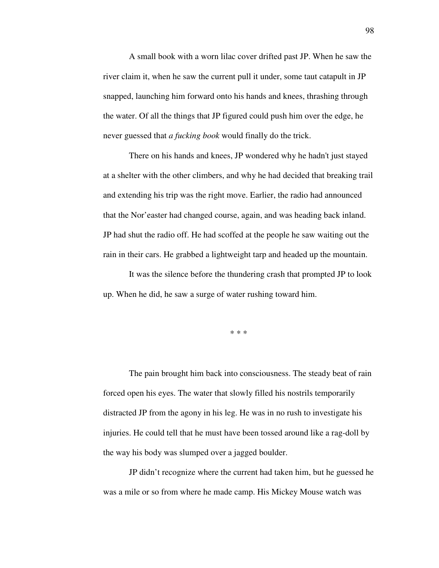A small book with a worn lilac cover drifted past JP. When he saw the river claim it, when he saw the current pull it under, some taut catapult in JP snapped, launching him forward onto his hands and knees, thrashing through the water. Of all the things that JP figured could push him over the edge, he never guessed that *a fucking book* would finally do the trick.

 There on his hands and knees, JP wondered why he hadn't just stayed at a shelter with the other climbers, and why he had decided that breaking trail and extending his trip was the right move. Earlier, the radio had announced that the Nor'easter had changed course, again, and was heading back inland. JP had shut the radio off. He had scoffed at the people he saw waiting out the rain in their cars. He grabbed a lightweight tarp and headed up the mountain.

 It was the silence before the thundering crash that prompted JP to look up. When he did, he saw a surge of water rushing toward him.

\* \* \*

 The pain brought him back into consciousness. The steady beat of rain forced open his eyes. The water that slowly filled his nostrils temporarily distracted JP from the agony in his leg. He was in no rush to investigate his injuries. He could tell that he must have been tossed around like a rag-doll by the way his body was slumped over a jagged boulder.

 JP didn't recognize where the current had taken him, but he guessed he was a mile or so from where he made camp. His Mickey Mouse watch was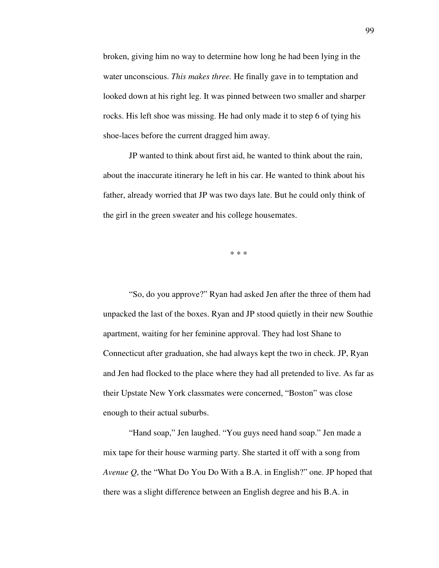broken, giving him no way to determine how long he had been lying in the water unconscious. *This makes three.* He finally gave in to temptation and looked down at his right leg. It was pinned between two smaller and sharper rocks. His left shoe was missing. He had only made it to step 6 of tying his shoe-laces before the current dragged him away.

 JP wanted to think about first aid, he wanted to think about the rain, about the inaccurate itinerary he left in his car. He wanted to think about his father, already worried that JP was two days late. But he could only think of the girl in the green sweater and his college housemates.

\* \* \*

 "So, do you approve?" Ryan had asked Jen after the three of them had unpacked the last of the boxes. Ryan and JP stood quietly in their new Southie apartment, waiting for her feminine approval. They had lost Shane to Connecticut after graduation, she had always kept the two in check. JP, Ryan and Jen had flocked to the place where they had all pretended to live. As far as their Upstate New York classmates were concerned, "Boston" was close enough to their actual suburbs.

 "Hand soap," Jen laughed. "You guys need hand soap." Jen made a mix tape for their house warming party. She started it off with a song from *Avenue Q*, the "What Do You Do With a B.A. in English?" one. JP hoped that there was a slight difference between an English degree and his B.A. in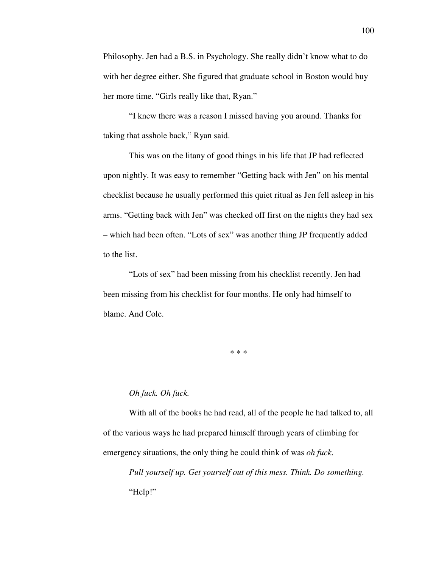Philosophy. Jen had a B.S. in Psychology. She really didn't know what to do with her degree either. She figured that graduate school in Boston would buy her more time. "Girls really like that, Ryan."

 "I knew there was a reason I missed having you around. Thanks for taking that asshole back," Ryan said.

 This was on the litany of good things in his life that JP had reflected upon nightly. It was easy to remember "Getting back with Jen" on his mental checklist because he usually performed this quiet ritual as Jen fell asleep in his arms. "Getting back with Jen" was checked off first on the nights they had sex – which had been often. "Lots of sex" was another thing JP frequently added to the list.

 "Lots of sex" had been missing from his checklist recently. Jen had been missing from his checklist for four months. He only had himself to blame. And Cole.

\* \* \*

## *Oh fuck. Oh fuck.*

 With all of the books he had read, all of the people he had talked to, all of the various ways he had prepared himself through years of climbing for emergency situations, the only thing he could think of was *oh fuck*.

 *Pull yourself up. Get yourself out of this mess. Think. Do something.*  "Help!"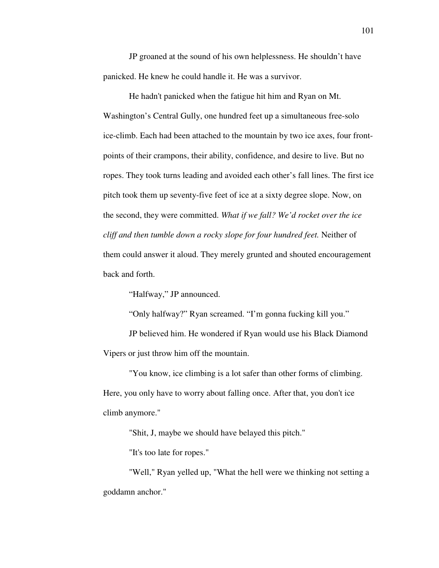JP groaned at the sound of his own helplessness. He shouldn't have panicked. He knew he could handle it. He was a survivor.

 He hadn't panicked when the fatigue hit him and Ryan on Mt. Washington's Central Gully, one hundred feet up a simultaneous free-solo ice-climb. Each had been attached to the mountain by two ice axes, four frontpoints of their crampons, their ability, confidence, and desire to live. But no ropes. They took turns leading and avoided each other's fall lines. The first ice pitch took them up seventy-five feet of ice at a sixty degree slope. Now, on the second, they were committed. *What if we fall? We'd rocket over the ice cliff and then tumble down a rocky slope for four hundred feet.* Neither of them could answer it aloud. They merely grunted and shouted encouragement back and forth.

"Halfway," JP announced.

"Only halfway?" Ryan screamed. "I'm gonna fucking kill you."

 JP believed him. He wondered if Ryan would use his Black Diamond Vipers or just throw him off the mountain.

 "You know, ice climbing is a lot safer than other forms of climbing. Here, you only have to worry about falling once. After that, you don't ice climb anymore."

"Shit, J, maybe we should have belayed this pitch."

"It's too late for ropes."

 "Well," Ryan yelled up, "What the hell were we thinking not setting a goddamn anchor."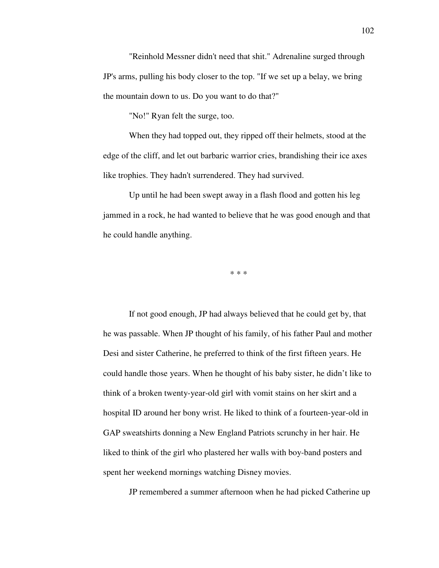"Reinhold Messner didn't need that shit." Adrenaline surged through JP's arms, pulling his body closer to the top. "If we set up a belay, we bring the mountain down to us. Do you want to do that?"

"No!" Ryan felt the surge, too.

 When they had topped out, they ripped off their helmets, stood at the edge of the cliff, and let out barbaric warrior cries, brandishing their ice axes like trophies. They hadn't surrendered. They had survived.

 Up until he had been swept away in a flash flood and gotten his leg jammed in a rock, he had wanted to believe that he was good enough and that he could handle anything.

\* \* \*

 If not good enough, JP had always believed that he could get by, that he was passable. When JP thought of his family, of his father Paul and mother Desi and sister Catherine, he preferred to think of the first fifteen years. He could handle those years. When he thought of his baby sister, he didn't like to think of a broken twenty-year-old girl with vomit stains on her skirt and a hospital ID around her bony wrist. He liked to think of a fourteen-year-old in GAP sweatshirts donning a New England Patriots scrunchy in her hair. He liked to think of the girl who plastered her walls with boy-band posters and spent her weekend mornings watching Disney movies.

JP remembered a summer afternoon when he had picked Catherine up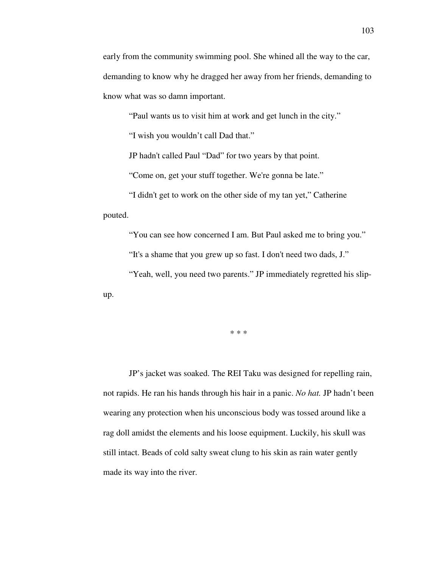early from the community swimming pool. She whined all the way to the car, demanding to know why he dragged her away from her friends, demanding to know what was so damn important.

"Paul wants us to visit him at work and get lunch in the city."

"I wish you wouldn't call Dad that."

JP hadn't called Paul "Dad" for two years by that point.

"Come on, get your stuff together. We're gonna be late."

 "I didn't get to work on the other side of my tan yet," Catherine pouted.

"You can see how concerned I am. But Paul asked me to bring you."

"It's a shame that you grew up so fast. I don't need two dads, J."

"Yeah, well, you need two parents." JP immediately regretted his slip-

up.

\* \* \*

 JP's jacket was soaked. The REI Taku was designed for repelling rain, not rapids. He ran his hands through his hair in a panic. *No hat.* JP hadn't been wearing any protection when his unconscious body was tossed around like a rag doll amidst the elements and his loose equipment. Luckily, his skull was still intact. Beads of cold salty sweat clung to his skin as rain water gently made its way into the river.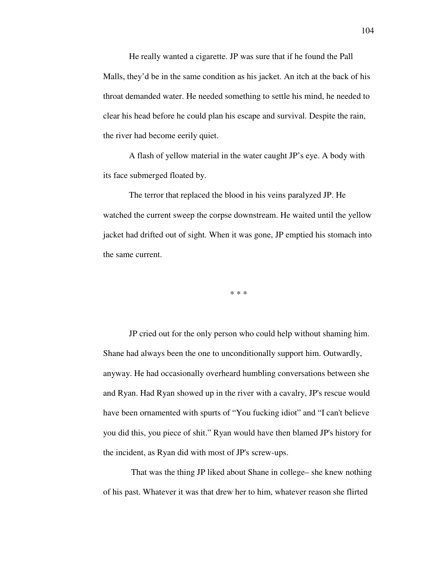He really wanted a cigarette. JP was sure that if he found the Pall Malls, they'd be in the same condition as his jacket. An itch at the back of his throat demanded water. He needed something to settle his mind, he needed to clear his head before he could plan his escape and survival. Despite the rain, the river had become eerily quiet.

 A flash of yellow material in the water caught JP's eye. A body with its face submerged floated by.

 The terror that replaced the blood in his veins paralyzed JP. He watched the current sweep the corpse downstream. He waited until the yellow jacket had drifted out of sight. When it was gone, JP emptied his stomach into the same current.

\* \* \*

 JP cried out for the only person who could help without shaming him. Shane had always been the one to unconditionally support him. Outwardly, anyway. He had occasionally overheard humbling conversations between she and Ryan. Had Ryan showed up in the river with a cavalry, JP's rescue would have been ornamented with spurts of "You fucking idiot" and "I can't believe you did this, you piece of shit." Ryan would have then blamed JP's history for the incident, as Ryan did with most of JP's screw-ups.

 That was the thing JP liked about Shane in college– she knew nothing of his past. Whatever it was that drew her to him, whatever reason she flirted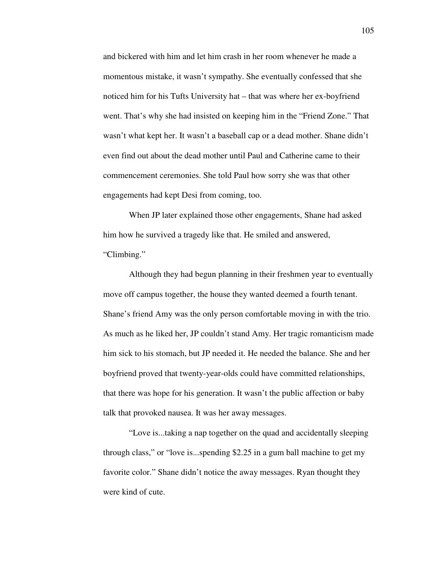and bickered with him and let him crash in her room whenever he made a momentous mistake, it wasn't sympathy. She eventually confessed that she noticed him for his Tufts University hat – that was where her ex-boyfriend went. That's why she had insisted on keeping him in the "Friend Zone." That wasn't what kept her. It wasn't a baseball cap or a dead mother. Shane didn't even find out about the dead mother until Paul and Catherine came to their commencement ceremonies. She told Paul how sorry she was that other engagements had kept Desi from coming, too.

 When JP later explained those other engagements, Shane had asked him how he survived a tragedy like that. He smiled and answered, "Climbing."

 Although they had begun planning in their freshmen year to eventually move off campus together, the house they wanted deemed a fourth tenant. Shane's friend Amy was the only person comfortable moving in with the trio. As much as he liked her, JP couldn't stand Amy. Her tragic romanticism made him sick to his stomach, but JP needed it. He needed the balance. She and her boyfriend proved that twenty-year-olds could have committed relationships, that there was hope for his generation. It wasn't the public affection or baby talk that provoked nausea. It was her away messages.

 "Love is...taking a nap together on the quad and accidentally sleeping through class," or "love is...spending \$2.25 in a gum ball machine to get my favorite color." Shane didn't notice the away messages. Ryan thought they were kind of cute.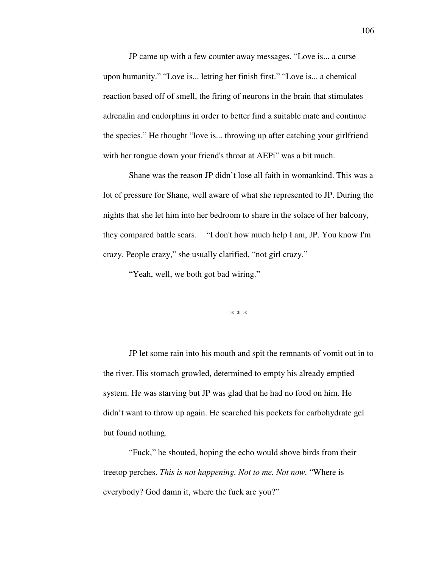JP came up with a few counter away messages. "Love is... a curse upon humanity." "Love is... letting her finish first." "Love is... a chemical reaction based off of smell, the firing of neurons in the brain that stimulates adrenalin and endorphins in order to better find a suitable mate and continue the species." He thought "love is... throwing up after catching your girlfriend with her tongue down your friend's throat at AEPi" was a bit much.

 Shane was the reason JP didn't lose all faith in womankind. This was a lot of pressure for Shane, well aware of what she represented to JP. During the nights that she let him into her bedroom to share in the solace of her balcony, they compared battle scars. "I don't how much help I am, JP. You know I'm crazy. People crazy," she usually clarified, "not girl crazy."

"Yeah, well, we both got bad wiring."

\* \* \*

 JP let some rain into his mouth and spit the remnants of vomit out in to the river. His stomach growled, determined to empty his already emptied system. He was starving but JP was glad that he had no food on him. He didn't want to throw up again. He searched his pockets for carbohydrate gel but found nothing.

 "Fuck," he shouted, hoping the echo would shove birds from their treetop perches. *This is not happening. Not to me. Not now.* "Where is everybody? God damn it, where the fuck are you?"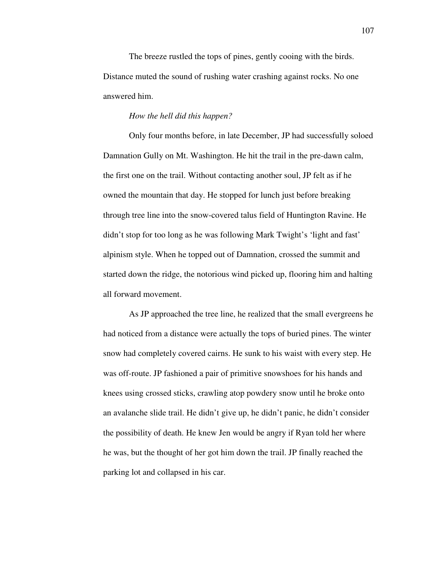The breeze rustled the tops of pines, gently cooing with the birds. Distance muted the sound of rushing water crashing against rocks. No one answered him.

## *How the hell did this happen?*

 Only four months before, in late December, JP had successfully soloed Damnation Gully on Mt. Washington. He hit the trail in the pre-dawn calm, the first one on the trail. Without contacting another soul, JP felt as if he owned the mountain that day. He stopped for lunch just before breaking through tree line into the snow-covered talus field of Huntington Ravine. He didn't stop for too long as he was following Mark Twight's 'light and fast' alpinism style. When he topped out of Damnation, crossed the summit and started down the ridge, the notorious wind picked up, flooring him and halting all forward movement.

 As JP approached the tree line, he realized that the small evergreens he had noticed from a distance were actually the tops of buried pines. The winter snow had completely covered cairns. He sunk to his waist with every step. He was off-route. JP fashioned a pair of primitive snowshoes for his hands and knees using crossed sticks, crawling atop powdery snow until he broke onto an avalanche slide trail. He didn't give up, he didn't panic, he didn't consider the possibility of death. He knew Jen would be angry if Ryan told her where he was, but the thought of her got him down the trail. JP finally reached the parking lot and collapsed in his car.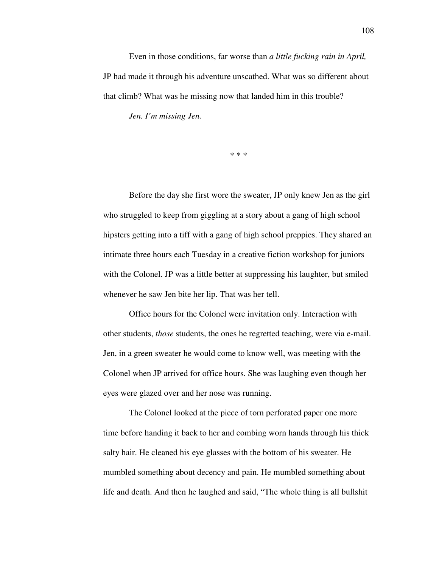Even in those conditions, far worse than *a little fucking rain in April,*  JP had made it through his adventure unscathed. What was so different about that climb? What was he missing now that landed him in this trouble?

*Jen. I'm missing Jen.*

\* \* \*

 Before the day she first wore the sweater, JP only knew Jen as the girl who struggled to keep from giggling at a story about a gang of high school hipsters getting into a tiff with a gang of high school preppies. They shared an intimate three hours each Tuesday in a creative fiction workshop for juniors with the Colonel. JP was a little better at suppressing his laughter, but smiled whenever he saw Jen bite her lip. That was her tell.

 Office hours for the Colonel were invitation only. Interaction with other students, *those* students, the ones he regretted teaching, were via e-mail. Jen, in a green sweater he would come to know well, was meeting with the Colonel when JP arrived for office hours. She was laughing even though her eyes were glazed over and her nose was running.

 The Colonel looked at the piece of torn perforated paper one more time before handing it back to her and combing worn hands through his thick salty hair. He cleaned his eye glasses with the bottom of his sweater. He mumbled something about decency and pain. He mumbled something about life and death. And then he laughed and said, "The whole thing is all bullshit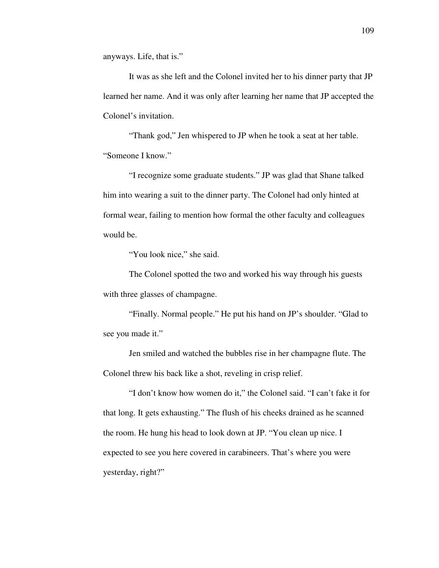anyways. Life, that is."

 It was as she left and the Colonel invited her to his dinner party that JP learned her name. And it was only after learning her name that JP accepted the Colonel's invitation.

 "Thank god," Jen whispered to JP when he took a seat at her table. "Someone I know."

 "I recognize some graduate students." JP was glad that Shane talked him into wearing a suit to the dinner party. The Colonel had only hinted at formal wear, failing to mention how formal the other faculty and colleagues would be.

"You look nice," she said.

 The Colonel spotted the two and worked his way through his guests with three glasses of champagne.

 "Finally. Normal people." He put his hand on JP's shoulder. "Glad to see you made it."

 Jen smiled and watched the bubbles rise in her champagne flute. The Colonel threw his back like a shot, reveling in crisp relief.

 "I don't know how women do it," the Colonel said. "I can't fake it for that long. It gets exhausting." The flush of his cheeks drained as he scanned the room. He hung his head to look down at JP. "You clean up nice. I expected to see you here covered in carabineers. That's where you were yesterday, right?"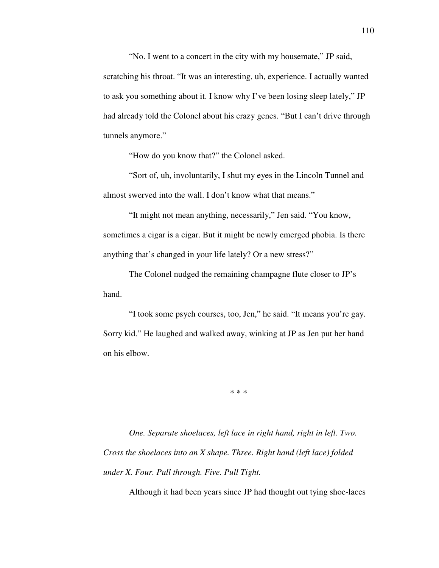"No. I went to a concert in the city with my housemate," JP said, scratching his throat. "It was an interesting, uh, experience. I actually wanted to ask you something about it. I know why I've been losing sleep lately," JP had already told the Colonel about his crazy genes. "But I can't drive through tunnels anymore."

"How do you know that?" the Colonel asked.

 "Sort of, uh, involuntarily, I shut my eyes in the Lincoln Tunnel and almost swerved into the wall. I don't know what that means."

 "It might not mean anything, necessarily," Jen said. "You know, sometimes a cigar is a cigar. But it might be newly emerged phobia. Is there anything that's changed in your life lately? Or a new stress?"

 The Colonel nudged the remaining champagne flute closer to JP's hand.

 "I took some psych courses, too, Jen," he said. "It means you're gay. Sorry kid." He laughed and walked away, winking at JP as Jen put her hand on his elbow.

\* \* \*

*One. Separate shoelaces, left lace in right hand, right in left. Two. Cross the shoelaces into an X shape. Three. Right hand (left lace) folded under X. Four. Pull through. Five. Pull Tight.* 

Although it had been years since JP had thought out tying shoe-laces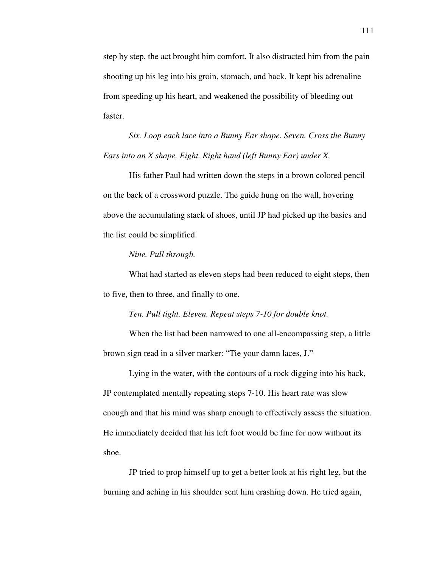step by step, the act brought him comfort. It also distracted him from the pain shooting up his leg into his groin, stomach, and back. It kept his adrenaline from speeding up his heart, and weakened the possibility of bleeding out faster.

*Six. Loop each lace into a Bunny Ear shape. Seven. Cross the Bunny Ears into an X shape. Eight. Right hand (left Bunny Ear) under X.* 

His father Paul had written down the steps in a brown colored pencil on the back of a crossword puzzle. The guide hung on the wall, hovering above the accumulating stack of shoes, until JP had picked up the basics and the list could be simplified.

## *Nine. Pull through.*

What had started as eleven steps had been reduced to eight steps, then to five, then to three, and finally to one.

*Ten. Pull tight. Eleven. Repeat steps 7-10 for double knot.* 

 When the list had been narrowed to one all-encompassing step, a little brown sign read in a silver marker: "Tie your damn laces, J."

 Lying in the water, with the contours of a rock digging into his back, JP contemplated mentally repeating steps 7-10. His heart rate was slow enough and that his mind was sharp enough to effectively assess the situation. He immediately decided that his left foot would be fine for now without its shoe.

 JP tried to prop himself up to get a better look at his right leg, but the burning and aching in his shoulder sent him crashing down. He tried again,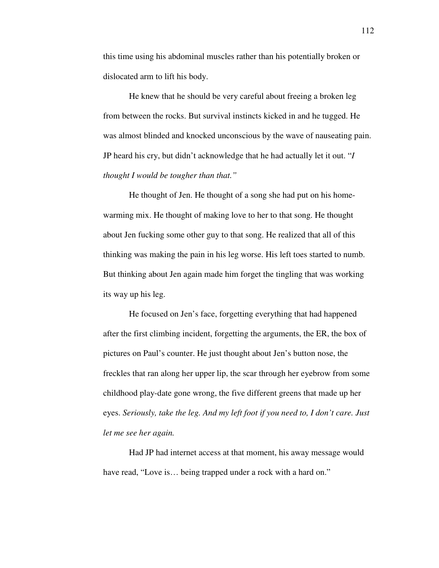this time using his abdominal muscles rather than his potentially broken or dislocated arm to lift his body.

 He knew that he should be very careful about freeing a broken leg from between the rocks. But survival instincts kicked in and he tugged. He was almost blinded and knocked unconscious by the wave of nauseating pain. JP heard his cry, but didn't acknowledge that he had actually let it out. "*I thought I would be tougher than that."*

 He thought of Jen. He thought of a song she had put on his homewarming mix. He thought of making love to her to that song. He thought about Jen fucking some other guy to that song. He realized that all of this thinking was making the pain in his leg worse. His left toes started to numb. But thinking about Jen again made him forget the tingling that was working its way up his leg.

 He focused on Jen's face, forgetting everything that had happened after the first climbing incident, forgetting the arguments, the ER, the box of pictures on Paul's counter. He just thought about Jen's button nose, the freckles that ran along her upper lip, the scar through her eyebrow from some childhood play-date gone wrong, the five different greens that made up her eyes. *Seriously, take the leg. And my left foot if you need to, I don't care. Just let me see her again.* 

 Had JP had internet access at that moment, his away message would have read, "Love is... being trapped under a rock with a hard on."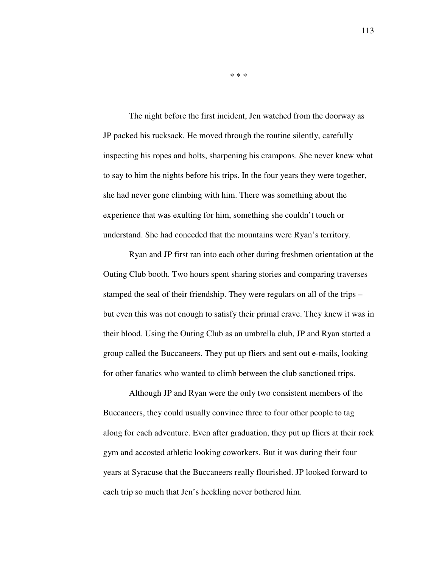The night before the first incident, Jen watched from the doorway as JP packed his rucksack. He moved through the routine silently, carefully inspecting his ropes and bolts, sharpening his crampons. She never knew what to say to him the nights before his trips. In the four years they were together, she had never gone climbing with him. There was something about the experience that was exulting for him, something she couldn't touch or understand. She had conceded that the mountains were Ryan's territory.

 Ryan and JP first ran into each other during freshmen orientation at the Outing Club booth. Two hours spent sharing stories and comparing traverses stamped the seal of their friendship. They were regulars on all of the trips – but even this was not enough to satisfy their primal crave. They knew it was in their blood. Using the Outing Club as an umbrella club, JP and Ryan started a group called the Buccaneers. They put up fliers and sent out e-mails, looking for other fanatics who wanted to climb between the club sanctioned trips.

 Although JP and Ryan were the only two consistent members of the Buccaneers, they could usually convince three to four other people to tag along for each adventure. Even after graduation, they put up fliers at their rock gym and accosted athletic looking coworkers. But it was during their four years at Syracuse that the Buccaneers really flourished. JP looked forward to each trip so much that Jen's heckling never bothered him.

113

\* \* \*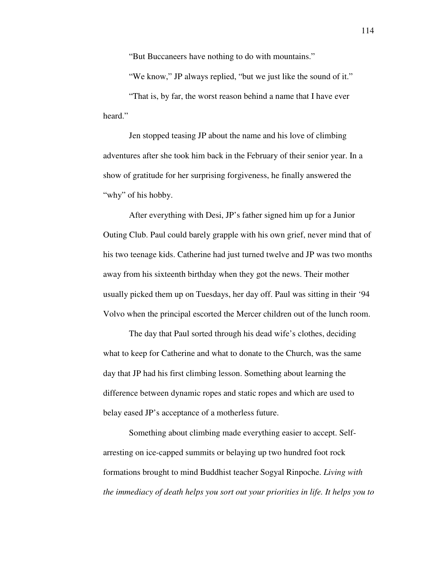"But Buccaneers have nothing to do with mountains."

"We know," JP always replied, "but we just like the sound of it."

 "That is, by far, the worst reason behind a name that I have ever heard."

 Jen stopped teasing JP about the name and his love of climbing adventures after she took him back in the February of their senior year. In a show of gratitude for her surprising forgiveness, he finally answered the "why" of his hobby.

 After everything with Desi, JP's father signed him up for a Junior Outing Club. Paul could barely grapple with his own grief, never mind that of his two teenage kids. Catherine had just turned twelve and JP was two months away from his sixteenth birthday when they got the news. Their mother usually picked them up on Tuesdays, her day off. Paul was sitting in their '94 Volvo when the principal escorted the Mercer children out of the lunch room.

 The day that Paul sorted through his dead wife's clothes, deciding what to keep for Catherine and what to donate to the Church, was the same day that JP had his first climbing lesson. Something about learning the difference between dynamic ropes and static ropes and which are used to belay eased JP's acceptance of a motherless future.

 Something about climbing made everything easier to accept. Selfarresting on ice-capped summits or belaying up two hundred foot rock formations brought to mind Buddhist teacher Sogyal Rinpoche. *Living with the immediacy of death helps you sort out your priorities in life. It helps you to*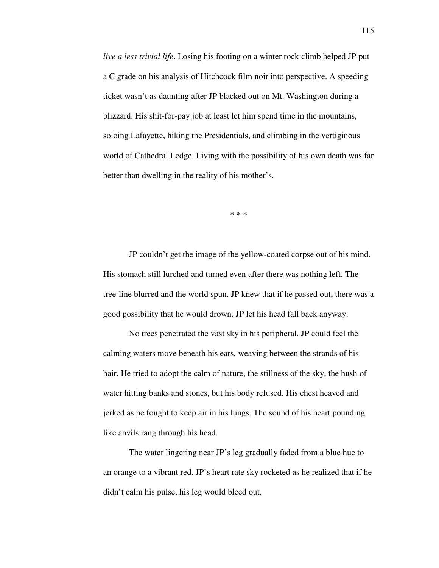*live a less trivial life*. Losing his footing on a winter rock climb helped JP put a C grade on his analysis of Hitchcock film noir into perspective. A speeding ticket wasn't as daunting after JP blacked out on Mt. Washington during a blizzard. His shit-for-pay job at least let him spend time in the mountains, soloing Lafayette, hiking the Presidentials, and climbing in the vertiginous world of Cathedral Ledge. Living with the possibility of his own death was far better than dwelling in the reality of his mother's.

\* \* \*

 JP couldn't get the image of the yellow-coated corpse out of his mind. His stomach still lurched and turned even after there was nothing left. The tree-line blurred and the world spun. JP knew that if he passed out, there was a good possibility that he would drown. JP let his head fall back anyway.

 No trees penetrated the vast sky in his peripheral. JP could feel the calming waters move beneath his ears, weaving between the strands of his hair. He tried to adopt the calm of nature, the stillness of the sky, the hush of water hitting banks and stones, but his body refused. His chest heaved and jerked as he fought to keep air in his lungs. The sound of his heart pounding like anvils rang through his head.

 The water lingering near JP's leg gradually faded from a blue hue to an orange to a vibrant red. JP's heart rate sky rocketed as he realized that if he didn't calm his pulse, his leg would bleed out.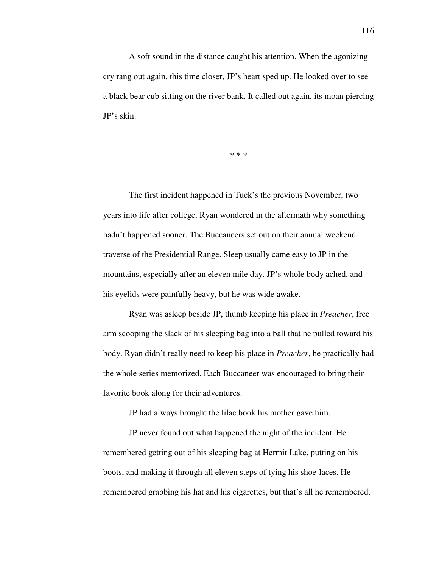A soft sound in the distance caught his attention. When the agonizing cry rang out again, this time closer, JP's heart sped up. He looked over to see a black bear cub sitting on the river bank. It called out again, its moan piercing JP's skin.

\* \* \*

 The first incident happened in Tuck's the previous November, two years into life after college. Ryan wondered in the aftermath why something hadn't happened sooner. The Buccaneers set out on their annual weekend traverse of the Presidential Range. Sleep usually came easy to JP in the mountains, especially after an eleven mile day. JP's whole body ached, and his eyelids were painfully heavy, but he was wide awake.

 Ryan was asleep beside JP, thumb keeping his place in *Preacher*, free arm scooping the slack of his sleeping bag into a ball that he pulled toward his body. Ryan didn't really need to keep his place in *Preacher*, he practically had the whole series memorized. Each Buccaneer was encouraged to bring their favorite book along for their adventures.

JP had always brought the lilac book his mother gave him.

 JP never found out what happened the night of the incident. He remembered getting out of his sleeping bag at Hermit Lake, putting on his boots, and making it through all eleven steps of tying his shoe-laces. He remembered grabbing his hat and his cigarettes, but that's all he remembered.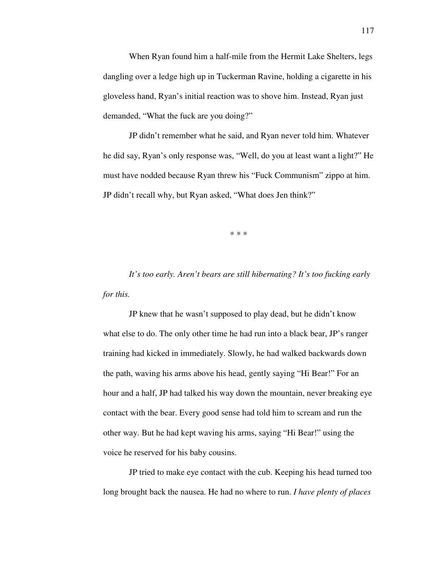When Ryan found him a half-mile from the Hermit Lake Shelters, legs dangling over a ledge high up in Tuckerman Ravine, holding a cigarette in his gloveless hand, Ryan's initial reaction was to shove him. Instead, Ryan just demanded, "What the fuck are you doing?"

 JP didn't remember what he said, and Ryan never told him. Whatever he did say, Ryan's only response was, "Well, do you at least want a light?" He must have nodded because Ryan threw his "Fuck Communism" zippo at him. JP didn't recall why, but Ryan asked, "What does Jen think?"

\* \* \*

*It's too early. Aren't bears are still hibernating? It's too fucking early for this.* 

JP knew that he wasn't supposed to play dead, but he didn't know what else to do. The only other time he had run into a black bear, JP's ranger training had kicked in immediately. Slowly, he had walked backwards down the path, waving his arms above his head, gently saying "Hi Bear!" For an hour and a half, JP had talked his way down the mountain, never breaking eye contact with the bear. Every good sense had told him to scream and run the other way. But he had kept waving his arms, saying "Hi Bear!" using the voice he reserved for his baby cousins.

 JP tried to make eye contact with the cub. Keeping his head turned too long brought back the nausea. He had no where to run. *I have plenty of places*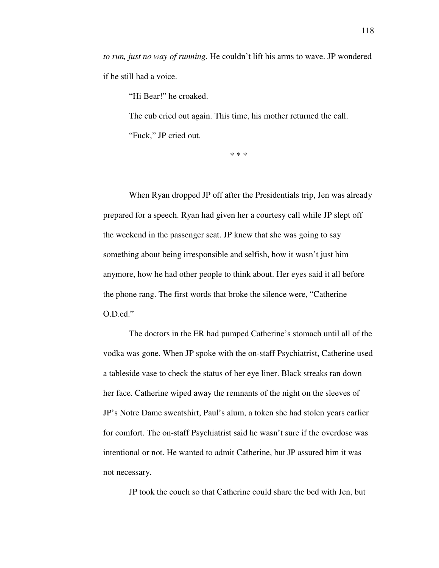*to run, just no way of running.* He couldn't lift his arms to wave. JP wondered if he still had a voice.

"Hi Bear!" he croaked.

 The cub cried out again. This time, his mother returned the call. "Fuck," JP cried out.

\* \* \*

 When Ryan dropped JP off after the Presidentials trip, Jen was already prepared for a speech. Ryan had given her a courtesy call while JP slept off the weekend in the passenger seat. JP knew that she was going to say something about being irresponsible and selfish, how it wasn't just him anymore, how he had other people to think about. Her eyes said it all before the phone rang. The first words that broke the silence were, "Catherine O.D.ed."

 The doctors in the ER had pumped Catherine's stomach until all of the vodka was gone. When JP spoke with the on-staff Psychiatrist, Catherine used a tableside vase to check the status of her eye liner. Black streaks ran down her face. Catherine wiped away the remnants of the night on the sleeves of JP's Notre Dame sweatshirt, Paul's alum, a token she had stolen years earlier for comfort. The on-staff Psychiatrist said he wasn't sure if the overdose was intentional or not. He wanted to admit Catherine, but JP assured him it was not necessary.

JP took the couch so that Catherine could share the bed with Jen, but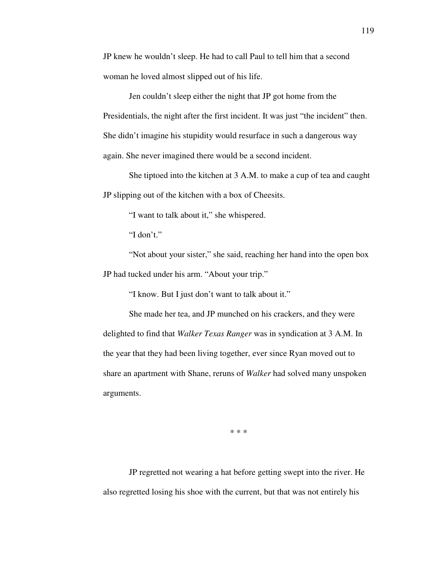JP knew he wouldn't sleep. He had to call Paul to tell him that a second woman he loved almost slipped out of his life.

 Jen couldn't sleep either the night that JP got home from the Presidentials, the night after the first incident. It was just "the incident" then. She didn't imagine his stupidity would resurface in such a dangerous way again. She never imagined there would be a second incident.

 She tiptoed into the kitchen at 3 A.M. to make a cup of tea and caught JP slipping out of the kitchen with a box of Cheesits.

"I want to talk about it," she whispered.

"I don't."

 "Not about your sister," she said, reaching her hand into the open box JP had tucked under his arm. "About your trip."

"I know. But I just don't want to talk about it."

 She made her tea, and JP munched on his crackers, and they were delighted to find that *Walker Texas Ranger* was in syndication at 3 A.M. In the year that they had been living together, ever since Ryan moved out to share an apartment with Shane, reruns of *Walker* had solved many unspoken arguments.

\* \* \*

 JP regretted not wearing a hat before getting swept into the river. He also regretted losing his shoe with the current, but that was not entirely his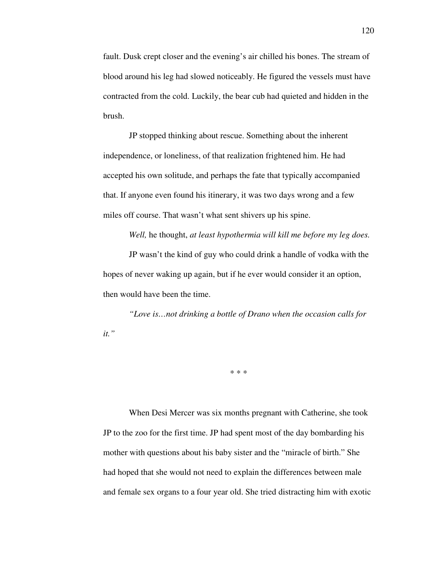fault. Dusk crept closer and the evening's air chilled his bones. The stream of blood around his leg had slowed noticeably. He figured the vessels must have contracted from the cold. Luckily, the bear cub had quieted and hidden in the brush.

 JP stopped thinking about rescue. Something about the inherent independence, or loneliness, of that realization frightened him. He had accepted his own solitude, and perhaps the fate that typically accompanied that. If anyone even found his itinerary, it was two days wrong and a few miles off course. That wasn't what sent shivers up his spine.

*Well,* he thought, *at least hypothermia will kill me before my leg does.* 

 JP wasn't the kind of guy who could drink a handle of vodka with the hopes of never waking up again, but if he ever would consider it an option, then would have been the time.

*"Love is…not drinking a bottle of Drano when the occasion calls for it."* 

\* \* \*

 When Desi Mercer was six months pregnant with Catherine, she took JP to the zoo for the first time. JP had spent most of the day bombarding his mother with questions about his baby sister and the "miracle of birth." She had hoped that she would not need to explain the differences between male and female sex organs to a four year old. She tried distracting him with exotic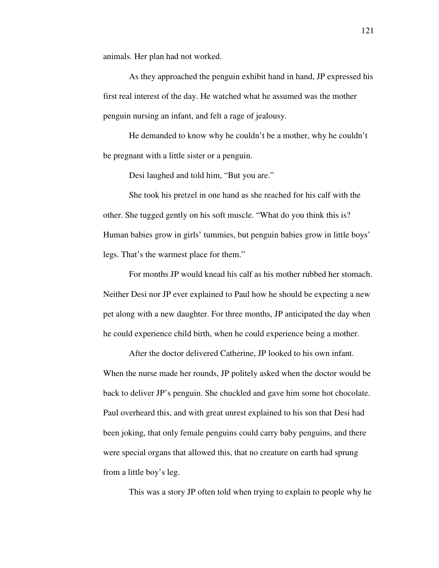animals. Her plan had not worked.

 As they approached the penguin exhibit hand in hand, JP expressed his first real interest of the day. He watched what he assumed was the mother penguin nursing an infant, and felt a rage of jealousy.

 He demanded to know why he couldn't be a mother, why he couldn't be pregnant with a little sister or a penguin.

Desi laughed and told him, "But you are."

 She took his pretzel in one hand as she reached for his calf with the other. She tugged gently on his soft muscle. "What do you think this is? Human babies grow in girls' tummies, but penguin babies grow in little boys' legs. That's the warmest place for them."

 For months JP would knead his calf as his mother rubbed her stomach. Neither Desi nor JP ever explained to Paul how he should be expecting a new pet along with a new daughter. For three months, JP anticipated the day when he could experience child birth, when he could experience being a mother.

 After the doctor delivered Catherine, JP looked to his own infant. When the nurse made her rounds, JP politely asked when the doctor would be back to deliver JP's penguin. She chuckled and gave him some hot chocolate. Paul overheard this, and with great unrest explained to his son that Desi had been joking, that only female penguins could carry baby penguins, and there were special organs that allowed this, that no creature on earth had sprung from a little boy's leg.

This was a story JP often told when trying to explain to people why he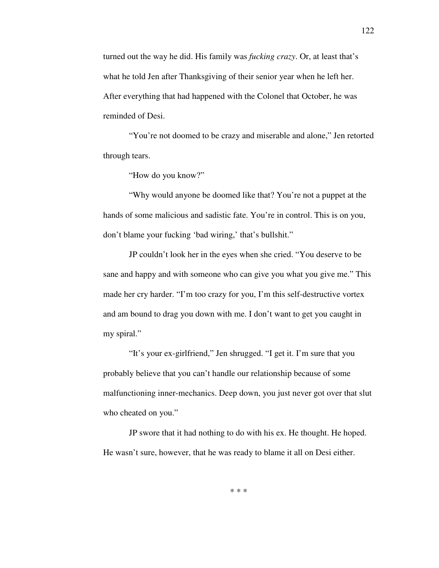turned out the way he did. His family was *fucking crazy*. Or, at least that's what he told Jen after Thanksgiving of their senior year when he left her. After everything that had happened with the Colonel that October, he was reminded of Desi.

 "You're not doomed to be crazy and miserable and alone," Jen retorted through tears.

"How do you know?"

 "Why would anyone be doomed like that? You're not a puppet at the hands of some malicious and sadistic fate. You're in control. This is on you, don't blame your fucking 'bad wiring,' that's bullshit."

 JP couldn't look her in the eyes when she cried. "You deserve to be sane and happy and with someone who can give you what you give me." This made her cry harder. "I'm too crazy for you, I'm this self-destructive vortex and am bound to drag you down with me. I don't want to get you caught in my spiral."

 "It's your ex-girlfriend," Jen shrugged. "I get it. I'm sure that you probably believe that you can't handle our relationship because of some malfunctioning inner-mechanics. Deep down, you just never got over that slut who cheated on you."

 JP swore that it had nothing to do with his ex. He thought. He hoped. He wasn't sure, however, that he was ready to blame it all on Desi either.

\* \* \*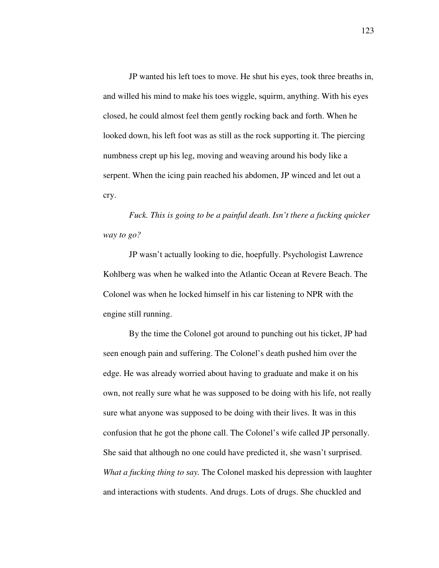JP wanted his left toes to move. He shut his eyes, took three breaths in, and willed his mind to make his toes wiggle, squirm, anything. With his eyes closed, he could almost feel them gently rocking back and forth. When he looked down, his left foot was as still as the rock supporting it. The piercing numbness crept up his leg, moving and weaving around his body like a serpent. When the icing pain reached his abdomen, JP winced and let out a cry.

*Fuck. This is going to be a painful death*. *Isn't there a fucking quicker way to go?*

 JP wasn't actually looking to die, hoepfully. Psychologist Lawrence Kohlberg was when he walked into the Atlantic Ocean at Revere Beach. The Colonel was when he locked himself in his car listening to NPR with the engine still running.

 By the time the Colonel got around to punching out his ticket, JP had seen enough pain and suffering. The Colonel's death pushed him over the edge. He was already worried about having to graduate and make it on his own, not really sure what he was supposed to be doing with his life, not really sure what anyone was supposed to be doing with their lives. It was in this confusion that he got the phone call. The Colonel's wife called JP personally. She said that although no one could have predicted it, she wasn't surprised. *What a fucking thing to say.* The Colonel masked his depression with laughter and interactions with students. And drugs. Lots of drugs. She chuckled and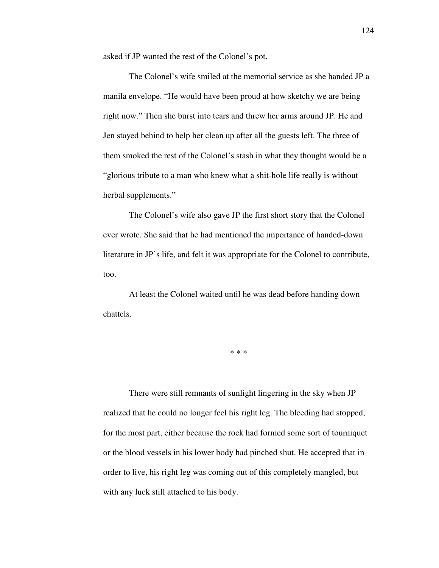asked if JP wanted the rest of the Colonel's pot.

 The Colonel's wife smiled at the memorial service as she handed JP a manila envelope. "He would have been proud at how sketchy we are being right now." Then she burst into tears and threw her arms around JP. He and Jen stayed behind to help her clean up after all the guests left. The three of them smoked the rest of the Colonel's stash in what they thought would be a "glorious tribute to a man who knew what a shit-hole life really is without herbal supplements."

 The Colonel's wife also gave JP the first short story that the Colonel ever wrote. She said that he had mentioned the importance of handed-down literature in JP's life, and felt it was appropriate for the Colonel to contribute, too.

 At least the Colonel waited until he was dead before handing down chattels.

\* \* \*

 There were still remnants of sunlight lingering in the sky when JP realized that he could no longer feel his right leg. The bleeding had stopped, for the most part, either because the rock had formed some sort of tourniquet or the blood vessels in his lower body had pinched shut. He accepted that in order to live, his right leg was coming out of this completely mangled, but with any luck still attached to his body.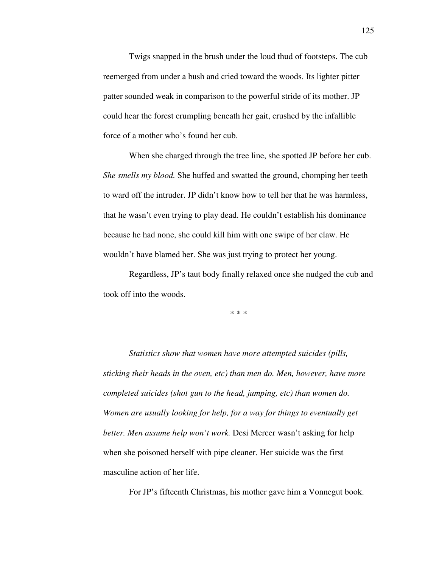Twigs snapped in the brush under the loud thud of footsteps. The cub reemerged from under a bush and cried toward the woods. Its lighter pitter patter sounded weak in comparison to the powerful stride of its mother. JP could hear the forest crumpling beneath her gait, crushed by the infallible force of a mother who's found her cub.

 When she charged through the tree line, she spotted JP before her cub. *She smells my blood.* She huffed and swatted the ground, chomping her teeth to ward off the intruder. JP didn't know how to tell her that he was harmless, that he wasn't even trying to play dead. He couldn't establish his dominance because he had none, she could kill him with one swipe of her claw. He wouldn't have blamed her. She was just trying to protect her young.

 Regardless, JP's taut body finally relaxed once she nudged the cub and took off into the woods.

\* \* \*

*Statistics show that women have more attempted suicides (pills, sticking their heads in the oven, etc) than men do. Men, however, have more completed suicides (shot gun to the head, jumping, etc) than women do. Women are usually looking for help, for a way for things to eventually get better. Men assume help won't work.* Desi Mercer wasn't asking for help when she poisoned herself with pipe cleaner. Her suicide was the first masculine action of her life.

For JP's fifteenth Christmas, his mother gave him a Vonnegut book.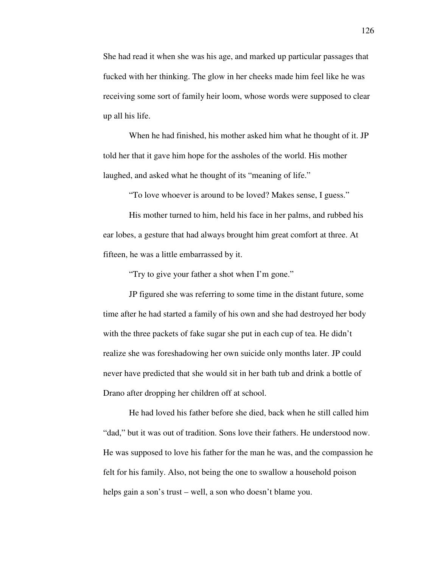She had read it when she was his age, and marked up particular passages that fucked with her thinking. The glow in her cheeks made him feel like he was receiving some sort of family heir loom, whose words were supposed to clear up all his life.

 When he had finished, his mother asked him what he thought of it. JP told her that it gave him hope for the assholes of the world. His mother laughed, and asked what he thought of its "meaning of life."

"To love whoever is around to be loved? Makes sense, I guess."

 His mother turned to him, held his face in her palms, and rubbed his ear lobes, a gesture that had always brought him great comfort at three. At fifteen, he was a little embarrassed by it.

"Try to give your father a shot when I'm gone."

 JP figured she was referring to some time in the distant future, some time after he had started a family of his own and she had destroyed her body with the three packets of fake sugar she put in each cup of tea. He didn't realize she was foreshadowing her own suicide only months later. JP could never have predicted that she would sit in her bath tub and drink a bottle of Drano after dropping her children off at school.

 He had loved his father before she died, back when he still called him "dad," but it was out of tradition. Sons love their fathers. He understood now. He was supposed to love his father for the man he was, and the compassion he felt for his family. Also, not being the one to swallow a household poison helps gain a son's trust – well, a son who doesn't blame you.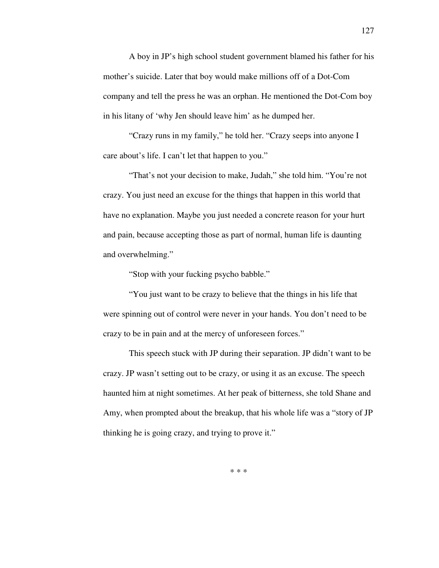A boy in JP's high school student government blamed his father for his mother's suicide. Later that boy would make millions off of a Dot-Com company and tell the press he was an orphan. He mentioned the Dot-Com boy in his litany of 'why Jen should leave him' as he dumped her.

 "Crazy runs in my family," he told her. "Crazy seeps into anyone I care about's life. I can't let that happen to you."

"That's not your decision to make, Judah," she told him. "You're not crazy. You just need an excuse for the things that happen in this world that have no explanation. Maybe you just needed a concrete reason for your hurt and pain, because accepting those as part of normal, human life is daunting and overwhelming."

"Stop with your fucking psycho babble."

 "You just want to be crazy to believe that the things in his life that were spinning out of control were never in your hands. You don't need to be crazy to be in pain and at the mercy of unforeseen forces."

 This speech stuck with JP during their separation. JP didn't want to be crazy. JP wasn't setting out to be crazy, or using it as an excuse. The speech haunted him at night sometimes. At her peak of bitterness, she told Shane and Amy, when prompted about the breakup, that his whole life was a "story of JP thinking he is going crazy, and trying to prove it."

127

\* \* \*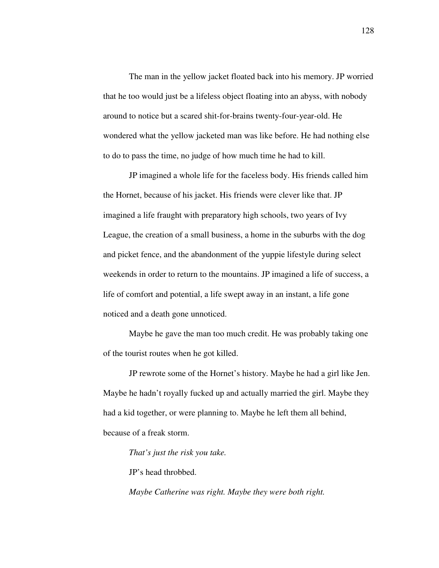The man in the yellow jacket floated back into his memory. JP worried that he too would just be a lifeless object floating into an abyss, with nobody around to notice but a scared shit-for-brains twenty-four-year-old. He wondered what the yellow jacketed man was like before. He had nothing else to do to pass the time, no judge of how much time he had to kill.

 JP imagined a whole life for the faceless body. His friends called him the Hornet, because of his jacket. His friends were clever like that. JP imagined a life fraught with preparatory high schools, two years of Ivy League, the creation of a small business, a home in the suburbs with the dog and picket fence, and the abandonment of the yuppie lifestyle during select weekends in order to return to the mountains. JP imagined a life of success, a life of comfort and potential, a life swept away in an instant, a life gone noticed and a death gone unnoticed.

 Maybe he gave the man too much credit. He was probably taking one of the tourist routes when he got killed.

 JP rewrote some of the Hornet's history. Maybe he had a girl like Jen. Maybe he hadn't royally fucked up and actually married the girl. Maybe they had a kid together, or were planning to. Maybe he left them all behind, because of a freak storm.

*That's just the risk you take.* 

JP's head throbbed.

*Maybe Catherine was right. Maybe they were both right.*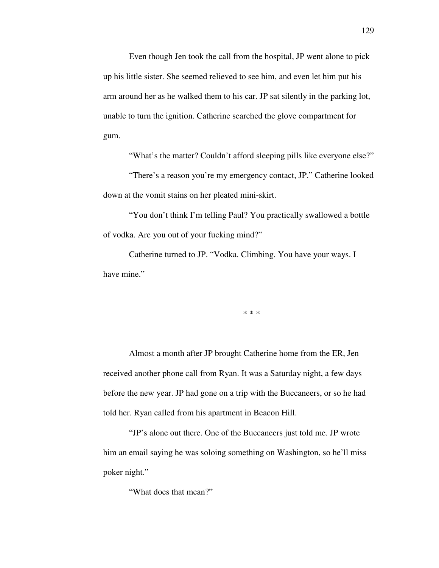Even though Jen took the call from the hospital, JP went alone to pick up his little sister. She seemed relieved to see him, and even let him put his arm around her as he walked them to his car. JP sat silently in the parking lot, unable to turn the ignition. Catherine searched the glove compartment for gum.

"What's the matter? Couldn't afford sleeping pills like everyone else?"

 "There's a reason you're my emergency contact, JP." Catherine looked down at the vomit stains on her pleated mini-skirt.

 "You don't think I'm telling Paul? You practically swallowed a bottle of vodka. Are you out of your fucking mind?"

 Catherine turned to JP. "Vodka. Climbing. You have your ways. I have mine."

\* \* \*

 Almost a month after JP brought Catherine home from the ER, Jen received another phone call from Ryan. It was a Saturday night, a few days before the new year. JP had gone on a trip with the Buccaneers, or so he had told her. Ryan called from his apartment in Beacon Hill.

 "JP's alone out there. One of the Buccaneers just told me. JP wrote him an email saying he was soloing something on Washington, so he'll miss poker night."

"What does that mean?"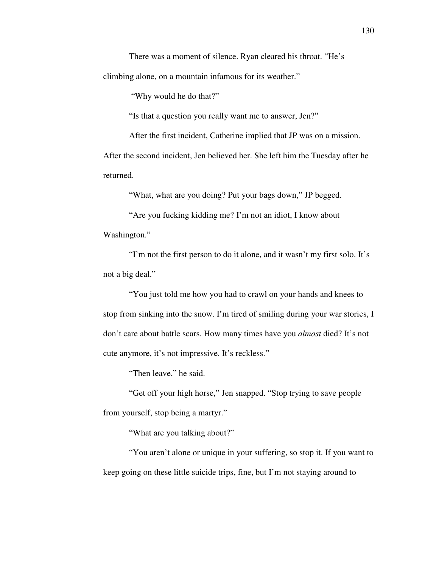There was a moment of silence. Ryan cleared his throat. "He's climbing alone, on a mountain infamous for its weather."

"Why would he do that?"

"Is that a question you really want me to answer, Jen?"

After the first incident, Catherine implied that JP was on a mission.

After the second incident, Jen believed her. She left him the Tuesday after he returned.

"What, what are you doing? Put your bags down," JP begged.

 "Are you fucking kidding me? I'm not an idiot, I know about Washington."

 "I'm not the first person to do it alone, and it wasn't my first solo. It's not a big deal."

 "You just told me how you had to crawl on your hands and knees to stop from sinking into the snow. I'm tired of smiling during your war stories, I don't care about battle scars. How many times have you *almost* died? It's not cute anymore, it's not impressive. It's reckless."

"Then leave," he said.

 "Get off your high horse," Jen snapped. "Stop trying to save people from yourself, stop being a martyr."

"What are you talking about?"

 "You aren't alone or unique in your suffering, so stop it. If you want to keep going on these little suicide trips, fine, but I'm not staying around to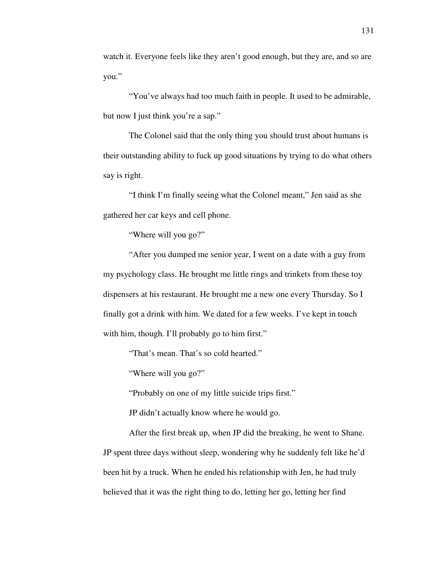watch it. Everyone feels like they aren't good enough, but they are, and so are you."

 "You've always had too much faith in people. It used to be admirable, but now I just think you're a sap."

 The Colonel said that the only thing you should trust about humans is their outstanding ability to fuck up good situations by trying to do what others say is right.

 "I think I'm finally seeing what the Colonel meant," Jen said as she gathered her car keys and cell phone.

"Where will you go?"

 "After you dumped me senior year, I went on a date with a guy from my psychology class. He brought me little rings and trinkets from these toy dispensers at his restaurant. He brought me a new one every Thursday. So I finally got a drink with him. We dated for a few weeks. I've kept in touch with him, though. I'll probably go to him first."

"That's mean. That's so cold hearted."

"Where will you go?"

"Probably on one of my little suicide trips first."

JP didn't actually know where he would go.

 After the first break up, when JP did the breaking, he went to Shane. JP spent three days without sleep, wondering why he suddenly felt like he'd been hit by a truck. When he ended his relationship with Jen, he had truly believed that it was the right thing to do, letting her go, letting her find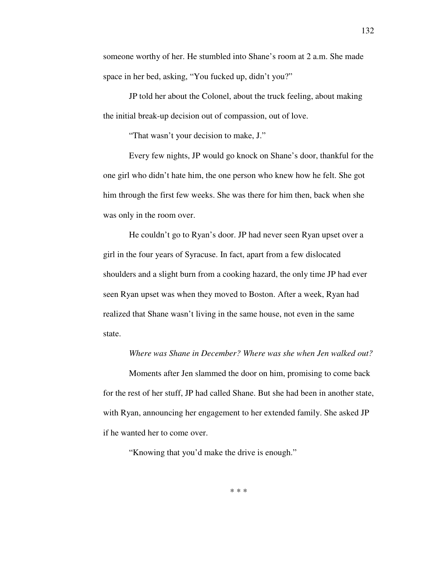someone worthy of her. He stumbled into Shane's room at 2 a.m. She made space in her bed, asking, "You fucked up, didn't you?"

 JP told her about the Colonel, about the truck feeling, about making the initial break-up decision out of compassion, out of love.

"That wasn't your decision to make, J."

 Every few nights, JP would go knock on Shane's door, thankful for the one girl who didn't hate him, the one person who knew how he felt. She got him through the first few weeks. She was there for him then, back when she was only in the room over.

 He couldn't go to Ryan's door. JP had never seen Ryan upset over a girl in the four years of Syracuse. In fact, apart from a few dislocated shoulders and a slight burn from a cooking hazard, the only time JP had ever seen Ryan upset was when they moved to Boston. After a week, Ryan had realized that Shane wasn't living in the same house, not even in the same state.

## *Where was Shane in December? Where was she when Jen walked out?*

 Moments after Jen slammed the door on him, promising to come back for the rest of her stuff, JP had called Shane. But she had been in another state, with Ryan, announcing her engagement to her extended family. She asked JP if he wanted her to come over.

"Knowing that you'd make the drive is enough."

\* \* \*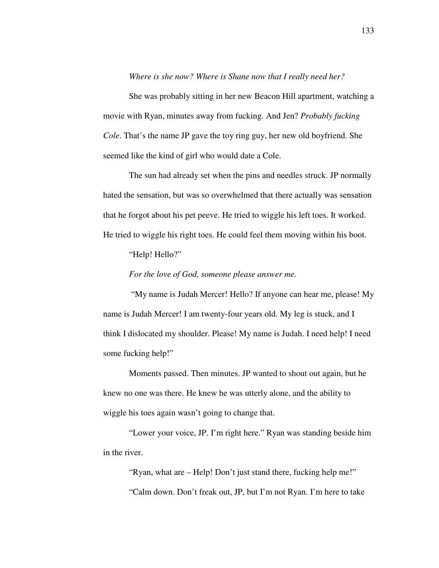*Where is she now? Where is Shane now that I really need her?*

 She was probably sitting in her new Beacon Hill apartment, watching a movie with Ryan, minutes away from fucking. And Jen? *Probably fucking Cole*. That's the name JP gave the toy ring guy, her new old boyfriend. She seemed like the kind of girl who would date a Cole.

 The sun had already set when the pins and needles struck. JP normally hated the sensation, but was so overwhelmed that there actually was sensation that he forgot about his pet peeve. He tried to wiggle his left toes. It worked. He tried to wiggle his right toes. He could feel them moving within his boot.

"Help! Hello?"

*For the love of God, someone please answer me.* 

"My name is Judah Mercer! Hello? If anyone can hear me, please! My name is Judah Mercer! I am twenty-four years old. My leg is stuck, and I think I dislocated my shoulder. Please! My name is Judah. I need help! I need some fucking help!"

 Moments passed. Then minutes. JP wanted to shout out again, but he knew no one was there. He knew he was utterly alone, and the ability to wiggle his toes again wasn't going to change that.

 "Lower your voice, JP. I'm right here." Ryan was standing beside him in the river.

 "Ryan, what are – Help! Don't just stand there, fucking help me!" "Calm down. Don't freak out, JP, but I'm not Ryan. I'm here to take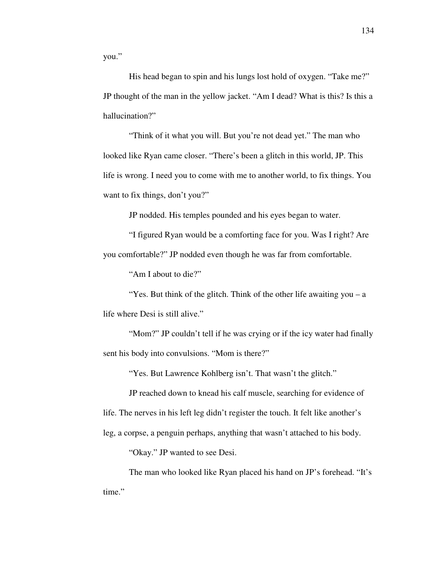you."

His head began to spin and his lungs lost hold of oxygen. "Take me?" JP thought of the man in the yellow jacket. "Am I dead? What is this? Is this a hallucination?"

 "Think of it what you will. But you're not dead yet." The man who looked like Ryan came closer. "There's been a glitch in this world, JP. This life is wrong. I need you to come with me to another world, to fix things. You want to fix things, don't you?"

JP nodded. His temples pounded and his eyes began to water.

 "I figured Ryan would be a comforting face for you. Was I right? Are you comfortable?" JP nodded even though he was far from comfortable.

"Am I about to die?"

"Yes. But think of the glitch. Think of the other life awaiting you – a life where Desi is still alive."

"Mom?" JP couldn't tell if he was crying or if the icy water had finally sent his body into convulsions. "Mom is there?"

"Yes. But Lawrence Kohlberg isn't. That wasn't the glitch."

 JP reached down to knead his calf muscle, searching for evidence of life. The nerves in his left leg didn't register the touch. It felt like another's leg, a corpse, a penguin perhaps, anything that wasn't attached to his body.

"Okay." JP wanted to see Desi.

 The man who looked like Ryan placed his hand on JP's forehead. "It's time."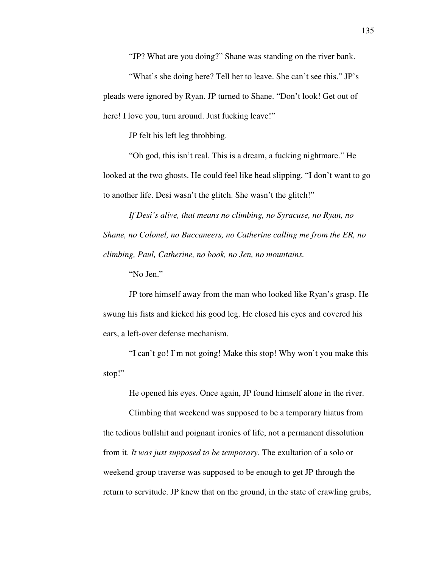"JP? What are you doing?" Shane was standing on the river bank.

"What's she doing here? Tell her to leave. She can't see this." JP's pleads were ignored by Ryan. JP turned to Shane. "Don't look! Get out of here! I love you, turn around. Just fucking leave!"

JP felt his left leg throbbing.

 "Oh god, this isn't real. This is a dream, a fucking nightmare." He looked at the two ghosts. He could feel like head slipping. "I don't want to go to another life. Desi wasn't the glitch. She wasn't the glitch!"

*If Desi's alive, that means no climbing, no Syracuse, no Ryan, no Shane, no Colonel, no Buccaneers, no Catherine calling me from the ER, no climbing, Paul, Catherine, no book, no Jen, no mountains.* 

"No Jen."

 JP tore himself away from the man who looked like Ryan's grasp. He swung his fists and kicked his good leg. He closed his eyes and covered his ears, a left-over defense mechanism.

 "I can't go! I'm not going! Make this stop! Why won't you make this stop!"

He opened his eyes. Once again, JP found himself alone in the river.

 Climbing that weekend was supposed to be a temporary hiatus from the tedious bullshit and poignant ironies of life, not a permanent dissolution from it. *It was just supposed to be temporary*. The exultation of a solo or weekend group traverse was supposed to be enough to get JP through the return to servitude. JP knew that on the ground, in the state of crawling grubs,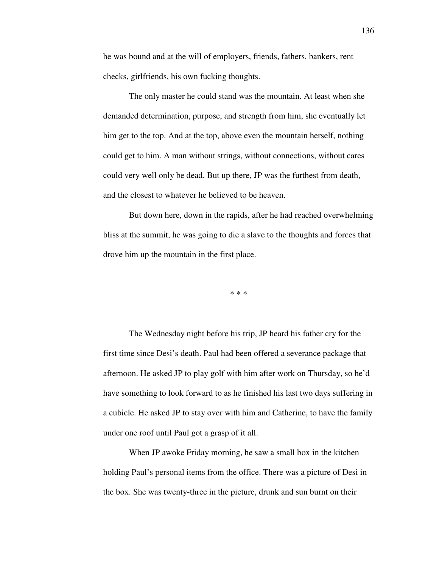he was bound and at the will of employers, friends, fathers, bankers, rent checks, girlfriends, his own fucking thoughts.

 The only master he could stand was the mountain. At least when she demanded determination, purpose, and strength from him, she eventually let him get to the top. And at the top, above even the mountain herself, nothing could get to him. A man without strings, without connections, without cares could very well only be dead. But up there, JP was the furthest from death, and the closest to whatever he believed to be heaven.

 But down here, down in the rapids, after he had reached overwhelming bliss at the summit, he was going to die a slave to the thoughts and forces that drove him up the mountain in the first place.

\* \* \*

 The Wednesday night before his trip, JP heard his father cry for the first time since Desi's death. Paul had been offered a severance package that afternoon. He asked JP to play golf with him after work on Thursday, so he'd have something to look forward to as he finished his last two days suffering in a cubicle. He asked JP to stay over with him and Catherine, to have the family under one roof until Paul got a grasp of it all.

 When JP awoke Friday morning, he saw a small box in the kitchen holding Paul's personal items from the office. There was a picture of Desi in the box. She was twenty-three in the picture, drunk and sun burnt on their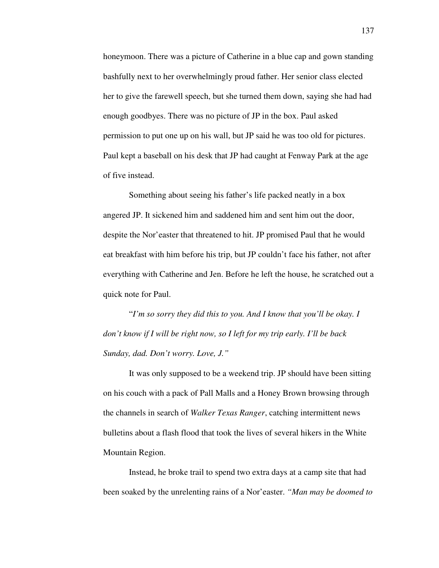honeymoon. There was a picture of Catherine in a blue cap and gown standing bashfully next to her overwhelmingly proud father. Her senior class elected her to give the farewell speech, but she turned them down, saying she had had enough goodbyes. There was no picture of JP in the box. Paul asked permission to put one up on his wall, but JP said he was too old for pictures. Paul kept a baseball on his desk that JP had caught at Fenway Park at the age of five instead.

 Something about seeing his father's life packed neatly in a box angered JP. It sickened him and saddened him and sent him out the door, despite the Nor'easter that threatened to hit. JP promised Paul that he would eat breakfast with him before his trip, but JP couldn't face his father, not after everything with Catherine and Jen. Before he left the house, he scratched out a quick note for Paul.

 "*I'm so sorry they did this to you. And I know that you'll be okay. I don't know if I will be right now, so I left for my trip early. I'll be back Sunday, dad. Don't worry. Love, J."* 

 It was only supposed to be a weekend trip. JP should have been sitting on his couch with a pack of Pall Malls and a Honey Brown browsing through the channels in search of *Walker Texas Ranger*, catching intermittent news bulletins about a flash flood that took the lives of several hikers in the White Mountain Region.

 Instead, he broke trail to spend two extra days at a camp site that had been soaked by the unrelenting rains of a Nor'easter. *"Man may be doomed to*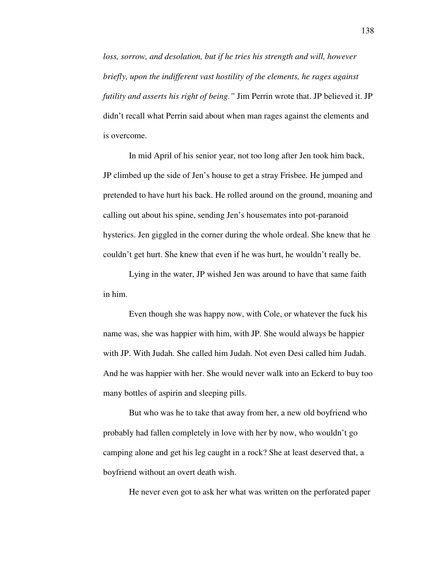*loss, sorrow, and desolation, but if he tries his strength and will, however briefly, upon the indifferent vast hostility of the elements, he rages against futility and asserts his right of being."* Jim Perrin wrote that. JP believed it. JP didn't recall what Perrin said about when man rages against the elements and is overcome.

 In mid April of his senior year, not too long after Jen took him back, JP climbed up the side of Jen's house to get a stray Frisbee. He jumped and pretended to have hurt his back. He rolled around on the ground, moaning and calling out about his spine, sending Jen's housemates into pot-paranoid hysterics. Jen giggled in the corner during the whole ordeal. She knew that he couldn't get hurt. She knew that even if he was hurt, he wouldn't really be.

 Lying in the water, JP wished Jen was around to have that same faith in him.

 Even though she was happy now, with Cole, or whatever the fuck his name was, she was happier with him, with JP. She would always be happier with JP. With Judah. She called him Judah. Not even Desi called him Judah. And he was happier with her. She would never walk into an Eckerd to buy too many bottles of aspirin and sleeping pills.

 But who was he to take that away from her, a new old boyfriend who probably had fallen completely in love with her by now, who wouldn't go camping alone and get his leg caught in a rock? She at least deserved that, a boyfriend without an overt death wish.

He never even got to ask her what was written on the perforated paper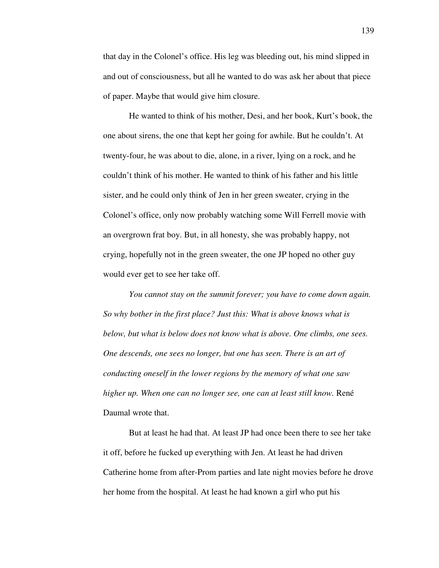that day in the Colonel's office. His leg was bleeding out, his mind slipped in and out of consciousness, but all he wanted to do was ask her about that piece of paper. Maybe that would give him closure.

 He wanted to think of his mother, Desi, and her book, Kurt's book, the one about sirens, the one that kept her going for awhile. But he couldn't. At twenty-four, he was about to die, alone, in a river, lying on a rock, and he couldn't think of his mother. He wanted to think of his father and his little sister, and he could only think of Jen in her green sweater, crying in the Colonel's office, only now probably watching some Will Ferrell movie with an overgrown frat boy. But, in all honesty, she was probably happy, not crying, hopefully not in the green sweater, the one JP hoped no other guy would ever get to see her take off.

*You cannot stay on the summit forever; you have to come down again. So why bother in the first place? Just this: What is above knows what is below, but what is below does not know what is above. One climbs, one sees. One descends, one sees no longer, but one has seen. There is an art of conducting oneself in the lower regions by the memory of what one saw higher up. When one can no longer see, one can at least still know.* René Daumal wrote that.

 But at least he had that. At least JP had once been there to see her take it off, before he fucked up everything with Jen. At least he had driven Catherine home from after-Prom parties and late night movies before he drove her home from the hospital. At least he had known a girl who put his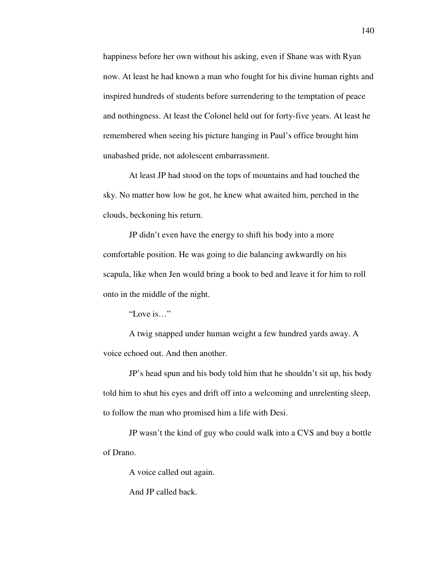happiness before her own without his asking, even if Shane was with Ryan now. At least he had known a man who fought for his divine human rights and inspired hundreds of students before surrendering to the temptation of peace and nothingness. At least the Colonel held out for forty-five years. At least he remembered when seeing his picture hanging in Paul's office brought him unabashed pride, not adolescent embarrassment.

 At least JP had stood on the tops of mountains and had touched the sky. No matter how low he got, he knew what awaited him, perched in the clouds, beckoning his return.

 JP didn't even have the energy to shift his body into a more comfortable position. He was going to die balancing awkwardly on his scapula, like when Jen would bring a book to bed and leave it for him to roll onto in the middle of the night.

"Love is…"

 A twig snapped under human weight a few hundred yards away. A voice echoed out. And then another.

 JP's head spun and his body told him that he shouldn't sit up, his body told him to shut his eyes and drift off into a welcoming and unrelenting sleep, to follow the man who promised him a life with Desi.

 JP wasn't the kind of guy who could walk into a CVS and buy a bottle of Drano.

A voice called out again.

And JP called back.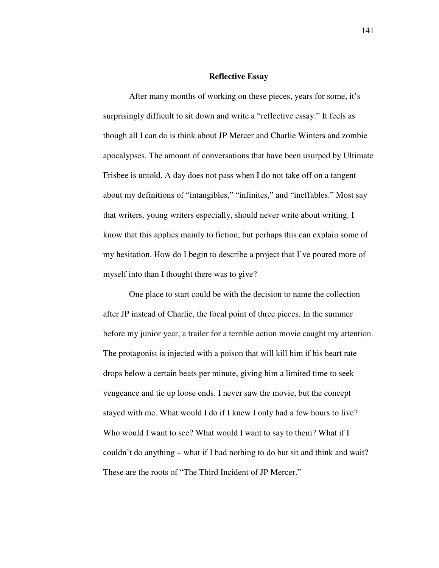## **Reflective Essay**

 After many months of working on these pieces, years for some, it's surprisingly difficult to sit down and write a "reflective essay." It feels as though all I can do is think about JP Mercer and Charlie Winters and zombie apocalypses. The amount of conversations that have been usurped by Ultimate Frisbee is untold. A day does not pass when I do not take off on a tangent about my definitions of "intangibles," "infinites," and "ineffables." Most say that writers, young writers especially, should never write about writing. I know that this applies mainly to fiction, but perhaps this can explain some of my hesitation. How do I begin to describe a project that I've poured more of myself into than I thought there was to give?

 One place to start could be with the decision to name the collection after JP instead of Charlie, the focal point of three pieces. In the summer before my junior year, a trailer for a terrible action movie caught my attention. The protagonist is injected with a poison that will kill him if his heart rate drops below a certain beats per minute, giving him a limited time to seek vengeance and tie up loose ends. I never saw the movie, but the concept stayed with me. What would I do if I knew I only had a few hours to live? Who would I want to see? What would I want to say to them? What if I couldn't do anything – what if I had nothing to do but sit and think and wait? These are the roots of "The Third Incident of JP Mercer."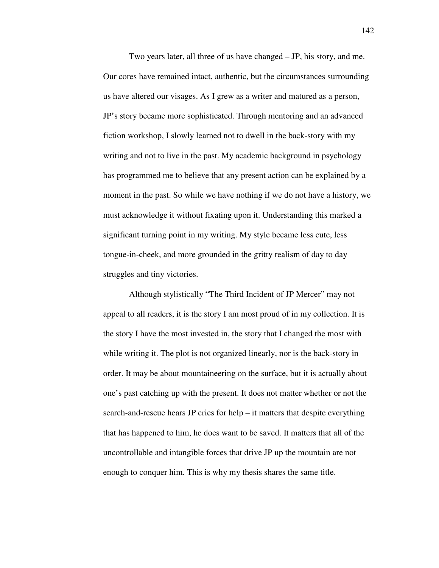Two years later, all three of us have changed – JP, his story, and me. Our cores have remained intact, authentic, but the circumstances surrounding us have altered our visages. As I grew as a writer and matured as a person, JP's story became more sophisticated. Through mentoring and an advanced fiction workshop, I slowly learned not to dwell in the back-story with my writing and not to live in the past. My academic background in psychology has programmed me to believe that any present action can be explained by a moment in the past. So while we have nothing if we do not have a history, we must acknowledge it without fixating upon it. Understanding this marked a significant turning point in my writing. My style became less cute, less tongue-in-cheek, and more grounded in the gritty realism of day to day struggles and tiny victories.

 Although stylistically "The Third Incident of JP Mercer" may not appeal to all readers, it is the story I am most proud of in my collection. It is the story I have the most invested in, the story that I changed the most with while writing it. The plot is not organized linearly, nor is the back-story in order. It may be about mountaineering on the surface, but it is actually about one's past catching up with the present. It does not matter whether or not the search-and-rescue hears JP cries for help – it matters that despite everything that has happened to him, he does want to be saved. It matters that all of the uncontrollable and intangible forces that drive JP up the mountain are not enough to conquer him. This is why my thesis shares the same title.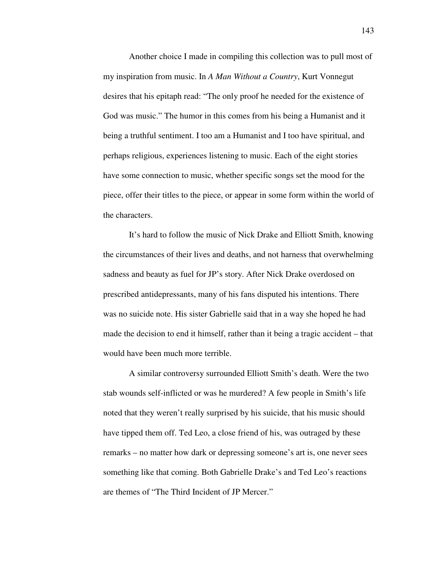Another choice I made in compiling this collection was to pull most of my inspiration from music. In *A Man Without a Country*, Kurt Vonnegut desires that his epitaph read: "The only proof he needed for the existence of God was music." The humor in this comes from his being a Humanist and it being a truthful sentiment. I too am a Humanist and I too have spiritual, and perhaps religious, experiences listening to music. Each of the eight stories have some connection to music, whether specific songs set the mood for the piece, offer their titles to the piece, or appear in some form within the world of the characters.

 It's hard to follow the music of Nick Drake and Elliott Smith, knowing the circumstances of their lives and deaths, and not harness that overwhelming sadness and beauty as fuel for JP's story. After Nick Drake overdosed on prescribed antidepressants, many of his fans disputed his intentions. There was no suicide note. His sister Gabrielle said that in a way she hoped he had made the decision to end it himself, rather than it being a tragic accident – that would have been much more terrible.

 A similar controversy surrounded Elliott Smith's death. Were the two stab wounds self-inflicted or was he murdered? A few people in Smith's life noted that they weren't really surprised by his suicide, that his music should have tipped them off. Ted Leo, a close friend of his, was outraged by these remarks – no matter how dark or depressing someone's art is, one never sees something like that coming. Both Gabrielle Drake's and Ted Leo's reactions are themes of "The Third Incident of JP Mercer."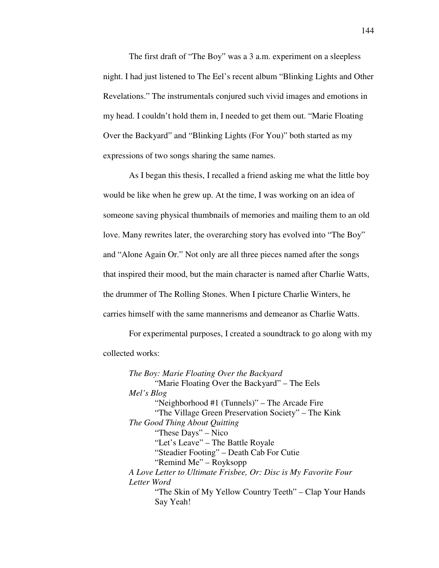The first draft of "The Boy" was a 3 a.m. experiment on a sleepless night. I had just listened to The Eel's recent album "Blinking Lights and Other Revelations." The instrumentals conjured such vivid images and emotions in my head. I couldn't hold them in, I needed to get them out. "Marie Floating Over the Backyard" and "Blinking Lights (For You)" both started as my expressions of two songs sharing the same names.

 As I began this thesis, I recalled a friend asking me what the little boy would be like when he grew up. At the time, I was working on an idea of someone saving physical thumbnails of memories and mailing them to an old love. Many rewrites later, the overarching story has evolved into "The Boy" and "Alone Again Or." Not only are all three pieces named after the songs that inspired their mood, but the main character is named after Charlie Watts, the drummer of The Rolling Stones. When I picture Charlie Winters, he carries himself with the same mannerisms and demeanor as Charlie Watts.

 For experimental purposes, I created a soundtrack to go along with my collected works:

*The Boy: Marie Floating Over the Backyard*  "Marie Floating Over the Backyard" – The Eels *Mel's Blog*  "Neighborhood #1 (Tunnels)" – The Arcade Fire "The Village Green Preservation Society" – The Kink *The Good Thing About Quitting*  "These Days" – Nico "Let's Leave" – The Battle Royale "Steadier Footing" – Death Cab For Cutie "Remind Me" – Royksopp *A Love Letter to Ultimate Frisbee, Or: Disc is My Favorite Four Letter Word*  "The Skin of My Yellow Country Teeth" – Clap Your Hands Say Yeah!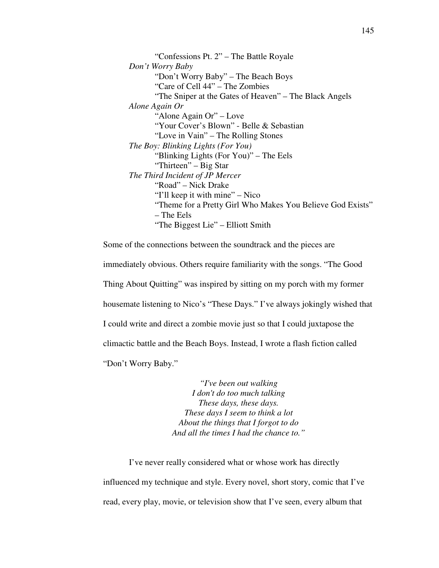"Confessions Pt. 2" – The Battle Royale *Don't Worry Baby*  "Don't Worry Baby" – The Beach Boys "Care of Cell 44" – The Zombies "The Sniper at the Gates of Heaven" – The Black Angels *Alone Again Or*  "Alone Again Or" – Love "Your Cover's Blown" - Belle & Sebastian "Love in Vain" – The Rolling Stones *The Boy: Blinking Lights (For You)*  "Blinking Lights (For You)" – The Eels "Thirteen" – Big Star *The Third Incident of JP Mercer*  "Road" – Nick Drake "I'll keep it with mine" – Nico "Theme for a Pretty Girl Who Makes You Believe God Exists" – The Eels "The Biggest Lie" – Elliott Smith

Some of the connections between the soundtrack and the pieces are immediately obvious. Others require familiarity with the songs. "The Good Thing About Quitting" was inspired by sitting on my porch with my former housemate listening to Nico's "These Days." I've always jokingly wished that I could write and direct a zombie movie just so that I could juxtapose the climactic battle and the Beach Boys. Instead, I wrote a flash fiction called "Don't Worry Baby."

> *"I've been out walking I don't do too much talking These days, these days. These days I seem to think a lot About the things that I forgot to do And all the times I had the chance to."*

 I've never really considered what or whose work has directly influenced my technique and style. Every novel, short story, comic that I've read, every play, movie, or television show that I've seen, every album that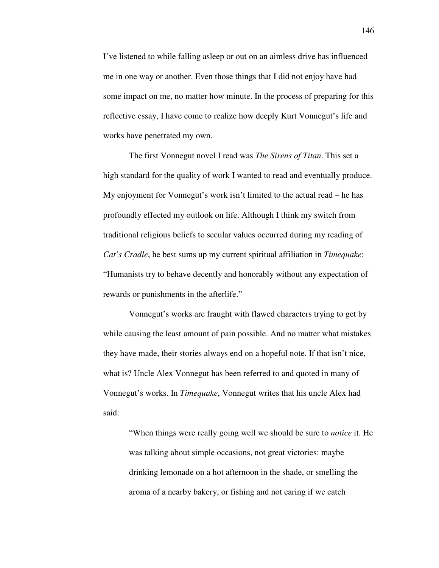I've listened to while falling asleep or out on an aimless drive has influenced me in one way or another. Even those things that I did not enjoy have had some impact on me, no matter how minute. In the process of preparing for this reflective essay, I have come to realize how deeply Kurt Vonnegut's life and works have penetrated my own.

 The first Vonnegut novel I read was *The Sirens of Titan*. This set a high standard for the quality of work I wanted to read and eventually produce. My enjoyment for Vonnegut's work isn't limited to the actual read – he has profoundly effected my outlook on life. Although I think my switch from traditional religious beliefs to secular values occurred during my reading of *Cat's Cradle*, he best sums up my current spiritual affiliation in *Timequake*: "Humanists try to behave decently and honorably without any expectation of rewards or punishments in the afterlife."

 Vonnegut's works are fraught with flawed characters trying to get by while causing the least amount of pain possible. And no matter what mistakes they have made, their stories always end on a hopeful note. If that isn't nice, what is? Uncle Alex Vonnegut has been referred to and quoted in many of Vonnegut's works. In *Timequake*, Vonnegut writes that his uncle Alex had said:

"When things were really going well we should be sure to *notice* it. He was talking about simple occasions, not great victories: maybe drinking lemonade on a hot afternoon in the shade, or smelling the aroma of a nearby bakery, or fishing and not caring if we catch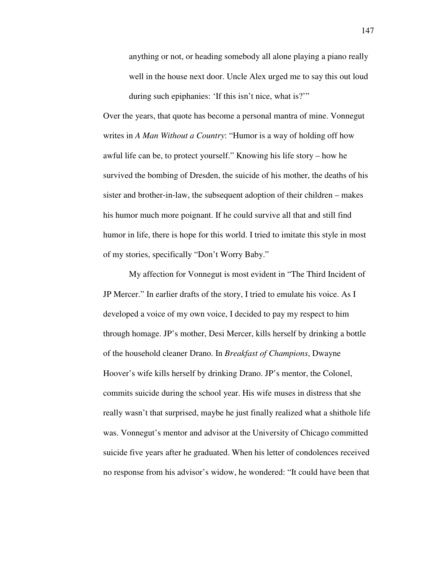anything or not, or heading somebody all alone playing a piano really well in the house next door. Uncle Alex urged me to say this out loud during such epiphanies: 'If this isn't nice, what is?'"

Over the years, that quote has become a personal mantra of mine. Vonnegut writes in *A Man Without a Country*: "Humor is a way of holding off how awful life can be, to protect yourself." Knowing his life story – how he survived the bombing of Dresden, the suicide of his mother, the deaths of his sister and brother-in-law, the subsequent adoption of their children – makes his humor much more poignant. If he could survive all that and still find humor in life, there is hope for this world. I tried to imitate this style in most of my stories, specifically "Don't Worry Baby."

 My affection for Vonnegut is most evident in "The Third Incident of JP Mercer." In earlier drafts of the story, I tried to emulate his voice. As I developed a voice of my own voice, I decided to pay my respect to him through homage. JP's mother, Desi Mercer, kills herself by drinking a bottle of the household cleaner Drano. In *Breakfast of Champions*, Dwayne Hoover's wife kills herself by drinking Drano. JP's mentor, the Colonel, commits suicide during the school year. His wife muses in distress that she really wasn't that surprised, maybe he just finally realized what a shithole life was. Vonnegut's mentor and advisor at the University of Chicago committed suicide five years after he graduated. When his letter of condolences received no response from his advisor's widow, he wondered: "It could have been that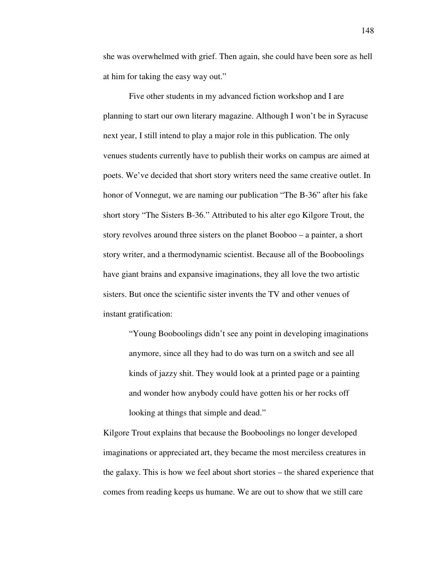she was overwhelmed with grief. Then again, she could have been sore as hell at him for taking the easy way out."

 Five other students in my advanced fiction workshop and I are planning to start our own literary magazine. Although I won't be in Syracuse next year, I still intend to play a major role in this publication. The only venues students currently have to publish their works on campus are aimed at poets. We've decided that short story writers need the same creative outlet. In honor of Vonnegut, we are naming our publication "The B-36" after his fake short story "The Sisters B-36." Attributed to his alter ego Kilgore Trout, the story revolves around three sisters on the planet Booboo – a painter, a short story writer, and a thermodynamic scientist. Because all of the Booboolings have giant brains and expansive imaginations, they all love the two artistic sisters. But once the scientific sister invents the TV and other venues of instant gratification:

"Young Booboolings didn't see any point in developing imaginations anymore, since all they had to do was turn on a switch and see all kinds of jazzy shit. They would look at a printed page or a painting and wonder how anybody could have gotten his or her rocks off looking at things that simple and dead."

Kilgore Trout explains that because the Booboolings no longer developed imaginations or appreciated art, they became the most merciless creatures in the galaxy. This is how we feel about short stories – the shared experience that comes from reading keeps us humane. We are out to show that we still care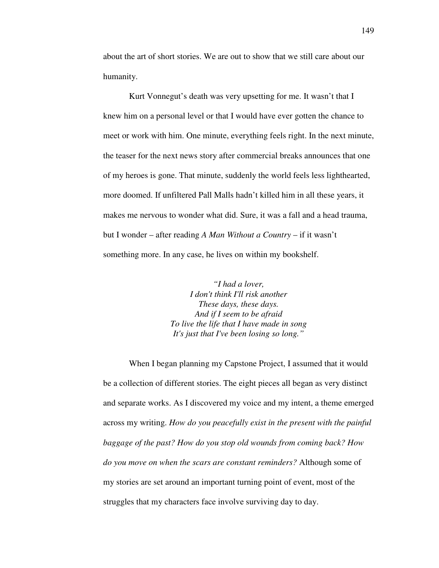about the art of short stories. We are out to show that we still care about our humanity.

 Kurt Vonnegut's death was very upsetting for me. It wasn't that I knew him on a personal level or that I would have ever gotten the chance to meet or work with him. One minute, everything feels right. In the next minute, the teaser for the next news story after commercial breaks announces that one of my heroes is gone. That minute, suddenly the world feels less lighthearted, more doomed. If unfiltered Pall Malls hadn't killed him in all these years, it makes me nervous to wonder what did. Sure, it was a fall and a head trauma, but I wonder – after reading *A Man Without a Country* – if it wasn't something more. In any case, he lives on within my bookshelf.

> *"I had a lover, I don't think I'll risk another These days, these days. And if I seem to be afraid To live the life that I have made in song It's just that I've been losing so long."*

 When I began planning my Capstone Project, I assumed that it would be a collection of different stories. The eight pieces all began as very distinct and separate works. As I discovered my voice and my intent, a theme emerged across my writing. *How do you peacefully exist in the present with the painful baggage of the past? How do you stop old wounds from coming back? How do you move on when the scars are constant reminders?* Although some of my stories are set around an important turning point of event, most of the struggles that my characters face involve surviving day to day.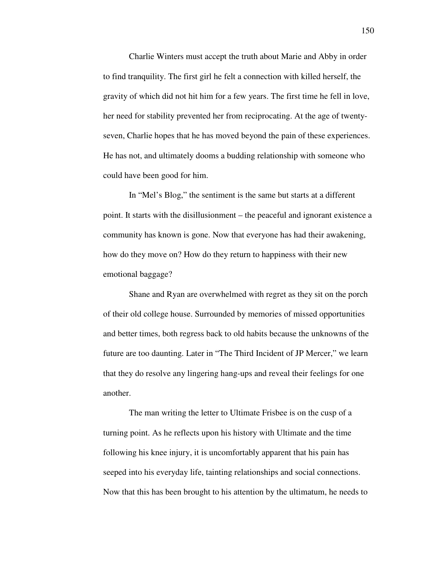Charlie Winters must accept the truth about Marie and Abby in order to find tranquility. The first girl he felt a connection with killed herself, the gravity of which did not hit him for a few years. The first time he fell in love, her need for stability prevented her from reciprocating. At the age of twentyseven, Charlie hopes that he has moved beyond the pain of these experiences. He has not, and ultimately dooms a budding relationship with someone who could have been good for him.

 In "Mel's Blog," the sentiment is the same but starts at a different point. It starts with the disillusionment – the peaceful and ignorant existence a community has known is gone. Now that everyone has had their awakening, how do they move on? How do they return to happiness with their new emotional baggage?

 Shane and Ryan are overwhelmed with regret as they sit on the porch of their old college house. Surrounded by memories of missed opportunities and better times, both regress back to old habits because the unknowns of the future are too daunting. Later in "The Third Incident of JP Mercer," we learn that they do resolve any lingering hang-ups and reveal their feelings for one another.

 The man writing the letter to Ultimate Frisbee is on the cusp of a turning point. As he reflects upon his history with Ultimate and the time following his knee injury, it is uncomfortably apparent that his pain has seeped into his everyday life, tainting relationships and social connections. Now that this has been brought to his attention by the ultimatum, he needs to

150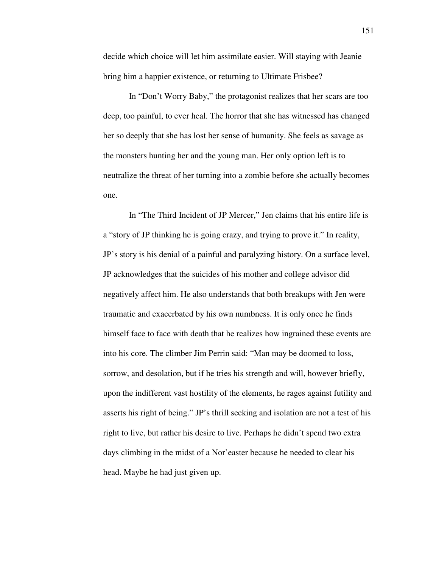decide which choice will let him assimilate easier. Will staying with Jeanie bring him a happier existence, or returning to Ultimate Frisbee?

 In "Don't Worry Baby," the protagonist realizes that her scars are too deep, too painful, to ever heal. The horror that she has witnessed has changed her so deeply that she has lost her sense of humanity. She feels as savage as the monsters hunting her and the young man. Her only option left is to neutralize the threat of her turning into a zombie before she actually becomes one.

 In "The Third Incident of JP Mercer," Jen claims that his entire life is a "story of JP thinking he is going crazy, and trying to prove it." In reality, JP's story is his denial of a painful and paralyzing history. On a surface level, JP acknowledges that the suicides of his mother and college advisor did negatively affect him. He also understands that both breakups with Jen were traumatic and exacerbated by his own numbness. It is only once he finds himself face to face with death that he realizes how ingrained these events are into his core. The climber Jim Perrin said: "Man may be doomed to loss, sorrow, and desolation, but if he tries his strength and will, however briefly, upon the indifferent vast hostility of the elements, he rages against futility and asserts his right of being." JP's thrill seeking and isolation are not a test of his right to live, but rather his desire to live. Perhaps he didn't spend two extra days climbing in the midst of a Nor'easter because he needed to clear his head. Maybe he had just given up.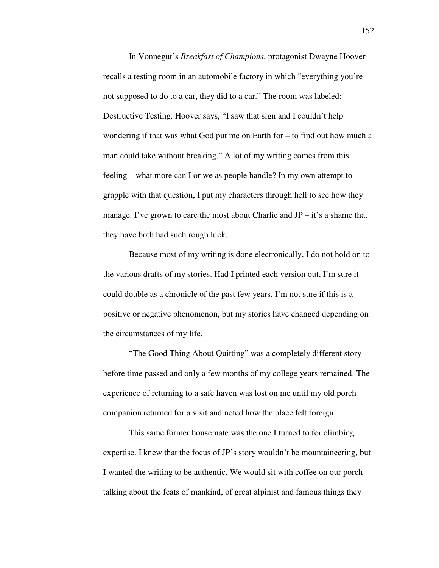In Vonnegut's *Breakfast of Champions*, protagonist Dwayne Hoover recalls a testing room in an automobile factory in which "everything you're not supposed to do to a car, they did to a car." The room was labeled: Destructive Testing. Hoover says, "I saw that sign and I couldn't help wondering if that was what God put me on Earth for – to find out how much a man could take without breaking." A lot of my writing comes from this feeling – what more can I or we as people handle? In my own attempt to grapple with that question, I put my characters through hell to see how they manage. I've grown to care the most about Charlie and  $JP - it's$  a shame that they have both had such rough luck.

 Because most of my writing is done electronically, I do not hold on to the various drafts of my stories. Had I printed each version out, I'm sure it could double as a chronicle of the past few years. I'm not sure if this is a positive or negative phenomenon, but my stories have changed depending on the circumstances of my life.

 "The Good Thing About Quitting" was a completely different story before time passed and only a few months of my college years remained. The experience of returning to a safe haven was lost on me until my old porch companion returned for a visit and noted how the place felt foreign.

 This same former housemate was the one I turned to for climbing expertise. I knew that the focus of JP's story wouldn't be mountaineering, but I wanted the writing to be authentic. We would sit with coffee on our porch talking about the feats of mankind, of great alpinist and famous things they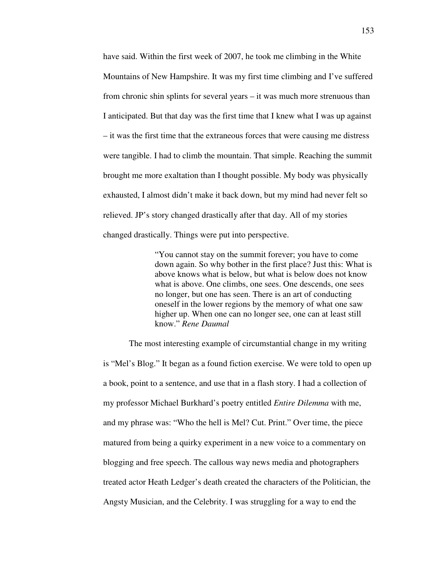have said. Within the first week of 2007, he took me climbing in the White Mountains of New Hampshire. It was my first time climbing and I've suffered from chronic shin splints for several years – it was much more strenuous than I anticipated. But that day was the first time that I knew what I was up against – it was the first time that the extraneous forces that were causing me distress were tangible. I had to climb the mountain. That simple. Reaching the summit brought me more exaltation than I thought possible. My body was physically exhausted, I almost didn't make it back down, but my mind had never felt so relieved. JP's story changed drastically after that day. All of my stories changed drastically. Things were put into perspective.

> "You cannot stay on the summit forever; you have to come down again. So why bother in the first place? Just this: What is above knows what is below, but what is below does not know what is above. One climbs, one sees. One descends, one sees no longer, but one has seen. There is an art of conducting oneself in the lower regions by the memory of what one saw higher up. When one can no longer see, one can at least still know." *Rene Daumal*

 The most interesting example of circumstantial change in my writing is "Mel's Blog." It began as a found fiction exercise. We were told to open up a book, point to a sentence, and use that in a flash story. I had a collection of my professor Michael Burkhard's poetry entitled *Entire Dilemma* with me, and my phrase was: "Who the hell is Mel? Cut. Print." Over time, the piece matured from being a quirky experiment in a new voice to a commentary on blogging and free speech. The callous way news media and photographers treated actor Heath Ledger's death created the characters of the Politician, the Angsty Musician, and the Celebrity. I was struggling for a way to end the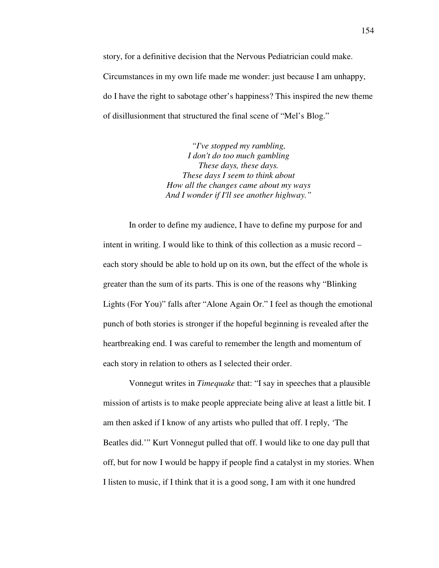story, for a definitive decision that the Nervous Pediatrician could make. Circumstances in my own life made me wonder: just because I am unhappy, do I have the right to sabotage other's happiness? This inspired the new theme of disillusionment that structured the final scene of "Mel's Blog."

> *"I've stopped my rambling, I don't do too much gambling These days, these days. These days I seem to think about How all the changes came about my ways And I wonder if I'll see another highway."*

 In order to define my audience, I have to define my purpose for and intent in writing. I would like to think of this collection as a music record – each story should be able to hold up on its own, but the effect of the whole is greater than the sum of its parts. This is one of the reasons why "Blinking Lights (For You)" falls after "Alone Again Or." I feel as though the emotional punch of both stories is stronger if the hopeful beginning is revealed after the heartbreaking end. I was careful to remember the length and momentum of each story in relation to others as I selected their order.

 Vonnegut writes in *Timequake* that: "I say in speeches that a plausible mission of artists is to make people appreciate being alive at least a little bit. I am then asked if I know of any artists who pulled that off. I reply, 'The Beatles did.'" Kurt Vonnegut pulled that off. I would like to one day pull that off, but for now I would be happy if people find a catalyst in my stories. When I listen to music, if I think that it is a good song, I am with it one hundred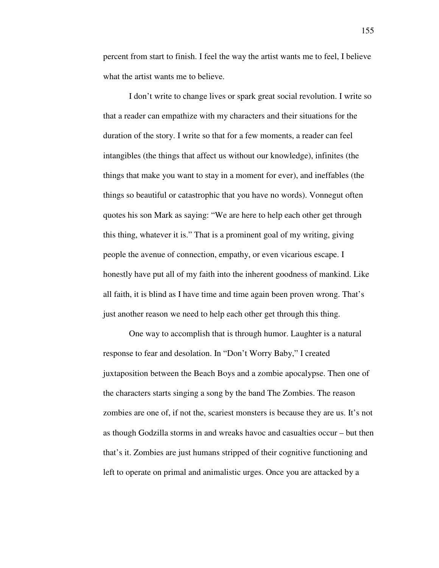percent from start to finish. I feel the way the artist wants me to feel, I believe what the artist wants me to believe.

 I don't write to change lives or spark great social revolution. I write so that a reader can empathize with my characters and their situations for the duration of the story. I write so that for a few moments, a reader can feel intangibles (the things that affect us without our knowledge), infinites (the things that make you want to stay in a moment for ever), and ineffables (the things so beautiful or catastrophic that you have no words). Vonnegut often quotes his son Mark as saying: "We are here to help each other get through this thing, whatever it is." That is a prominent goal of my writing, giving people the avenue of connection, empathy, or even vicarious escape. I honestly have put all of my faith into the inherent goodness of mankind. Like all faith, it is blind as I have time and time again been proven wrong. That's just another reason we need to help each other get through this thing.

 One way to accomplish that is through humor. Laughter is a natural response to fear and desolation. In "Don't Worry Baby," I created juxtaposition between the Beach Boys and a zombie apocalypse. Then one of the characters starts singing a song by the band The Zombies. The reason zombies are one of, if not the, scariest monsters is because they are us. It's not as though Godzilla storms in and wreaks havoc and casualties occur – but then that's it. Zombies are just humans stripped of their cognitive functioning and left to operate on primal and animalistic urges. Once you are attacked by a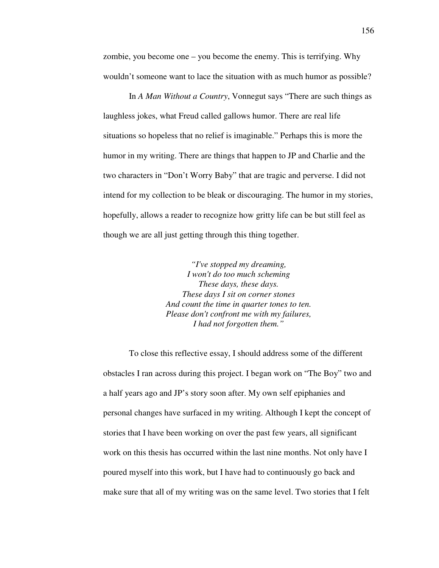zombie, you become one – you become the enemy. This is terrifying. Why wouldn't someone want to lace the situation with as much humor as possible?

 In *A Man Without a Country*, Vonnegut says "There are such things as laughless jokes, what Freud called gallows humor. There are real life situations so hopeless that no relief is imaginable." Perhaps this is more the humor in my writing. There are things that happen to JP and Charlie and the two characters in "Don't Worry Baby" that are tragic and perverse. I did not intend for my collection to be bleak or discouraging. The humor in my stories, hopefully, allows a reader to recognize how gritty life can be but still feel as though we are all just getting through this thing together.

> *"I've stopped my dreaming, I won't do too much scheming These days, these days. These days I sit on corner stones And count the time in quarter tones to ten. Please don't confront me with my failures, I had not forgotten them."*

 To close this reflective essay, I should address some of the different obstacles I ran across during this project. I began work on "The Boy" two and a half years ago and JP's story soon after. My own self epiphanies and personal changes have surfaced in my writing. Although I kept the concept of stories that I have been working on over the past few years, all significant work on this thesis has occurred within the last nine months. Not only have I poured myself into this work, but I have had to continuously go back and make sure that all of my writing was on the same level. Two stories that I felt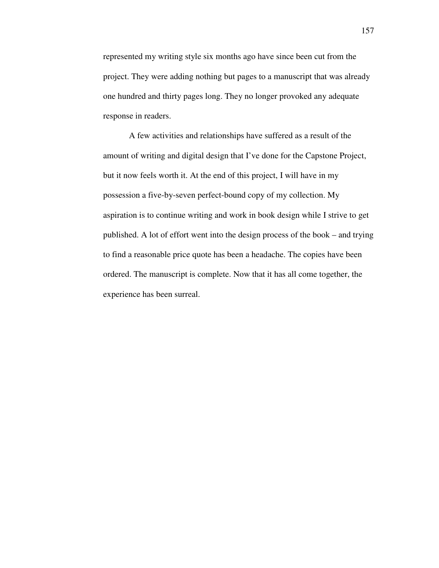represented my writing style six months ago have since been cut from the project. They were adding nothing but pages to a manuscript that was already one hundred and thirty pages long. They no longer provoked any adequate response in readers.

 A few activities and relationships have suffered as a result of the amount of writing and digital design that I've done for the Capstone Project, but it now feels worth it. At the end of this project, I will have in my possession a five-by-seven perfect-bound copy of my collection. My aspiration is to continue writing and work in book design while I strive to get published. A lot of effort went into the design process of the book – and trying to find a reasonable price quote has been a headache. The copies have been ordered. The manuscript is complete. Now that it has all come together, the experience has been surreal.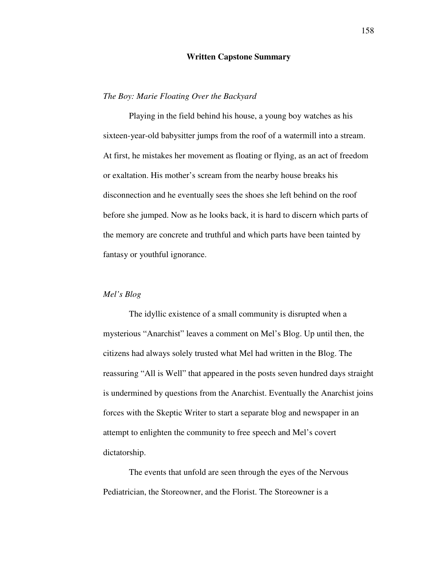#### **Written Capstone Summary**

## *The Boy: Marie Floating Over the Backyard*

 Playing in the field behind his house, a young boy watches as his sixteen-year-old babysitter jumps from the roof of a watermill into a stream. At first, he mistakes her movement as floating or flying, as an act of freedom or exaltation. His mother's scream from the nearby house breaks his disconnection and he eventually sees the shoes she left behind on the roof before she jumped. Now as he looks back, it is hard to discern which parts of the memory are concrete and truthful and which parts have been tainted by fantasy or youthful ignorance.

# *Mel's Blog*

 The idyllic existence of a small community is disrupted when a mysterious "Anarchist" leaves a comment on Mel's Blog. Up until then, the citizens had always solely trusted what Mel had written in the Blog. The reassuring "All is Well" that appeared in the posts seven hundred days straight is undermined by questions from the Anarchist. Eventually the Anarchist joins forces with the Skeptic Writer to start a separate blog and newspaper in an attempt to enlighten the community to free speech and Mel's covert dictatorship.

 The events that unfold are seen through the eyes of the Nervous Pediatrician, the Storeowner, and the Florist. The Storeowner is a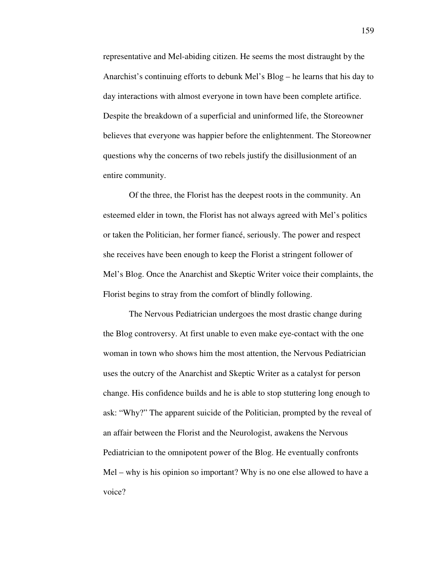representative and Mel-abiding citizen. He seems the most distraught by the Anarchist's continuing efforts to debunk Mel's Blog – he learns that his day to day interactions with almost everyone in town have been complete artifice. Despite the breakdown of a superficial and uninformed life, the Storeowner believes that everyone was happier before the enlightenment. The Storeowner questions why the concerns of two rebels justify the disillusionment of an entire community.

 Of the three, the Florist has the deepest roots in the community. An esteemed elder in town, the Florist has not always agreed with Mel's politics or taken the Politician, her former fiancé, seriously. The power and respect she receives have been enough to keep the Florist a stringent follower of Mel's Blog. Once the Anarchist and Skeptic Writer voice their complaints, the Florist begins to stray from the comfort of blindly following.

 The Nervous Pediatrician undergoes the most drastic change during the Blog controversy. At first unable to even make eye-contact with the one woman in town who shows him the most attention, the Nervous Pediatrician uses the outcry of the Anarchist and Skeptic Writer as a catalyst for person change. His confidence builds and he is able to stop stuttering long enough to ask: "Why?" The apparent suicide of the Politician, prompted by the reveal of an affair between the Florist and the Neurologist, awakens the Nervous Pediatrician to the omnipotent power of the Blog. He eventually confronts Mel – why is his opinion so important? Why is no one else allowed to have a voice?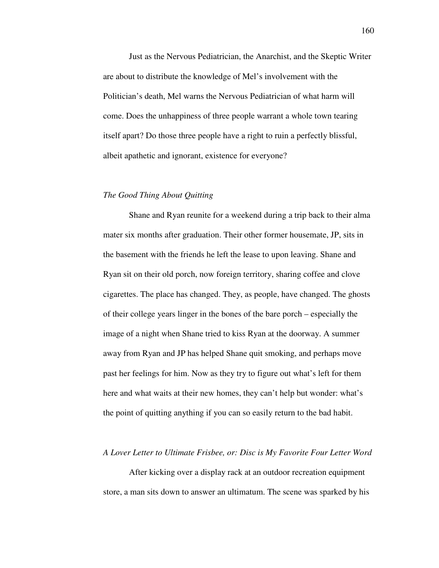Just as the Nervous Pediatrician, the Anarchist, and the Skeptic Writer are about to distribute the knowledge of Mel's involvement with the Politician's death, Mel warns the Nervous Pediatrician of what harm will come. Does the unhappiness of three people warrant a whole town tearing itself apart? Do those three people have a right to ruin a perfectly blissful, albeit apathetic and ignorant, existence for everyone?

### *The Good Thing About Quitting*

 Shane and Ryan reunite for a weekend during a trip back to their alma mater six months after graduation. Their other former housemate, JP, sits in the basement with the friends he left the lease to upon leaving. Shane and Ryan sit on their old porch, now foreign territory, sharing coffee and clove cigarettes. The place has changed. They, as people, have changed. The ghosts of their college years linger in the bones of the bare porch – especially the image of a night when Shane tried to kiss Ryan at the doorway. A summer away from Ryan and JP has helped Shane quit smoking, and perhaps move past her feelings for him. Now as they try to figure out what's left for them here and what waits at their new homes, they can't help but wonder: what's the point of quitting anything if you can so easily return to the bad habit.

#### *A Lover Letter to Ultimate Frisbee, or: Disc is My Favorite Four Letter Word*

 After kicking over a display rack at an outdoor recreation equipment store, a man sits down to answer an ultimatum. The scene was sparked by his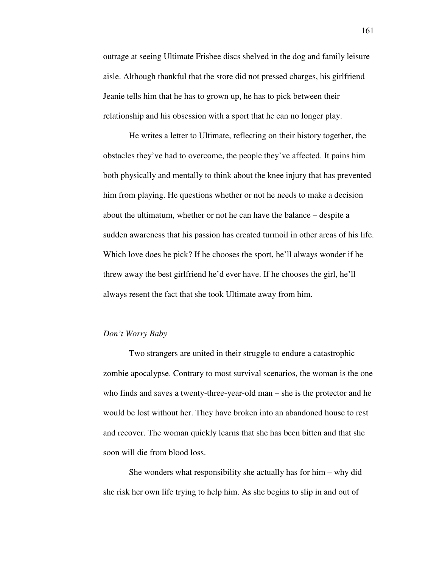outrage at seeing Ultimate Frisbee discs shelved in the dog and family leisure aisle. Although thankful that the store did not pressed charges, his girlfriend Jeanie tells him that he has to grown up, he has to pick between their relationship and his obsession with a sport that he can no longer play.

 He writes a letter to Ultimate, reflecting on their history together, the obstacles they've had to overcome, the people they've affected. It pains him both physically and mentally to think about the knee injury that has prevented him from playing. He questions whether or not he needs to make a decision about the ultimatum, whether or not he can have the balance – despite a sudden awareness that his passion has created turmoil in other areas of his life. Which love does he pick? If he chooses the sport, he'll always wonder if he threw away the best girlfriend he'd ever have. If he chooses the girl, he'll always resent the fact that she took Ultimate away from him.

#### *Don't Worry Baby*

 Two strangers are united in their struggle to endure a catastrophic zombie apocalypse. Contrary to most survival scenarios, the woman is the one who finds and saves a twenty-three-year-old man – she is the protector and he would be lost without her. They have broken into an abandoned house to rest and recover. The woman quickly learns that she has been bitten and that she soon will die from blood loss.

 She wonders what responsibility she actually has for him – why did she risk her own life trying to help him. As she begins to slip in and out of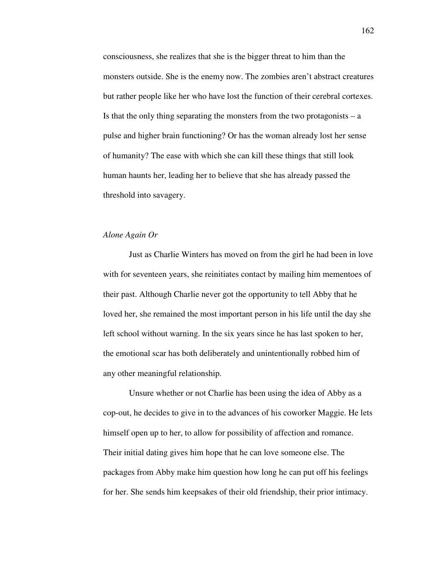consciousness, she realizes that she is the bigger threat to him than the monsters outside. She is the enemy now. The zombies aren't abstract creatures but rather people like her who have lost the function of their cerebral cortexes. Is that the only thing separating the monsters from the two protagonists  $-$  a pulse and higher brain functioning? Or has the woman already lost her sense of humanity? The ease with which she can kill these things that still look human haunts her, leading her to believe that she has already passed the threshold into savagery.

## *Alone Again Or*

 Just as Charlie Winters has moved on from the girl he had been in love with for seventeen years, she reinitiates contact by mailing him mementoes of their past. Although Charlie never got the opportunity to tell Abby that he loved her, she remained the most important person in his life until the day she left school without warning. In the six years since he has last spoken to her, the emotional scar has both deliberately and unintentionally robbed him of any other meaningful relationship.

 Unsure whether or not Charlie has been using the idea of Abby as a cop-out, he decides to give in to the advances of his coworker Maggie. He lets himself open up to her, to allow for possibility of affection and romance. Their initial dating gives him hope that he can love someone else. The packages from Abby make him question how long he can put off his feelings for her. She sends him keepsakes of their old friendship, their prior intimacy.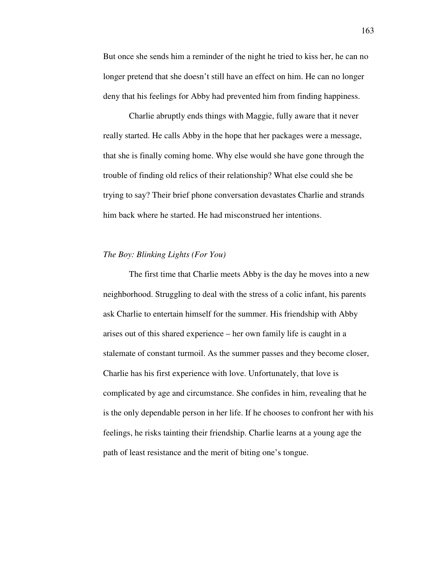But once she sends him a reminder of the night he tried to kiss her, he can no longer pretend that she doesn't still have an effect on him. He can no longer deny that his feelings for Abby had prevented him from finding happiness.

 Charlie abruptly ends things with Maggie, fully aware that it never really started. He calls Abby in the hope that her packages were a message, that she is finally coming home. Why else would she have gone through the trouble of finding old relics of their relationship? What else could she be trying to say? Their brief phone conversation devastates Charlie and strands him back where he started. He had misconstrued her intentions.

### *The Boy: Blinking Lights (For You)*

 The first time that Charlie meets Abby is the day he moves into a new neighborhood. Struggling to deal with the stress of a colic infant, his parents ask Charlie to entertain himself for the summer. His friendship with Abby arises out of this shared experience – her own family life is caught in a stalemate of constant turmoil. As the summer passes and they become closer, Charlie has his first experience with love. Unfortunately, that love is complicated by age and circumstance. She confides in him, revealing that he is the only dependable person in her life. If he chooses to confront her with his feelings, he risks tainting their friendship. Charlie learns at a young age the path of least resistance and the merit of biting one's tongue.